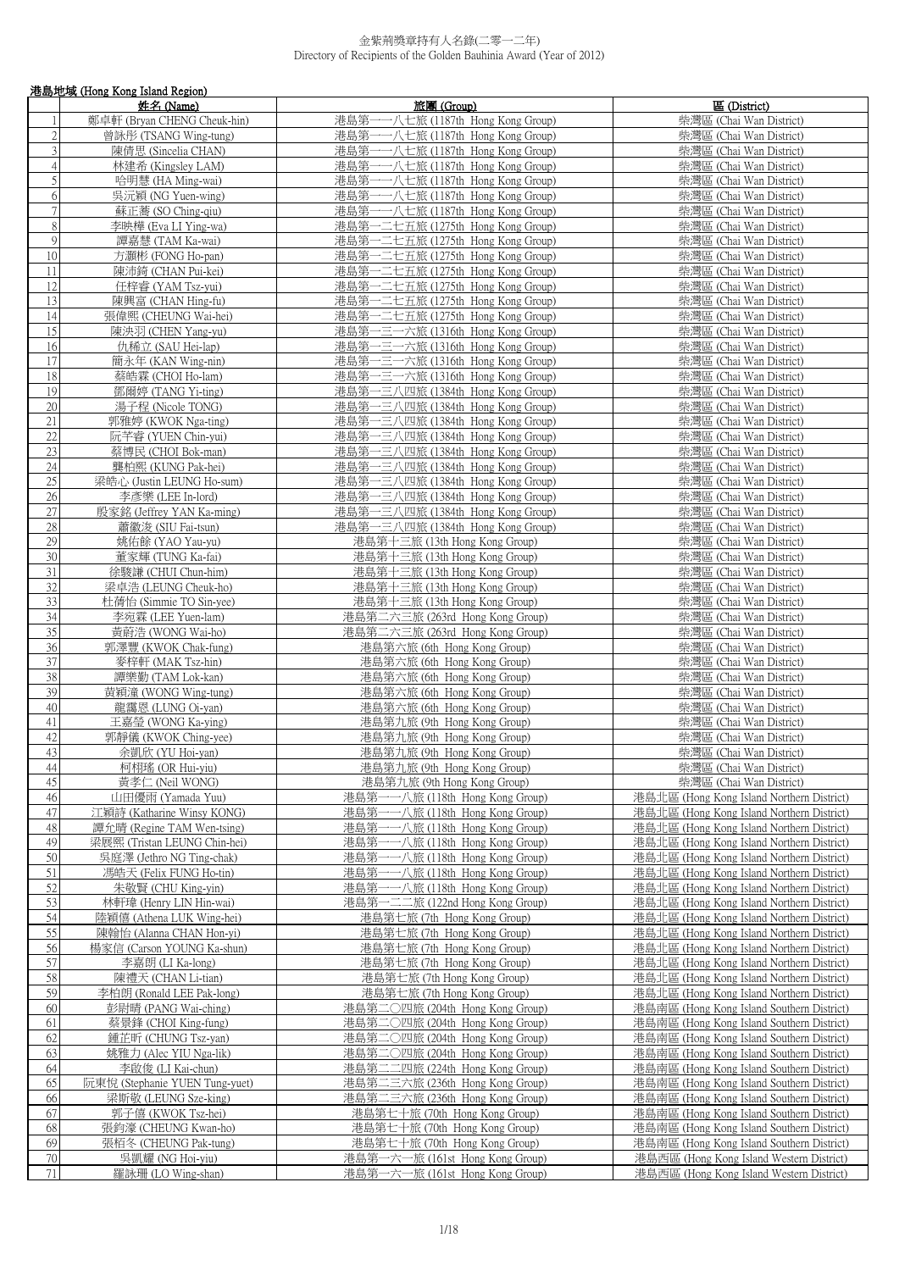|                                  | 港島地域 (Hong Kong Island Region)                           |                                                                        |                                                                                        |  |
|----------------------------------|----------------------------------------------------------|------------------------------------------------------------------------|----------------------------------------------------------------------------------------|--|
|                                  | 姓名 (Name)                                                | 旅團 (Group)                                                             | 區 (District)                                                                           |  |
| $\mathbf{1}$                     | 鄭卓軒 (Bryan CHENG Cheuk-hin)                              | 港島第一一八七旅 (1187th Hong Kong Group)                                      | 柴灣區 (Chai Wan District)                                                                |  |
| $\sqrt{2}$                       | 曾詠彤 (TSANG Wing-tung)                                    | 港島第一一八七旅 (1187th Hong Kong Group)                                      | 柴灣區 (Chai Wan District)                                                                |  |
| 3                                | 陳倩思 (Sincelia CHAN)                                      | 港島第一一八七旅 (1187th Hong Kong Group)                                      | 柴灣區 (Chai Wan District)                                                                |  |
| $\overline{4}$<br>$\overline{5}$ | 林建希 (Kingsley LAM)<br>哈明慧 (HA Ming-wai)                  | 港島第一一八七旅 (1187th Hong Kong Group)<br>港島第一一八七旅 (1187th Hong Kong Group) | 柴灣區 (Chai Wan District)<br>柴灣區 (Chai Wan District)                                     |  |
| 6                                | 吳沅穎 (NG Yuen-wing)                                       | 港島第一一八七旅 (1187th Hong Kong Group)                                      | 柴灣區 (Chai Wan District)                                                                |  |
| $\tau$                           | 蘇正蕎 (SO Ching-qiu)                                       | 港島第一一八七旅 (1187th Hong Kong Group)                                      | 柴灣區 (Chai Wan District)                                                                |  |
| $\,8\,$                          | 李映樺 (Eva LI Ying-wa)                                     | 港島第一二七五旅 (1275th Hong Kong Group)                                      | 柴灣區 (Chai Wan District)                                                                |  |
| 9                                | 譚嘉慧 (TAM Ka-wai)                                         | 港島第一二七五旅 (1275th Hong Kong Group)                                      | 柴灣區 (Chai Wan District)                                                                |  |
| 10                               | 方灝彬 (FONG Ho-pan)                                        | 港島第一二七五旅 (1275th Hong Kong Group)                                      | 柴灣區 (Chai Wan District)                                                                |  |
| 11                               | 陳沛錡 (CHAN Pui-kei)                                       | 港島第一二七五旅 (1275th Hong Kong Group)                                      | 柴灣區 (Chai Wan District)                                                                |  |
| 12                               | 任梓睿 (YAM Tsz-yui)                                        | 港島第一二七五旅 (1275th Hong Kong Group)                                      | 柴灣區 (Chai Wan District)                                                                |  |
| 13                               | 陳興富 (CHAN Hing-fu)                                       | 港島第一二七五旅 (1275th Hong Kong Group)                                      | 柴灣區 (Chai Wan District)                                                                |  |
| 14                               | 張偉熙 (CHEUNG Wai-hei)                                     | 港島第一二七五旅 (1275th Hong Kong Group)                                      | 柴灣區 (Chai Wan District)                                                                |  |
| 15                               | 陳泱羽 (CHEN Yang-yu)                                       | 港島第一三一六旅 (1316th Hong Kong Group)                                      | 柴灣區 (Chai Wan District)                                                                |  |
| 16                               | 仇稀立 (SAU Hei-lap)                                        | 港島第一三一六旅 (1316th Hong Kong Group)                                      | 柴灣區 (Chai Wan District)                                                                |  |
| 17<br>18                         | 簡永年 (KAN Wing-nin)                                       | 港島第一三一六旅 (1316th Hong Kong Group)                                      | 柴灣區 (Chai Wan District)                                                                |  |
| 19                               | 蔡皓霖 (CHOI Ho-lam)<br>鄧爾婷 (TANG Yi-ting)                  | 港島第一三一六旅 (1316th Hong Kong Group)<br>港島第一三八四旅 (1384th Hong Kong Group) | 柴灣區 (Chai Wan District)<br>柴灣區 (Chai Wan District)                                     |  |
| 20                               | 湯子程 (Nicole TONG)                                        | 港島第一三八四旅 (1384th Hong Kong Group)                                      | 柴灣區 (Chai Wan District)                                                                |  |
| 21                               | 郭雅婷 (KWOK Nga-ting)                                      | 港島第一三八四旅 (1384th Hong Kong Group)                                      | 柴灣區 (Chai Wan District)                                                                |  |
| 22                               | 阮芊睿 (YUEN Chin-yui)                                      | 港島第一三八四旅 (1384th Hong Kong Group)                                      | 柴灣區 (Chai Wan District)                                                                |  |
| $\overline{23}$                  | 蔡博民 (CHOI Bok-man)                                       | 港島第一三八四旅 (1384th Hong Kong Group)                                      | 柴灣區 (Chai Wan District)                                                                |  |
| 24                               | 龔柏熙 (KUNG Pak-hei)                                       | 港島第一三八四旅 (1384th Hong Kong Group)                                      | 柴灣區 (Chai Wan District)                                                                |  |
| 25                               | 梁皓心 (Justin LEUNG Ho-sum)                                | 港島第一三八四旅 (1384th Hong Kong Group)                                      | 柴灣區 (Chai Wan District)                                                                |  |
| $\overline{26}$                  | 李彥樂 (LEE In-lord)                                        | 港島第一三八四旅 (1384th Hong Kong Group)                                      | 柴灣區 (Chai Wan District)                                                                |  |
| 27                               | 殷家銘 (Jeffrey YAN Ka-ming)                                | 港島第一三八四旅 (1384th Hong Kong Group)                                      | 柴灣區 (Chai Wan District)                                                                |  |
| 28                               | 蕭徽浚 (SIU Fai-tsun)                                       | 港島第一三八四旅 (1384th Hong Kong Group)                                      | 柴灣區 (Chai Wan District)                                                                |  |
| 29                               | 姚佑餘 (YAO Yau-yu)                                         | 港島第十三旅 (13th Hong Kong Group)                                          | 柴灣區 (Chai Wan District)                                                                |  |
| 30                               | 董家輝 (TUNG Ka-fai)                                        | 港島第十三旅 (13th Hong Kong Group)                                          | 柴灣區 (Chai Wan District)                                                                |  |
| 31                               | 徐駿謙 (CHUI Chun-him)                                      | 港島第十三旅 (13th Hong Kong Group)                                          | 柴灣區 (Chai Wan District)                                                                |  |
| 32<br>33                         | 梁卓浩 (LEUNG Cheuk-ho)<br>杜蒨怡 (Simmie TO Sin-yee)          | 港島第十三旅 (13th Hong Kong Group)<br>港島第十三旅 (13th Hong Kong Group)         | 柴灣區 (Chai Wan District)<br>柴灣區 (Chai Wan District)                                     |  |
| $\overline{34}$                  | 李宛霖 (LEE Yuen-lam)                                       | 港島第二六三旅 (263rd Hong Kong Group)                                        | 柴灣區 (Chai Wan District)                                                                |  |
| $\overline{35}$                  | 黃蔚浩 (WONG Wai-ho)                                        | 港島第二六三旅 (263rd Hong Kong Group)                                        | 柴灣區 (Chai Wan District)                                                                |  |
| 36                               | 郭澤豐 (KWOK Chak-fung)                                     | 港島第六旅 (6th Hong Kong Group)                                            | 柴灣區 (Chai Wan District)                                                                |  |
| $\overline{37}$                  | 麥梓軒 (MAK Tsz-hin)                                        | 港島第六旅 (6th Hong Kong Group)                                            | 柴灣區 (Chai Wan District)                                                                |  |
| $\overline{38}$                  | 譚樂勤 (TAM Lok-kan)                                        | 港島第六旅 (6th Hong Kong Group)                                            | 柴灣區 (Chai Wan District)                                                                |  |
| 39                               | 黄穎潼 (WONG Wing-tung)                                     | 港島第六旅 (6th Hong Kong Group)                                            | 柴灣區 (Chai Wan District)                                                                |  |
| 40                               | 龍靄恩 (LUNG Oi-yan)                                        | 港島第六旅 (6th Hong Kong Group)                                            | 柴灣區 (Chai Wan District)                                                                |  |
| 41                               | 王嘉瑩 (WONG Ka-ying)                                       | 港島第九旅 (9th Hong Kong Group)                                            | 柴灣區 (Chai Wan District)                                                                |  |
| 42                               | 郭靜儀 (KWOK Ching-yee)                                     | 港島第九旅 (9th Hong Kong Group)                                            | 柴灣區 (Chai Wan District)                                                                |  |
| 43                               | 余凱欣 (YU Hoi-yan)                                         | 港島第九旅 (9th Hong Kong Group)                                            | 柴灣區 (Chai Wan District)                                                                |  |
| 44                               | 柯栩瑤 (OR Hui-yiu)                                         | 港島第九旅 (9th Hong Kong Group)                                            | 柴灣區 (Chai Wan District)                                                                |  |
| 45                               | 黃孝仁 (Neil WONG)                                          | 港島第九旅 (9th Hong Kong Group)                                            | 柴灣區 (Chai Wan District)                                                                |  |
| 46<br>47                         | 山田優雨 (Yamada Yuu)                                        | 港島第一一八旅 (118th Hong Kong Group)                                        | 港島北區 (Hong Kong Island Northern District)                                              |  |
| 48                               | 江穎詩 (Katharine Winsy KONG)<br>譚允晴 (Regine TAM Wen-tsing) | 港島第一一八旅 (118th Hong Kong Group)<br>港島第一一八旅 (118th Hong Kong Group)     | 港島北區 (Hong Kong Island Northern District)<br>港島北區 (Hong Kong Island Northern District) |  |
| 49                               | 梁展熙 (Tristan LEUNG Chin-hei)                             | 港島第<br>一一八旅 (118th Hong Kong Group)                                    | 港島北區 (Hong Kong Island Northern District)                                              |  |
| 50                               | 吳庭澤 (Jethro NG Ting-chak)                                | 港島第一一八旅 (118th Hong Kong Group)                                        | 港島北區 (Hong Kong Island Northern District)                                              |  |
| 51                               | 馮皓天 (Felix FUNG Ho-tin)                                  | 港島第一一八旅 (118th Hong Kong Group)                                        | 港島北區 (Hong Kong Island Northern District)                                              |  |
| 52                               | 朱敬賢 (CHU King-yin)                                       | 港島第一一八旅 (118th Hong Kong Group)                                        | 港島北區 (Hong Kong Island Northern District)                                              |  |
| 53                               | 林軒瑋 (Henry LIN Hin-wai)                                  | 港島第一二二旅 (122nd Hong Kong Group)                                        | 港島北區 (Hong Kong Island Northern District)                                              |  |
| 54                               | 陸穎僖 (Athena LUK Wing-hei)                                | 港島第七旅 (7th Hong Kong Group)                                            | 港島北區 (Hong Kong Island Northern District)                                              |  |
| 55                               | 陳翰怡 (Alanna CHAN Hon-yi)                                 | 港島第七旅 (7th Hong Kong Group)                                            | 港島北區 (Hong Kong Island Northern District)                                              |  |
| 56                               | 楊家信 (Carson YOUNG Ka-shun)                               | 港島第七旅 (7th Hong Kong Group)                                            | 港島北區 (Hong Kong Island Northern District)                                              |  |
| 57                               | 李嘉朗 (LI Ka-long)                                         | 港島第七旅 (7th Hong Kong Group)                                            | 港島北區 (Hong Kong Island Northern District)                                              |  |
| 58                               | 陳禮天 (CHAN Li-tian)                                       | 港島第七旅 (7th Hong Kong Group)                                            | 港島北區 (Hong Kong Island Northern District)                                              |  |
| 59                               | 李柏朗 (Ronald LEE Pak-long)                                | 港島第七旅 (7th Hong Kong Group)                                            | 港島北區 (Hong Kong Island Northern District)                                              |  |
| 60                               | 彭尉晴 (PANG Wai-ching)                                     | 港島第二○四旅 (204th Hong Kong Group)                                        | 港島南區 (Hong Kong Island Southern District)                                              |  |
| 61                               | 蔡景鋒 (CHOI King-fung)                                     | 港島第二○四旅 (204th Hong Kong Group)                                        | 港島南區 (Hong Kong Island Southern District)                                              |  |
| 62                               | 鍾芷昕 (CHUNG Tsz-yan)                                      | 港島第二〇四旅 (204th Hong Kong Group)                                        | 港島南區 (Hong Kong Island Southern District)                                              |  |
| 63                               | 姚雅力 (Alec YIU Nga-lik)                                   | 港島第二○四旅 (204th Hong Kong Group)                                        | 港島南區 (Hong Kong Island Southern District)                                              |  |
| 64<br>65                         | 李啟俊 (LI Kai-chun)<br>阮東悅 (Stephanie YUEN Tung-yuet)      | 港島第二二四旅 (224th Hong Kong Group)<br>港島第二三六旅 (236th Hong Kong Group)     | 港島南區 (Hong Kong Island Southern District)                                              |  |
| 66                               | 梁斯敬 (LEUNG Sze-king)                                     | 港島第二三六旅 (236th Hong Kong Group)                                        | 港島南區 (Hong Kong Island Southern District)<br>港島南區 (Hong Kong Island Southern District) |  |
| 67                               | 郭子僖 (KWOK Tsz-hei)                                       | 港島第七十旅 (70th Hong Kong Group)                                          | 港島南區 (Hong Kong Island Southern District)                                              |  |
| 68                               | 張鈞濠 (CHEUNG Kwan-ho)                                     | 港島第七十旅 (70th Hong Kong Group)                                          | 港島南區 (Hong Kong Island Southern District)                                              |  |
| 69                               | 張栢冬 (CHEUNG Pak-tung)                                    | 港島第七十旅 (70th Hong Kong Group)                                          | 港島南區 (Hong Kong Island Southern District)                                              |  |
| $70\,$                           | 吳凱耀 (NG Hoi-yiu)                                         | 港島第一六一旅 (161st Hong Kong Group)                                        | 港島西區 (Hong Kong Island Western District)                                               |  |
| $71\,$                           | 羅詠珊 (LO Wing-shan)                                       | 港島第一六一旅 (161st Hong Kong Group)                                        | 港島西區 (Hong Kong Island Western District)                                               |  |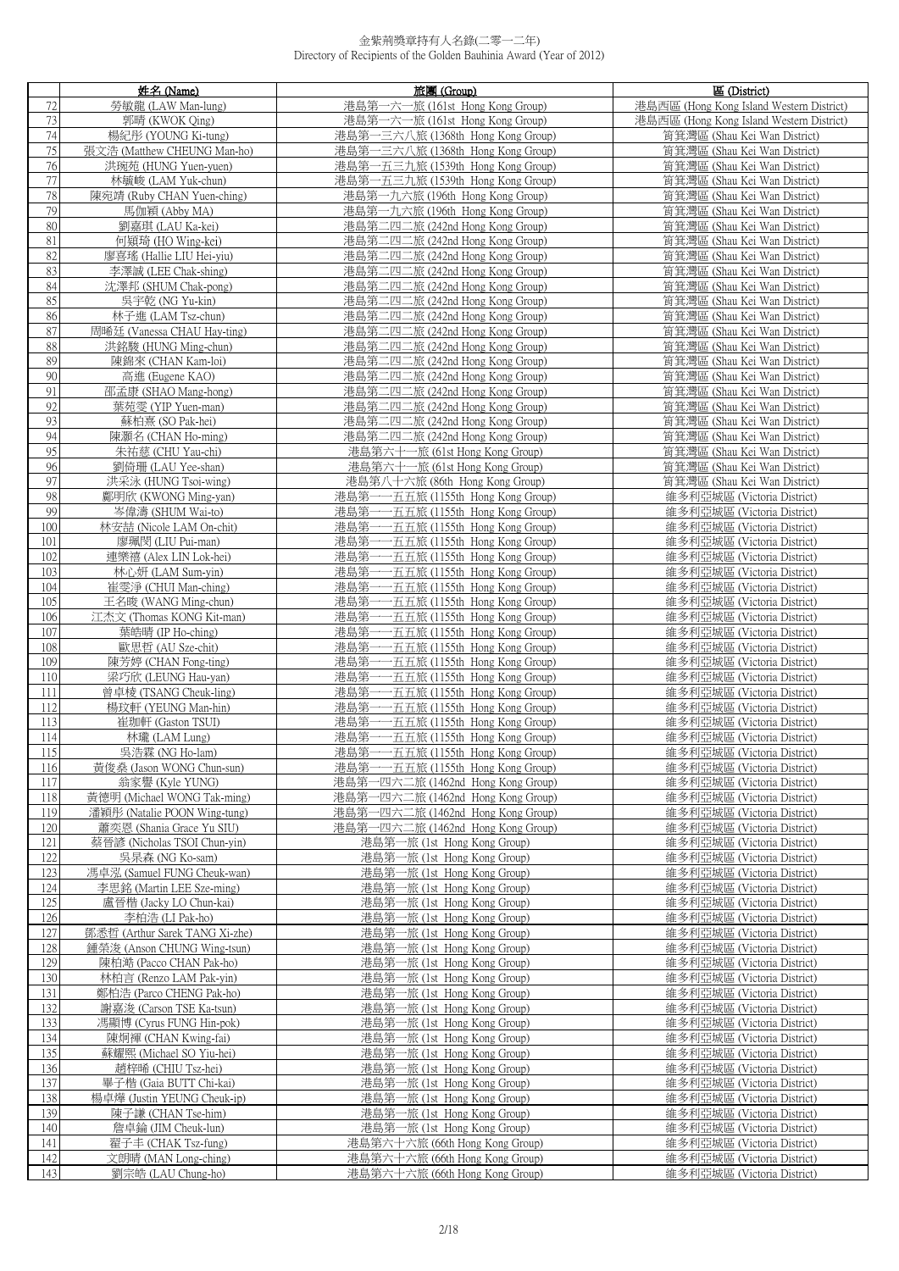|            | 姓名 (Name)                                        | 旅團(Group)                                                                  | 區 (District)                                                 |
|------------|--------------------------------------------------|----------------------------------------------------------------------------|--------------------------------------------------------------|
| 72         | 勞敏龍 (LAW Man-lung)                               | 港島第一六一旅 (161st Hong Kong Group)                                            | 港島西區 (Hong Kong Island Western District)                     |
| 73         | 郭晴 (KWOK Oing)                                   | 港島第一六一旅 (161st Hong Kong Group)                                            | 港島西區 (Hong Kong Island Western District)                     |
| 74         | 楊紀彤 (YOUNG Ki-tung)                              | 港島第一三六八旅 (1368th Hong Kong Group)                                          | 筲箕灣區 (Shau Kei Wan District)                                 |
| 75         | 張文浩 (Matthew CHEUNG Man-ho)                      | 港島第一三六八旅 (1368th Hong Kong Group)                                          | 筲箕灣區 (Shau Kei Wan District)                                 |
| 76<br>77   | 洪琬苑 (HUNG Yuen-yuen)                             | 港島第一五三九旅 (1539th Hong Kong Group)                                          | 筲箕灣區 (Shau Kei Wan District)<br>筲箕灣區 (Shau Kei Wan District) |
| 78         | 林毓峻 (LAM Yuk-chun)<br>陳宛靖 (Ruby CHAN Yuen-ching) | 港島第一五三九旅 (1539th Hong Kong Group)<br>港島第一九六旅 (196th Hong Kong Group)       | 筲箕灣區 (Shau Kei Wan District)                                 |
| 79         | 馬伽穎 (Abby MA)                                    | 港島第一九六旅 (196th Hong Kong Group)                                            | 筲箕灣區 (Shau Kei Wan District)                                 |
| 80         | 劉嘉琪 (LAU Ka-kei)                                 | 港島第二四二旅 (242nd Hong Kong Group)                                            | 筲箕灣區 (Shau Kei Wan District)                                 |
| $81\,$     | 何熲琦 (HO Wing-kei)                                | 港島第二四二旅 (242nd Hong Kong Group)                                            | 筲箕灣區 (Shau Kei Wan District)                                 |
| 82         | 廖喜瑤 (Hallie LIU Hei-viu)                         | 港島第二四二旅 (242nd Hong Kong Group)                                            | 筲箕灣區 (Shau Kei Wan District)                                 |
| 83         | 李澤誠 (LEE Chak-shing)                             | 港島第二四二旅 (242nd Hong Kong Group)                                            | 筲箕灣區 (Shau Kei Wan District)                                 |
| 84         | 沈澤邦 (SHUM Chak-pong)                             | 港島第二四二旅 (242nd Hong Kong Group)                                            | 筲箕灣區 (Shau Kei Wan District)                                 |
| 85         | 吳宇乾 (NG Yu-kin)                                  | 港島第二四二旅 (242nd Hong Kong Group)                                            | 筲箕灣區 (Shau Kei Wan District)                                 |
| 86         | 林子進 (LAM Tsz-chun)                               | 港島第二四二旅 (242nd Hong Kong Group)                                            | 筲箕灣區 (Shau Kei Wan District)                                 |
| 87         | 周晞廷 (Vanessa CHAU Hay-ting)                      | 港島第二四二旅 (242nd Hong Kong Group)                                            | 筲箕灣區 (Shau Kei Wan District)                                 |
| 88<br>89   | 洪銘駿 (HUNG Ming-chun)                             | 港島第二四二旅 (242nd Hong Kong Group)                                            | 筲箕灣區 (Shau Kei Wan District)                                 |
| 90         | 陳錦來 (CHAN Kam-loi)<br>高進 (Eugene KAO)            | 港島第二四二旅 (242nd Hong Kong Group)<br>港島第二四二旅 (242nd Hong Kong Group)         | 筲箕灣區 (Shau Kei Wan District)<br>筲箕灣區 (Shau Kei Wan District) |
| 91         | 邵孟康 (SHAO Mang-hong)                             | 港島第二四二旅 (242nd Hong Kong Group)                                            | 筲箕灣區 (Shau Kei Wan District)                                 |
| 92         | 葉苑雯 (YIP Yuen-man)                               | 港島第二四二旅 (242nd Hong Kong Group)                                            | 筲箕灣區 (Shau Kei Wan District)                                 |
| 93         | 蘇柏熹 (SO Pak-hei)                                 | 港島第二四二旅 (242nd Hong Kong Group)                                            | 筲箕灣區 (Shau Kei Wan District)                                 |
| 94         | 陳灝名 (CHAN Ho-ming)                               | 港島第二四二旅 (242nd Hong Kong Group)                                            | 筲箕灣區 (Shau Kei Wan District)                                 |
| 95         | 朱祐慈 (CHU Yau-chi)                                | 港島第六十一旅 (61st Hong Kong Group)                                             | 筲箕灣區 (Shau Kei Wan District)                                 |
| 96         | 劉倚珊 (LAU Yee-shan)                               | 港島第六十一旅 (61st Hong Kong Group)                                             | 筲箕灣區 (Shau Kei Wan District)                                 |
| 97         | 洪采泳 (HUNG Tsoi-wing)                             | 港島第八十六旅 (86th Hong Kong Group)                                             | 筲箕灣區 (Shau Kei Wan District)                                 |
| 98         | 鄺明欣 (KWONG Ming-yan)                             | 港島第一一五五旅 (1155th Hong Kong Group)                                          | 維多利亞城區 (Victoria District)                                   |
| 99         | 岑偉濤 (SHUM Wai-to)                                | 港島第一一五五旅 (1155th Hong Kong Group)                                          | 維多利亞城區 (Victoria District)                                   |
| 100<br>101 | 林安喆 (Nicole LAM On-chit)<br>廖珮閔 (LIU Pui-man)    | 一五五旅 (1155th Hong Kong Group)<br>港島第<br>港島第一一五五旅 (1155th Hong Kong Group)  | 維多利亞城區 (Victoria District)<br>維多利亞城區 (Victoria District)     |
| 102        | 連樂禧 (Alex LIN Lok-hei)                           | 港島第一一五五旅 (1155th Hong Kong Group)                                          | 維多利亞城區 (Victoria District)                                   |
| 103        | 林心妍 (LAM Sum-yin)                                | 港島第-<br>一五五旅 (1155th Hong Kong Group)                                      | 維多利亞城區 (Victoria District)                                   |
| 104        | 崔雯淨 (CHUI Man-ching)                             | 港島第一一五五旅 (1155th Hong Kong Group)                                          | 維多利亞城區 (Victoria District)                                   |
| 105        | 王名晙 (WANG Ming-chun)                             | 港島第一<br>一五五旅 (1155th Hong Kong Group)                                      | 維多利亞城區 (Victoria District)                                   |
| 106        | 江杰文 (Thomas KONG Kit-man)                        | 港島第<br>一五五旅 (1155th Hong Kong Group)                                       | 維多利亞城區 (Victoria District)                                   |
| 107        | 葉皓晴 (IP Ho-ching)                                | 港島第-<br>一五五旅 (1155th Hong Kong Group)                                      | 維多利亞城區 (Victoria District)                                   |
| 108        | 歐思哲 (AU Sze-chit)                                | 港島第一一五五旅 (1155th Hong Kong Group)                                          | 維多利亞城區 (Victoria District)                                   |
| 109        | 陳芳婷 (CHAN Fong-ting)                             | 港島第-<br>一五五旅 (1155th Hong Kong Group)                                      | 維多利亞城區 (Victoria District)                                   |
| 110        | 梁巧欣 (LEUNG Hau-yan)                              | 港島第-<br>一五五旅 (1155th Hong Kong Group)                                      | 維多利亞城區 (Victoria District)                                   |
| 111<br>112 | 曾卓棱 (TSANG Cheuk-ling)<br>楊玟軒 (YEUNG Man-hin)    | 港島第一一五五旅 (1155th Hong Kong Group)<br>港島第-<br>一五五旅 (1155th Hong Kong Group) | 維多利亞城區 (Victoria District)<br>維多利亞城區 (Victoria District)     |
| 113        | 崔珈軒 (Gaston TSUI)                                | 港島第一一五五旅 (1155th Hong Kong Group)                                          | 維多利亞城區 (Victoria District)                                   |
| 114        | 林瓏 (LAM Lung)                                    | 港島第一一五五旅 (1155th Hong Kong Group)                                          | 維多利亞城區 (Victoria District)                                   |
| 115        | 吳浩霖 (NG Ho-lam)                                  | 港島第一一五五旅 (1155th Hong Kong Group)                                          | 維多利亞城區 (Victoria District)                                   |
| 116        | 黃俊燊 (Jason WONG Chun-sun)                        | 港島第一一五五旅 (1155th Hong Kong Group)                                          | 維多利亞城區 (Victoria District)                                   |
| 117        | 翁家譽 (Kyle YUNG)                                  | 港島第一四六二旅 (1462nd Hong Kong Group)                                          | 維多利亞城區 (Victoria District)                                   |
| 118        | 黃德明 (Michael WONG Tak-ming)                      | 港島第一四六二旅 (1462nd Hong Kong Group)                                          | 維多利亞城區 (Victoria District)                                   |
| 119        | 潘穎彤 (Natalie POON Wing-tung)                     | 港島第一四六二旅 (1462nd Hong Kong Group)                                          | 維多利亞城區 (Victoria District)                                   |
| 120        | 蕭奕恩 (Shania Grace Yu SIU)                        | 港島第一四六二旅 (1462nd Hong Kong Group)                                          | 維多利亞城區 (Victoria District)                                   |
| 121        | 蔡晉諺 (Nicholas TSOI Chun-yin)                     | 港島第一旅 (1st Hong Kong Group)                                                | 維多利亞城區 (Victoria District)                                   |
| 122<br>123 | 吴杲森 (NG Ko-sam)<br>馮卓泓 (Samuel FUNG Cheuk-wan)   | 港島第一旅 (1st Hong Kong Group)<br>港島第一旅 (1st Hong Kong Group)                 | 維多利亞城區 (Victoria District)<br>維多利亞城區 (Victoria District)     |
| 124        | 李思銘 (Martin LEE Sze-ming)                        | 港島第一旅 (1st Hong Kong Group)                                                | 維多利亞城區 (Victoria District)                                   |
| 125        | 盧晉楷 (Jacky LO Chun-kai)                          | 港島第一旅 (1st Hong Kong Group)                                                | 維多利亞城區 (Victoria District)                                   |
| 126        | 李柏浩 (LI Pak-ho)                                  | 港島第一旅 (1st Hong Kong Group)                                                | 維多利亞城區 (Victoria District)                                   |
| 127        | 鄧悉哲 (Arthur Sarek TANG Xi-zhe)                   | 港島第一旅 (1st Hong Kong Group)                                                | 維多利亞城區 (Victoria District)                                   |
| 128        | 鍾榮浚 (Anson CHUNG Wing-tsun)                      | 港島第一旅 (1st Hong Kong Group)                                                | 維多利亞城區 (Victoria District)                                   |
| 129        | 陳柏澔 (Pacco CHAN Pak-ho)                          | 港島第一旅 (1st Hong Kong Group)                                                | 維多利亞城區 (Victoria District)                                   |
| 130        | 林柏言 (Renzo LAM Pak-yin)                          | 港島第一旅 (1st Hong Kong Group)                                                | 維多利亞城區 (Victoria District)                                   |
| 131        | 鄭柏浩 (Parco CHENG Pak-ho)                         | 港島第一旅 (1st Hong Kong Group)                                                | 維多利亞城區 (Victoria District)                                   |
| 132        | 謝嘉浚 (Carson TSE Ka-tsun)                         | 港島第一旅 (1st Hong Kong Group)                                                | 維多利亞城區 (Victoria District)                                   |
| 133        | 馮顯博 (Cyrus FUNG Hin-pok)                         | 港島第一旅 (1st Hong Kong Group)                                                | 維多利亞城區 (Victoria District)                                   |
| 134<br>135 | 陳炯褌 (CHAN Kwing-fai)<br>蘇耀熙 (Michael SO Yiu-hei) | 港島第一旅 (1st Hong Kong Group)<br>港島第一旅 (1st Hong Kong Group)                 | 維多利亞城區 (Victoria District)<br>維多利亞城區 (Victoria District)     |
| 136        | 趙梓晞 (CHIU Tsz-hei)                               | 港島第一旅 (1st Hong Kong Group)                                                | 維多利亞城區 (Victoria District)                                   |
| 137        | 畢子楷 (Gaia BUTT Chi-kai)                          | 港島第一旅 (1st Hong Kong Group)                                                | 維多利亞城區 (Victoria District)                                   |
| 138        | 楊卓燁 (Justin YEUNG Cheuk-ip)                      | 港島第一旅 (1st Hong Kong Group)                                                | 維多利亞城區 (Victoria District)                                   |
| 139        | 陳子謙 (CHAN Tse-him)                               | 港島第一旅 (1st Hong Kong Group)                                                | 維多利亞城區 (Victoria District)                                   |
| 140        | 詹卓錀 (JIM Cheuk-lun)                              | 港島第一旅 (1st Hong Kong Group)                                                | 維多利亞城區 (Victoria District)                                   |
| 141        | 翟子丰 (CHAK Tsz-fung)                              | 港島第六十六旅 (66th Hong Kong Group)                                             | 維多利亞城區 (Victoria District)                                   |
| 142        | 文朗晴 (MAN Long-ching)                             | 港島第六十六旅 (66th Hong Kong Group)                                             | 維多利亞城區 (Victoria District)                                   |
| 143        | 劉宗皓 (LAU Chung-ho)                               | 港島第六十六旅 (66th Hong Kong Group)                                             | 維多利亞城區 (Victoria District)                                   |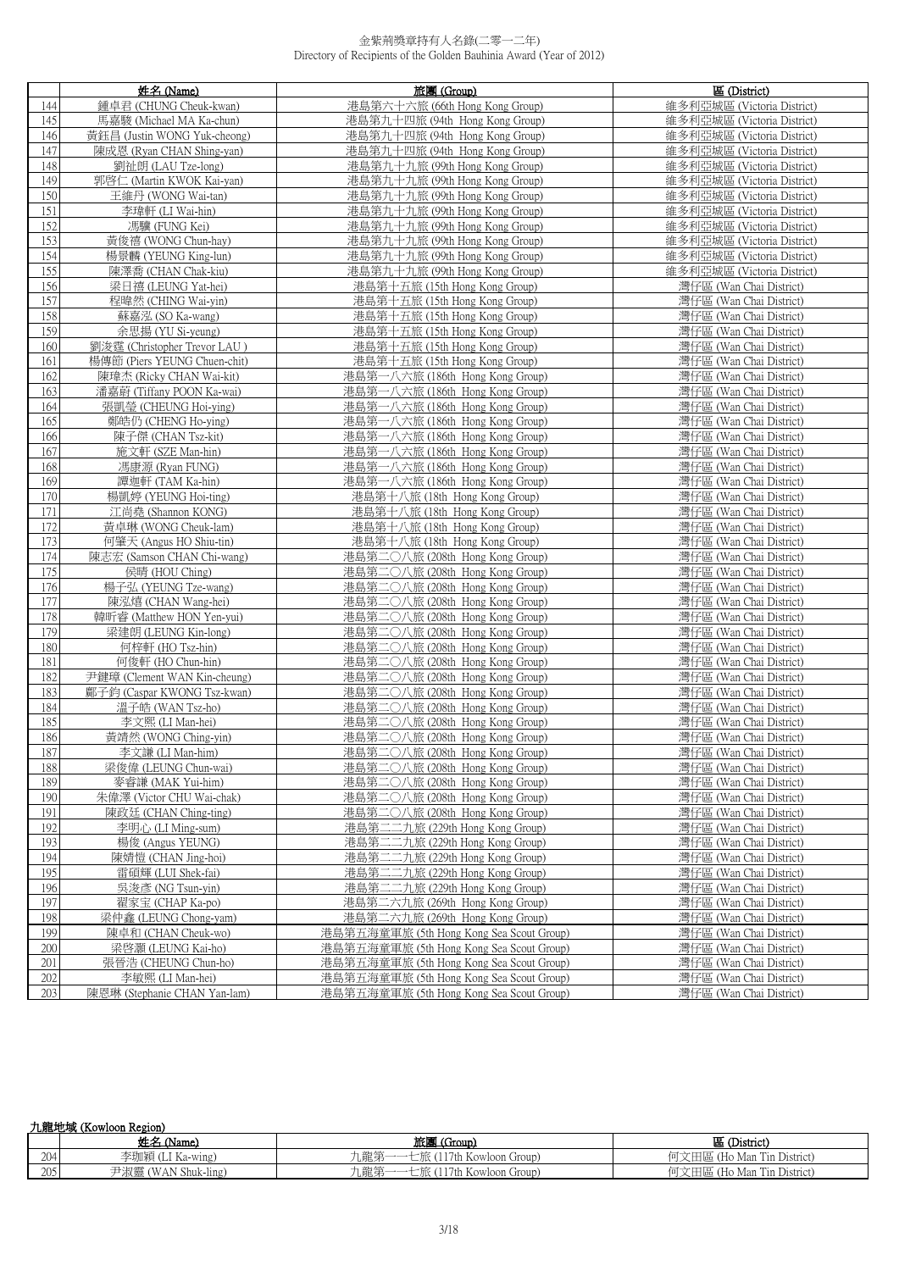|     | 姓名 (Name)                    | 旅團 (Group)                               | 區 (District)               |
|-----|------------------------------|------------------------------------------|----------------------------|
| 144 | 鍾卓君 (CHUNG Cheuk-kwan)       | 港島第六十六旅 (66th Hong Kong Group)           | 維多利亞城區 (Victoria District) |
| 145 | 馬嘉駿 (Michael MA Ka-chun)     | 港島第九十四旅 (94th Hong Kong Group)           | 維多利亞城區 (Victoria District) |
| 146 | 黃鈺昌 (Justin WONG Yuk-cheong) | 港島第九十四旅 (94th Hong Kong Group)           | 維多利亞城區 (Victoria District) |
| 147 | 陳成恩 (Ryan CHAN Shing-yan)    | 港島第九十四旅 (94th Hong Kong Group)           | 維多利亞城區 (Victoria District) |
| 148 | 劉祉朗 (LAU Tze-long)           | 港島第九十九旅 (99th Hong Kong Group)           | 維多利亞城區 (Victoria District) |
| 149 | 郭啓仁 (Martin KWOK Kai-yan)    | 港島第九十九旅 (99th Hong Kong Group)           | 維多利亞城區 (Victoria District) |
| 150 | 王維丹 (WONG Wai-tan)           | 港島第九十九旅 (99th Hong Kong Group)           | 維多利亞城區 (Victoria District) |
| 151 | 李瑋軒 (LI Wai-hin)             | 港島第九十九旅 (99th Hong Kong Group)           | 維多利亞城區 (Victoria District) |
| 152 | 馮驥 (FUNG Kei)                | 港島第九十九旅 (99th Hong Kong Group)           | 維多利亞城區 (Victoria District) |
| 153 | 黃俊禧 (WONG Chun-hay)          | 港島第九十九旅 (99th Hong Kong Group)           | 維多利亞城區 (Victoria District) |
| 154 | 楊景麟 (YEUNG King-lun)         | 港島第九十九旅 (99th Hong Kong Group)           | 維多利亞城區 (Victoria District) |
| 155 | 陳澤喬 (CHAN Chak-kiu)          | 港島第九十九旅 (99th Hong Kong Group)           | 維多利亞城區 (Victoria District) |
| 156 | 梁日禧 (LEUNG Yat-hei)          | 港島第十五旅 (15th Hong Kong Group)            | 灣仔區 (Wan Chai District)    |
| 157 | 程暐然 (CHING Wai-yin)          | 港島第十五旅 (15th Hong Kong Group)            | 灣仔區 (Wan Chai District)    |
| 158 | 蘇嘉泓 (SO Ka-wang)             | 港島第十五旅 (15th Hong Kong Group)            | 灣仔區 (Wan Chai District)    |
| 159 | 余思揚 (YU Si-yeung)            | 港島第十五旅 (15th Hong Kong Group)            | 灣仔區 (Wan Chai District)    |
| 160 | 劉浚霆 (Christopher Trevor LAU) | 港島第十五旅 (15th Hong Kong Group)            | 灣仔區 (Wan Chai District)    |
| 161 | 楊傳節 (Piers YEUNG Chuen-chit) | 港島第十五旅 (15th Hong Kong Group)            | 灣仔區 (Wan Chai District)    |
| 162 | 陳瑋杰 (Ricky CHAN Wai-kit)     | 港島第一八六旅 (186th Hong Kong Group)          | 灣仔區 (Wan Chai District)    |
| 163 | 潘嘉蔚 (Tiffany POON Ka-wai)    | 港島第一八六旅 (186th Hong Kong Group)          | 灣仔區 (Wan Chai District)    |
| 164 | 張凱瑩 (CHEUNG Hoi-ying)        | 港島第一八六旅 (186th Hong Kong Group)          | 灣仔區 (Wan Chai District)    |
| 165 | 鄭皓仍 (CHENG Ho-ying)          | 港島第一八六旅 (186th Hong Kong Group)          | 灣仔區 (Wan Chai District)    |
| 166 | 陳子傑 (CHAN Tsz-kit)           | 港島第一八六旅 (186th Hong Kong Group)          | 灣仔區 (Wan Chai District)    |
| 167 | 施文軒 (SZE Man-hin)            | 港島第一八六旅 (186th Hong Kong Group)          | 灣仔區 (Wan Chai District)    |
| 168 | 馮康源 (Ryan FUNG)              | 港島第一八六旅 (186th Hong Kong Group)          | 灣仔區 (Wan Chai District)    |
| 169 | 譚迦軒 (TAM Ka-hin)             | 港島第一八六旅 (186th Hong Kong Group)          | 灣仔區 (Wan Chai District)    |
| 170 | 楊凱婷 (YEUNG Hoi-ting)         | 港島第十八旅 (18th Hong Kong Group)            | 灣仔區 (Wan Chai District)    |
| 171 | 江尚堯 (Shannon KONG)           | 港島第十八旅 (18th Hong Kong Group)            | 灣仔區 (Wan Chai District)    |
| 172 | 黃卓琳 (WONG Cheuk-lam)         | 港島第十八旅 (18th Hong Kong Group)            | 灣仔區 (Wan Chai District)    |
| 173 | 何肇天 (Angus HO Shiu-tin)      | 港島第十八旅 (18th Hong Kong Group)            | 灣仔區 (Wan Chai District)    |
| 174 | 陳志宏 (Samson CHAN Chi-wang)   | 港島第二〇八旅 (208th Hong Kong Group)          | 灣仔區 (Wan Chai District)    |
| 175 | 侯晴 (HOU Ching)               | 港島第二〇八旅 (208th Hong Kong Group)          | 灣仔區 (Wan Chai District)    |
| 176 | 楊子弘 (YEUNG Tze-wang)         | 港島第二〇八旅 (208th Hong Kong Group)          | 灣仔區 (Wan Chai District)    |
| 177 | 陳泓熺 (CHAN Wang-hei)          | 港島第二〇八旅 (208th Hong Kong Group)          | 灣仔區 (Wan Chai District)    |
| 178 | 韓昕睿 (Matthew HON Yen-yui)    | 港島第二〇八旅 (208th Hong Kong Group)          | 灣仔區 (Wan Chai District)    |
| 179 | 梁建朗 (LEUNG Kin-long)         | 港島第二〇八旅 (208th Hong Kong Group)          | 灣仔區 (Wan Chai District)    |
| 180 | 何梓軒 (HO Tsz-hin)             | 港島第二〇八旅 (208th Hong Kong Group)          | 灣仔區 (Wan Chai District)    |
| 181 | 何俊軒 (HO Chun-hin)            | 港島第二〇八旅 (208th Hong Kong Group)          | 灣仔區 (Wan Chai District)    |
| 182 | 尹鍵璋 (Clement WAN Kin-cheung) | 港島第二〇八旅 (208th Hong Kong Group)          | 灣仔區 (Wan Chai District)    |
| 183 | 鄺子鈞 (Caspar KWONG Tsz-kwan)  | 港島第二〇八旅 (208th Hong Kong Group)          | 灣仔區 (Wan Chai District)    |
| 184 | 溫子皓 (WAN Tsz-ho)             | 港島第二〇八旅 (208th Hong Kong Group)          | 灣仔區 (Wan Chai District)    |
| 185 | 李文熙 (LI Man-hei)             | 港島第二〇八旅 (208th Hong Kong Group)          | 灣仔區 (Wan Chai District)    |
| 186 | 黃靖然 (WONG Ching-yin)         | 港島第二〇八旅 (208th Hong Kong Group)          | 灣仔區 (Wan Chai District)    |
| 187 | 李文謙 (LI Man-him)             | 港島第二〇八旅 (208th Hong Kong Group)          | 灣仔區 (Wan Chai District)    |
| 188 | 梁俊偉 (LEUNG Chun-wai)         | 港島第二〇八旅 (208th Hong Kong Group)          | 灣仔區 (Wan Chai District)    |
| 189 | 麥睿謙 (MAK Yui-him)            | 港島第二〇八旅 (208th Hong Kong Group)          | 灣仔區 (Wan Chai District)    |
| 190 | 朱偉澤 (Victor CHU Wai-chak)    | 港島第二〇八旅 (208th Hong Kong Group)          | 灣仔區 (Wan Chai District)    |
| 191 | 陳政廷 (CHAN Ching-ting)        | 港島第二〇八旅 (208th Hong Kong Group)          | 灣仔區 (Wan Chai District)    |
| 192 | 李明心 (LI Ming-sum)            | 港島第二二九旅 (229th Hong Kong Group)          | 灣仔區 (Wan Chai District)    |
| 193 | 楊俊 (Angus YEUNG)             | 港島第二二九旅 (229th Hong Kong Group)          | 灣仔區 (Wan Chai District)    |
| 194 | 陳婧愷 (CHAN Jing-hoi)          | 港島第二二九旅 (229th Hong Kong Group)          | 灣仔區 (Wan Chai District)    |
| 195 | 雷碩輝 (LUI Shek-fai)           | 港島第二二九旅 (229th Hong Kong Group)          | 灣仔區 (Wan Chai District)    |
| 196 | 吳浚彥 (NG Tsun-yin)            | 港島第二二九旅 (229th Hong Kong Group)          | 灣仔區 (Wan Chai District)    |
| 197 | 翟家宝 (CHAP Ka-po)             | 港島第二六九旅 (269th Hong Kong Group)          | 灣仔區 (Wan Chai District)    |
| 198 | 梁仲鑫 (LEUNG Chong-yam)        | 港島第二六九旅 (269th Hong Kong Group)          | 灣仔區 (Wan Chai District)    |
| 199 | 陳卓和 (CHAN Cheuk-wo)          | 港島第五海童軍旅 (5th Hong Kong Sea Scout Group) | 灣仔區 (Wan Chai District)    |
| 200 | 梁啓灝 (LEUNG Kai-ho)           | 港島第五海童軍旅 (5th Hong Kong Sea Scout Group) | 灣仔區 (Wan Chai District)    |
| 201 | 張晉浩 (CHEUNG Chun-ho)         | 港島第五海童軍旅 (5th Hong Kong Sea Scout Group) | 灣仔區 (Wan Chai District)    |
| 202 | 李敏熙 (LI Man-hei)             | 港島第五海童軍旅 (5th Hong Kong Sea Scout Group) | 灣仔區 (Wan Chai District)    |
| 203 | 陳恩琳 (Stephanie CHAN Yan-lam) | 港島第五海童軍旅 (5th Hong Kong Sea Scout Group) | 灣仔區 (Wan Chai District)    |

| 九龍地域 (Kowloon Region) |  |
|-----------------------|--|
|-----------------------|--|

|              | 社々<br>(Name.                          | 旅厚<br>(Group)<br><b>ALL DET</b>        | 叵<br>(District)                   |
|--------------|---------------------------------------|----------------------------------------|-----------------------------------|
| 204          | <b>251</b><br>-wing<br>一一岁儿不只<br>-na- | " 語 竿<br>KOWloon 1<br>. Group)<br>山阳已分 | Tin District<br>Man<br>ᆺ⊔ᄤ<br>110 |
| 205<br>ZUJ " | $\cdots$<br>Shuk-ling<br>AIN<br>小人云云  | ∟龍第<br>7th<br>ciroup).<br>. Kowloon    | Tin District<br>(Ho Man           |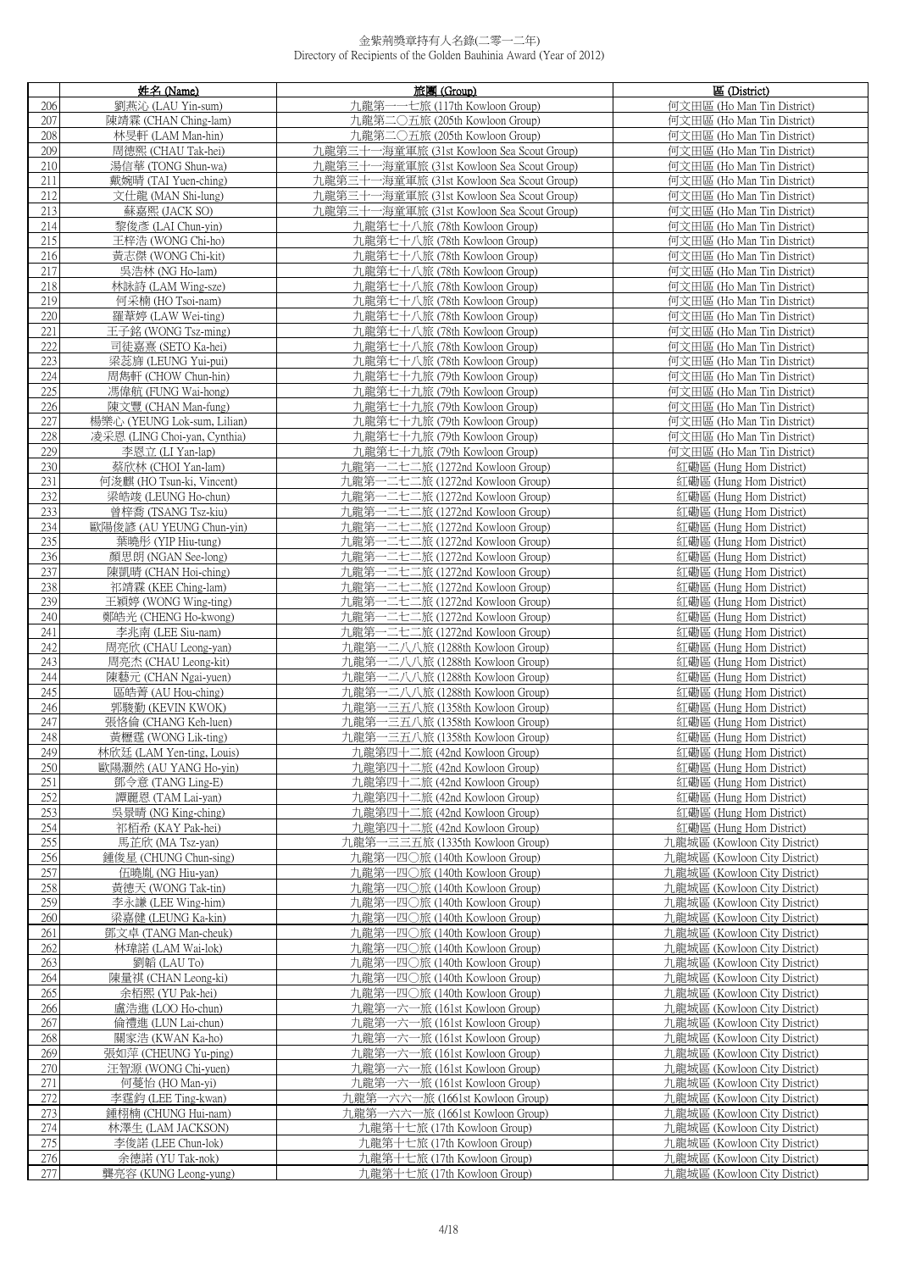|            | 姓名 (Name)                                       | 旅團 (Group)                                                         | 區 (District)                                                 |
|------------|-------------------------------------------------|--------------------------------------------------------------------|--------------------------------------------------------------|
| 206        | 劉燕沁 (LAU Yin-sum)                               | 九龍第·<br>-七旅 (117th Kowloon Group)                                  | 何文田區 (Ho Man Tin District)                                   |
| 207        | 陳靖霖 (CHAN Ching-lam)                            | 九龍第二〇五旅 (205th Kowloon Group)                                      | 何文田區 (Ho Man Tin District)                                   |
| 208        | 林旻軒 (LAM Man-hin)                               | 九龍第二〇五旅 (205th Kowloon Group)                                      | 何文田區 (Ho Man Tin District)                                   |
| 209        | 周德熙 (CHAU Tak-hei)                              | 九龍第三十一海童軍旅 (31st Kowloon Sea Scout Group)                          | 何文田區 (Ho Man Tin District)                                   |
| 210        | 湯信華 (TONG Shun-wa)                              | 九龍第三十一海童軍旅 (31st Kowloon Sea Scout Group)                          | 何文田區 (Ho Man Tin District)                                   |
| 211        | 戴婉晴 (TAI Yuen-ching)                            | 九龍第三十一海童軍旅 (31st Kowloon Sea Scout Group)                          | 何文田區 (Ho Man Tin District)                                   |
| 212        | 文仕龍 (MAN Shi-lung)                              | 九龍第三十一海童軍旅 (31st Kowloon Sea Scout Group)                          | 何文田區 (Ho Man Tin District)                                   |
| 213        | 蘇嘉熙 (JACK SO)                                   | 九龍第三十一海童軍旅 (31st Kowloon Sea Scout Group)                          | 何文田區 (Ho Man Tin District)                                   |
| 214        | 黎俊彥 (LAI Chun-yin)                              | 九龍第七十八旅 (78th Kowloon Group)                                       | 何文田區 (Ho Man Tin District)                                   |
| 215        | 王梓浩 (WONG Chi-ho)                               | 九龍第七十八旅 (78th Kowloon Group)                                       | 何文田區 (Ho Man Tin District)                                   |
| 216        | 黃志傑 (WONG Chi-kit)                              | 九龍第七十八旅 (78th Kowloon Group)                                       | 何文田區 (Ho Man Tin District)                                   |
| 217        | 吳浩林 (NG Ho-lam)                                 | 九龍第七十八旅 (78th Kowloon Group)                                       | 何文田區 (Ho Man Tin District)                                   |
| 218<br>219 | 林詠詩 (LAM Wing-sze)<br>何采楠 (HO Tsoi-nam)         | 九龍第七十八旅 (78th Kowloon Group)<br>九龍第七十八旅 (78th Kowloon Group)       | 何文田區 (Ho Man Tin District)<br>何文田區 (Ho Man Tin District)     |
| 220        | 羅葦婷 (LAW Wei-ting)                              | 九龍第七十八旅 (78th Kowloon Group)                                       | 何文田區 (Ho Man Tin District)                                   |
| 221        | 王子銘 (WONG Tsz-ming)                             | 九龍第七十八旅 (78th Kowloon Group)                                       | 何文田區 (Ho Man Tin District)                                   |
| 222        | 司徒嘉熹 (SETO Ka-hei)                              | 九龍第七十八旅 (78th Kowloon Group)                                       | 何文田區 (Ho Man Tin District)                                   |
| 223        | 梁蕊旆 (LEUNG Yui-pui)                             | 九龍第七十八旅 (78th Kowloon Group)                                       | 何文田區 (Ho Man Tin District)                                   |
| 224        | 周雋軒 (CHOW Chun-hin)                             | 九龍第七十九旅 (79th Kowloon Group)                                       | 何文田區 (Ho Man Tin District)                                   |
| 225        | 馮偉航 (FUNG Wai-hong)                             | 九龍第七十九旅 (79th Kowloon Group)                                       | 何文田區 (Ho Man Tin District)                                   |
| 226        | 陳文豐 (CHAN Man-fung)                             | 九龍第七十九旅 (79th Kowloon Group)                                       | 何文田區 (Ho Man Tin District)                                   |
| 227        | 楊樂心 (YEUNG Lok-sum, Lilian)                     | 九龍第七十九旅 (79th Kowloon Group)                                       | 何文田區 (Ho Man Tin District)                                   |
| 228        | 凌采恩 (LING Choi-yan, Cynthia)                    | 九龍第七十九旅 (79th Kowloon Group)                                       | 何文田區 (Ho Man Tin District)                                   |
| 229        | 李恩立 (LI Yan-lap)                                | 九龍第七十九旅 (79th Kowloon Group)                                       | 何文田區 (Ho Man Tin District)                                   |
| 230        | 蔡欣林 (CHOI Yan-lam)                              | 九龍第一二七二旅 (1272nd Kowloon Group)                                    | 紅磡區 (Hung Hom District)                                      |
| 231        | 何浚麒 (HO Tsun-ki, Vincent)                       | 九龍第一二七二旅 (1272nd Kowloon Group)                                    | 紅磡區 (Hung Hom District)                                      |
| 232        | 梁皓竣 (LEUNG Ho-chun)                             | 九龍第一二七二旅 (1272nd Kowloon Group)                                    | 紅磡區 (Hung Hom District)                                      |
| 233<br>234 | 曾梓喬 (TSANG Tsz-kiu)<br>歐陽俊諺 (AU YEUNG Chun-yin) | 九龍第一二七二旅 (1272nd Kowloon Group)<br>九龍第一二七二旅 (1272nd Kowloon Group) | 紅磡區 (Hung Hom District)<br>紅磡區 (Hung Hom District)           |
| 235        | 葉曉彤 (YIP Hiu-tung)                              | 九龍第一二七二旅 (1272nd Kowloon Group)                                    | 紅磡區 (Hung Hom District)                                      |
| 236        | 顏思朗 (NGAN See-long)                             | 九龍第一二七二旅 (1272nd Kowloon Group)                                    | 紅磡區 (Hung Hom District)                                      |
| 237        | 陳凱晴 (CHAN Hoi-ching)                            | 九龍第一二七二旅 (1272nd Kowloon Group)                                    | 紅磡區 (Hung Hom District)                                      |
| 238        | 祁靖霖 (KEE Ching-lam)                             | 九龍第一二七二旅 (1272nd Kowloon Group)                                    | 紅磡區 (Hung Hom District)                                      |
| 239        | 王穎婷 (WONG Wing-ting)                            | 九龍第一二七二旅 (1272nd Kowloon Group)                                    | 紅磡區 (Hung Hom District)                                      |
| 240        | 鄭皓光 (CHENG Ho-kwong)                            | 九龍第一二七二旅 (1272nd Kowloon Group)                                    | 紅磡區 (Hung Hom District)                                      |
| 241<br>242 | 李兆南 (LEE Siu-nam)                               | 九龍第一二七二旅 (1272nd Kowloon Group)                                    | 紅磡區 (Hung Hom District)                                      |
| 243        | 周亮欣 (CHAU Leong-yan)<br>周亮杰 (CHAU Leong-kit)    | 九龍第一二八八旅 (1288th Kowloon Group)<br>九龍第一二八八旅 (1288th Kowloon Group) | 紅磡區 (Hung Hom District)<br>紅磡區 (Hung Hom District)           |
| 244        | 陳藝元 (CHAN Ngai-yuen)                            | 九龍第一二八八旅 (1288th Kowloon Group)                                    | 紅磡區 (Hung Hom District)                                      |
| 245        | 區皓菁 (AU Hou-ching)                              | 九龍第一二八八旅 (1288th Kowloon Group)                                    | 紅磡區 (Hung Hom District)                                      |
| 246        | 郭駿勤 (KEVIN KWOK)                                | 九龍第一三五八旅 (1358th Kowloon Group)                                    | 紅磡區 (Hung Hom District)                                      |
| 247        | 張恪倫 (CHANG Keh-luen)                            | 九龍第一三五八旅 (1358th Kowloon Group)                                    | 紅磡區 (Hung Hom District)                                      |
| 248        | 黃櫪霆 (WONG Lik-ting)                             | 九龍第一三五八旅 (1358th Kowloon Group)                                    | 紅磡區 (Hung Hom District)                                      |
| 249        | 林欣廷 (LAM Yen-ting, Louis)                       | 九龍第四十二旅 (42nd Kowloon Group)                                       | 紅磡區 (Hung Hom District)                                      |
| 250<br>251 | 歐陽灝然 (AU YANG Ho-yin)                           | 九龍第四十二旅 (42nd Kowloon Group)                                       | 紅磡區 (Hung Hom District)                                      |
| 252        | 鄧令意 (TANG Ling-E)<br>譚麗恩 (TAM Lai-yan)          | 九龍第四十二旅 (42nd Kowloon Group)<br>九龍第四十二旅 (42nd Kowloon Group)       | 紅磡區 (Hung Hom District)<br>紅磡區 (Hung Hom District)           |
| 253        | 吳景晴 (NG King-ching)                             | 九龍第四十二旅 (42nd Kowloon Group)                                       | 紅磡區 (Hung Hom District)                                      |
| 254        | 祁栢希 (KAY Pak-hei)                               | 九龍第四十二旅 (42nd Kowloon Group)                                       | 紅磡區 (Hung Hom District)                                      |
| 255        | 馬芷欣 (MA Tsz-yan)                                | 九龍第一三三五旅 (1335th Kowloon Group)                                    | 九龍城區 (Kowloon City District)                                 |
| 256        | 鍾俊星 (CHUNG Chun-sing)                           | 九龍第一四〇旅 (140th Kowloon Group)                                      | 九龍城區 (Kowloon City District)                                 |
| 257        | 伍曉胤 (NG Hiu-yan)                                | 九龍第一四〇旅 (140th Kowloon Group)                                      | 九龍城區 (Kowloon City District)                                 |
| 258        | 黃德天 (WONG Tak-tin)                              | 九龍第一四〇旅 (140th Kowloon Group)                                      | 九龍城區 (Kowloon City District)                                 |
| 259        | 李永謙 (LEE Wing-him)<br>梁嘉健 (LEUNG Ka-kin)        | 九龍第一四〇旅 (140th Kowloon Group)<br>九龍第一四〇旅 (140th Kowloon Group)     | 九龍城區 (Kowloon City District)                                 |
| 260<br>261 | 鄧文卓 (TANG Man-cheuk)                            | 九龍第一四〇旅 (140th Kowloon Group)                                      | 九龍城區 (Kowloon City District)<br>九龍城區 (Kowloon City District) |
| 262        | 林瑋諾 (LAM Wai-lok)                               | 九龍第一四〇旅 (140th Kowloon Group)                                      | 九龍城區 (Kowloon City District)                                 |
| 263        | 劉韜 (LAU To)                                     | 九龍第一四〇旅 (140th Kowloon Group)                                      | 九龍城區 (Kowloon City District)                                 |
| 264        | 陳量祺 (CHAN Leong-ki)                             | 九龍第一四〇旅 (140th Kowloon Group)                                      | 九龍城區 (Kowloon City District)                                 |
| 265        | 余栢熙 (YU Pak-hei)                                | 九龍第一四〇旅 (140th Kowloon Group)                                      | 九龍城區 (Kowloon City District)                                 |
| 266        | 盧浩進 (LOO Ho-chun)                               | 九龍第一六一旅 (161st Kowloon Group)                                      | 九龍城區 (Kowloon City District)                                 |
| 267        | 倫禮進 (LUN Lai-chun)                              | 九龍第一六一旅 (161st Kowloon Group)                                      | 九龍城區 (Kowloon City District)                                 |
| 268        | 關家浩 (KWAN Ka-ho)                                | 九龍第一六一旅 (161st Kowloon Group)                                      | 九龍城區 (Kowloon City District)                                 |
| 269<br>270 | 張如萍 (CHEUNG Yu-ping)<br>汪智源 (WONG Chi-yuen)     | 九龍第一六一旅 (161st Kowloon Group)<br>九龍第一六一旅 (161st Kowloon Group)     | 九龍城區 (Kowloon City District)<br>九龍城區 (Kowloon City District) |
| 271        | 何蔓怡 (HO Man-yi)                                 | 九龍第一六一旅 (161st Kowloon Group)                                      | 九龍城區 (Kowloon City District)                                 |
| 272        | 李霆鈞 (LEE Ting-kwan)                             | 九龍第一六六一旅 (1661st Kowloon Group)                                    | 九龍城區 (Kowloon City District)                                 |
| 273        | 鍾栩楠 (CHUNG Hui-nam)                             | 九龍第一六六一旅 (1661st Kowloon Group)                                    | 九龍城區 (Kowloon City District)                                 |
| 274        | 林澤生 (LAM JACKSON)                               | 九龍第十七旅 (17th Kowloon Group)                                        | 九龍城區 (Kowloon City District)                                 |
| 275        | 李俊諾 (LEE Chun-lok)                              | 九龍第十七旅 (17th Kowloon Group)                                        | 九龍城區 (Kowloon City District)                                 |
| 276        | 余德諾 (YU Tak-nok)                                | 九龍第十七旅 (17th Kowloon Group)                                        | 九龍城區 (Kowloon City District)                                 |
| 277        | 龔亮容 (KUNG Leong-yung)                           | 九龍第十七旅 (17th Kowloon Group)                                        | 九龍城區 (Kowloon City District)                                 |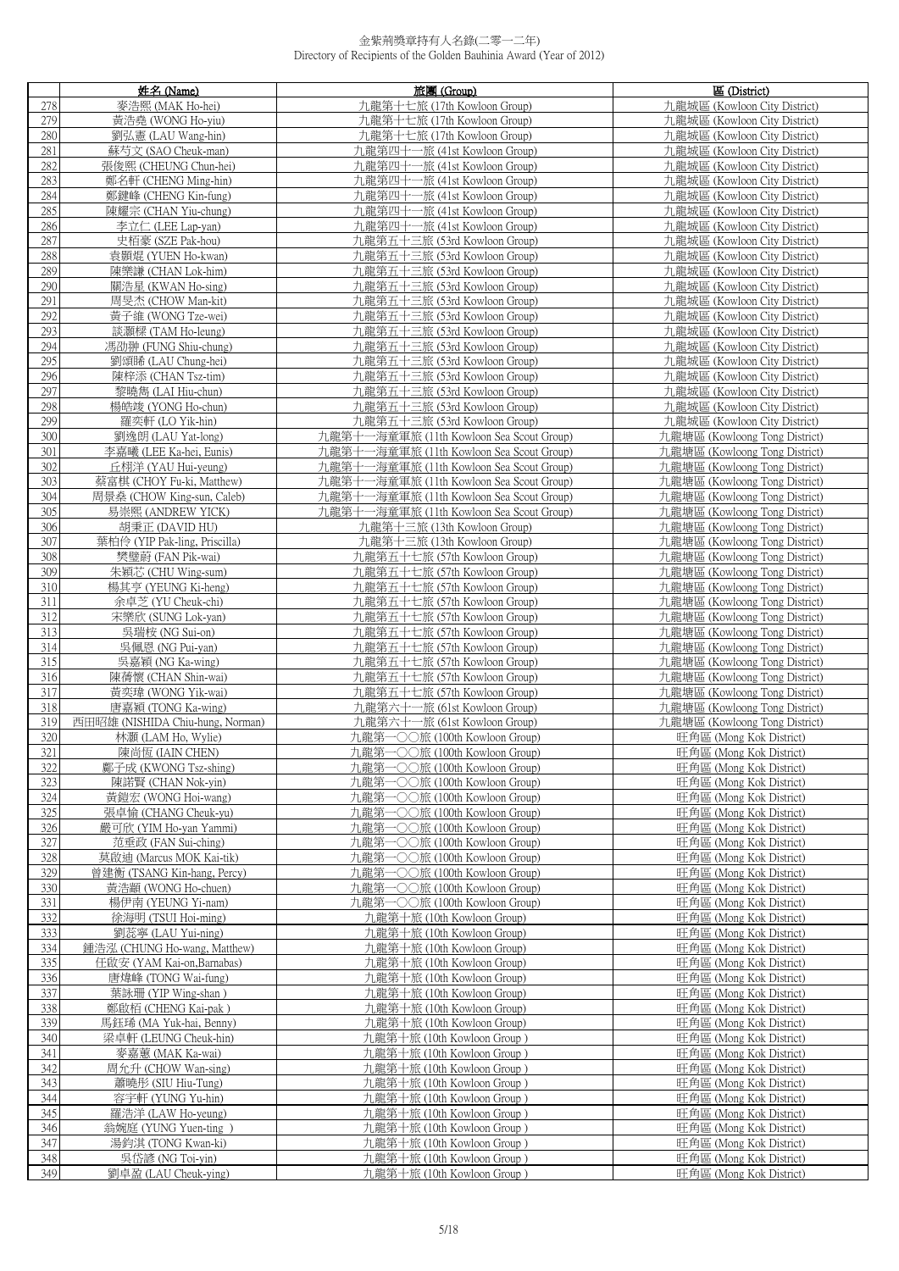|            | 姓名 (Name)                                 | 旅團 (Group)                                                     | 區 (District)                                                   |
|------------|-------------------------------------------|----------------------------------------------------------------|----------------------------------------------------------------|
| 278        | 麥浩熙 (MAK Ho-hei)                          | 九龍第十七旅 (17th Kowloon Group)                                    | 九龍城區 (Kowloon City District)                                   |
| 279        | 黃浩堯 (WONG Ho-yiu)                         | 九龍第十七旅 (17th Kowloon Group)                                    | 九龍城區 (Kowloon City District)                                   |
| 280        | 劉弘憲 (LAU Wang-hin)                        | 九龍第十七旅 (17th Kowloon Group)                                    | 九龍城區 (Kowloon City District)                                   |
| 281        | 蘇芍文 (SAO Cheuk-man)                       | 九龍第四十一旅 (41st Kowloon Group)                                   | 九龍城區 (Kowloon City District)                                   |
| 282        | 張俊熙 (CHEUNG Chun-hei)                     | 九龍第四十一旅 (41st Kowloon Group)                                   | 九龍城區 (Kowloon City District)                                   |
| 283        | 鄭名軒 (CHENG Ming-hin)                      | 九龍第四十一旅 (41st Kowloon Group)                                   | 九龍城區 (Kowloon City District)                                   |
| 284        | 鄭鍵峰 (CHENG Kin-fung)                      | 九龍第四十一旅 (41st Kowloon Group)                                   | 九龍城區 (Kowloon City District)                                   |
| 285        | 陳耀宗 (CHAN Yiu-chung)                      | 九龍第四十一旅 (41st Kowloon Group)                                   | 九龍城區 (Kowloon City District)                                   |
| 286        | 李立仁 (LEE Lap-yan)                         | 九龍第四十一旅 (41st Kowloon Group)                                   | 九龍城區 (Kowloon City District)                                   |
| 287        | 史栢豪 (SZE Pak-hou)                         | 九龍第五十三旅 (53rd Kowloon Group)                                   | 九龍城區 (Kowloon City District)                                   |
| 288        | 袁顥焜 (YUEN Ho-kwan)                        | 九龍第五十三旅 (53rd Kowloon Group)                                   | 九龍城區 (Kowloon City District)                                   |
| 289        | 陳樂謙 (CHAN Lok-him)                        | 九龍第五十三旅 (53rd Kowloon Group)                                   | 九龍城區 (Kowloon City District)                                   |
| 290        | 關浩星 (KWAN Ho-sing)                        | 九龍第五十三旅 (53rd Kowloon Group)                                   | 九龍城區 (Kowloon City District)                                   |
| 291<br>292 | 周旻杰 (CHOW Man-kit)                        | 九龍第五十三旅 (53rd Kowloon Group)                                   | 九龍城區 (Kowloon City District)                                   |
| 293        | 黃子維 (WONG Tze-wei)<br>談灝樑 (TAM Ho-leung)  | 九龍第五十三旅 (53rd Kowloon Group)<br>九龍第五十三旅 (53rd Kowloon Group)   | 九龍城區 (Kowloon City District)<br>九龍城區 (Kowloon City District)   |
| 294        | 馮劭翀 (FUNG Shiu-chung)                     | 九龍第五十三旅 (53rd Kowloon Group)                                   | 九龍城區 (Kowloon City District)                                   |
| 295        | 劉頌睎 (LAU Chung-hei)                       | 九龍第五十三旅 (53rd Kowloon Group)                                   | 九龍城區 (Kowloon City District)                                   |
| 296        | 陳梓添 (CHAN Tsz-tim)                        | 九龍第五十三旅 (53rd Kowloon Group)                                   | 九龍城區 (Kowloon City District)                                   |
| 297        | 黎曉雋 (LAI Hiu-chun)                        | 九龍第五十三旅 (53rd Kowloon Group)                                   | 九龍城區 (Kowloon City District)                                   |
| 298        | 楊皓竣 (YONG Ho-chun)                        | 九龍第五十三旅 (53rd Kowloon Group)                                   | 九龍城區 (Kowloon City District)                                   |
| 299        | 羅奕軒 (LO Yik-hin)                          | 九龍第五十三旅 (53rd Kowloon Group)                                   | 九龍城區 (Kowloon City District)                                   |
| 300        | 劉逸朗 (LAU Yat-long)                        | 九龍第十一海童軍旅 (11th Kowloon Sea Scout Group)                       | 九龍塘區 (Kowloong Tong District)                                  |
| 301        | 李嘉曦 (LEE Ka-hei, Eunis)                   | 九龍第十一海童軍旅 (11th Kowloon Sea Scout Group)                       | 九龍塘區 (Kowloong Tong District)                                  |
| 302        | 丘栩洋 (YAU Hui-yeung)                       | 九龍第十一海童軍旅 (11th Kowloon Sea Scout Group)                       | 九龍塘區 (Kowloong Tong District)                                  |
| 303        | 蔡富棋 (CHOY Fu-ki, Matthew)                 | 九龍第十一海童軍旅 (11th Kowloon Sea Scout Group)                       | 九龍塘區 (Kowloong Tong District)                                  |
| 304        | 周景燊 (CHOW King-sun, Caleb)                | 九龍第十一海童軍旅 (11th Kowloon Sea Scout Group)                       | 九龍塘區 (Kowloong Tong District)                                  |
| 305        | 易崇熙 (ANDREW YICK)                         | 九龍第十一海童軍旅 (11th Kowloon Sea Scout Group)                       | 九龍塘區 (Kowloong Tong District)                                  |
| 306        | 胡秉正 (DAVID HU)                            | 九龍第十三旅 (13th Kowloon Group)                                    | 九龍塘區 (Kowloong Tong District)                                  |
| 307        | 葉柏伶 (YIP Pak-ling, Priscilla)             | 九龍第十三旅 (13th Kowloon Group)                                    | 九龍塘區 (Kowloong Tong District)                                  |
| 308        | 樊璧蔚 (FAN Pik-wai)                         | 九龍第五十七旅 (57th Kowloon Group)                                   | 九龍塘區 (Kowloong Tong District)                                  |
| 309        | 朱穎芯 (CHU Wing-sum)                        | 九龍第五十七旅 (57th Kowloon Group)                                   | 九龍塘區 (Kowloong Tong District)                                  |
| 310        | 楊其亨 (YEUNG Ki-heng)                       | 九龍第五十七旅 (57th Kowloon Group)                                   | 九龍塘區 (Kowloong Tong District)                                  |
| 311        | 余卓芝 (YU Cheuk-chi)                        | 九龍第五十七旅 (57th Kowloon Group)                                   | 九龍塘區 (Kowloong Tong District)                                  |
| 312        | 宋樂欣 (SUNG Lok-yan)                        | 九龍第五十七旅 (57th Kowloon Group)                                   | 九龍塘區 (Kowloong Tong District)                                  |
| 313<br>314 | 吳瑞桉 (NG Sui-on)<br>吳佩恩 (NG Pui-yan)       | 九龍第五十七旅 (57th Kowloon Group)<br>九龍第五十七旅 (57th Kowloon Group)   | 九龍塘區 (Kowloong Tong District)<br>九龍塘區 (Kowloong Tong District) |
| 315        | 吳嘉穎 (NG Ka-wing)                          | 九龍第五十七旅 (57th Kowloon Group)                                   | 九龍塘區 (Kowloong Tong District)                                  |
| 316        | 陳蒨懷 (CHAN Shin-wai)                       | 九龍第五十七旅 (57th Kowloon Group)                                   | 九龍塘區 (Kowloong Tong District)                                  |
| 317        | 黃奕瑋 (WONG Yik-wai)                        | 九龍第五十七旅 (57th Kowloon Group)                                   | 九龍塘區 (Kowloong Tong District)                                  |
| 318        | 唐嘉穎 (TONG Ka-wing)                        | 九龍第六十一旅 (61st Kowloon Group)                                   | 九龍塘區 (Kowloong Tong District)                                  |
| 319        | 西田昭雄 (NISHIDA Chiu-hung, Norman)          | 九龍第六十一旅 (61st Kowloon Group)                                   | 九龍塘區 (Kowloong Tong District)                                  |
| 320        | 林灝 (LAM Ho, Wylie)                        | 九龍第一〇〇旅 (100th Kowloon Group)                                  | 旺角區 (Mong Kok District)                                        |
| 321        | 陳尚恆 (IAIN CHEN)                           | 九龍第一〇〇旅 (100th Kowloon Group)                                  | 旺角區 (Mong Kok District)                                        |
| 322        | 鄺子成 (KWONG Tsz-shing)                     | 九龍第一〇〇旅 (100th Kowloon Group)                                  | 旺角區 (Mong Kok District)                                        |
| 323        | 陳諾賢 (CHAN Nok-yin)                        | 九龍第一〇〇旅 (100th Kowloon Group)                                  | 旺角區 (Mong Kok District)                                        |
| 324        | 黃鎧宏 (WONG Hoi-wang)                       | 九龍第一〇〇旅 (100th Kowloon Group)                                  | 旺角區 (Mong Kok District)                                        |
| 325        | 張卓愉 (CHANG Cheuk-yu)                      | 九龍第一〇〇旅 (100th Kowloon Group)                                  | 旺角區 (Mong Kok District)                                        |
| 326        | 嚴可欣 (YIM Ho-yan Yammi)                    | 九龍第一〇〇旅 (100th Kowloon Group)                                  | 旺角區 (Mong Kok District)                                        |
| 327        | 范垂政 (FAN Sui-ching)                       | 九龍第一〇〇旅 (100th Kowloon Group)                                  | 旺角區 (Mong Kok District)                                        |
| 328        | 莫啟迪 (Marcus MOK Kai-tik)                  | 九龍第一〇〇旅 (100th Kowloon Group)                                  | 旺角區 (Mong Kok District)                                        |
| 329        | 曾建衡 (TSANG Kin-hang, Percy)               | 九龍第一〇〇旅 (100th Kowloon Group)                                  | 旺角區 (Mong Kok District)                                        |
| 330<br>331 | 黃浩顓 (WONG Ho-chuen)<br>楊伊南 (YEUNG Yi-nam) | 九龍第一〇〇旅 (100th Kowloon Group)<br>九龍第一〇〇旅 (100th Kowloon Group) | 旺角區 (Mong Kok District)<br>旺角區 (Mong Kok District)             |
| 332        | 徐海明 (TSUI Hoi-ming)                       | 九龍第十旅 (10th Kowloon Group)                                     | 旺角區 (Mong Kok District)                                        |
| 333        | 劉蕊寧 (LAU Yui-ning)                        | 九龍第十旅 (10th Kowloon Group)                                     | 旺角區 (Mong Kok District)                                        |
| 334        | 鍾浩泓 (CHUNG Ho-wang, Matthew)              | 九龍第十旅 (10th Kowloon Group)                                     | 旺角區 (Mong Kok District)                                        |
| 335        | 任啟安 (YAM Kai-on, Barnabas)                | 九龍第十旅 (10th Kowloon Group)                                     | 旺角區 (Mong Kok District)                                        |
| 336        | 唐煒峰 (TONG Wai-fung)                       | 九龍第十旅 (10th Kowloon Group)                                     | 旺角區 (Mong Kok District)                                        |
| 337        | 葉詠珊 (YIP Wing-shan)                       | 九龍第十旅 (10th Kowloon Group)                                     | 旺角區 (Mong Kok District)                                        |
| 338        | 鄭啟栢 (CHENG Kai-pak)                       | 九龍第十旅 (10th Kowloon Group)                                     | 旺角區 (Mong Kok District)                                        |
| 339        | 馬鈺琋 (MA Yuk-hai, Benny)                   | 九龍第十旅 (10th Kowloon Group)                                     | 旺角區 (Mong Kok District)                                        |
| 340        | 梁卓軒 (LEUNG Cheuk-hin)                     | 九龍第十旅 (10th Kowloon Group)                                     | 旺角區 (Mong Kok District)                                        |
| 341        | 麥嘉蕙 (MAK Ka-wai)                          | 九龍第十旅 (10th Kowloon Group)                                     | 旺角區 (Mong Kok District)                                        |
| 342        | 周允升 (CHOW Wan-sing)                       | 九龍第十旅 (10th Kowloon Group)                                     | 旺角區 (Mong Kok District)                                        |
| 343        | 蕭曉彤 (SIU Hiu-Tung)                        | 九龍第十旅 (10th Kowloon Group)                                     | 旺角區 (Mong Kok District)                                        |
| 344        | 容字軒 (YUNG Yu-hin)                         | 九龍第十旅 (10th Kowloon Group)                                     | 旺角區 (Mong Kok District)                                        |
| 345        | 羅浩洋 (LAW Ho-yeung)                        | 九龍第十旅 (10th Kowloon Group)                                     | 旺角區 (Mong Kok District)                                        |
| 346<br>347 | 翁婉庭 (YUNG Yuen-ting )                     | 九龍第十旅 (10th Kowloon Group)<br>九龍第十旅 (10th Kowloon Group)       | 旺角區 (Mong Kok District)                                        |
| 348        | 湯鈞淇 (TONG Kwan-ki)<br>吳岱諺 (NG Toi-yin)    | 九龍第十旅 (10th Kowloon Group)                                     | 旺角區 (Mong Kok District)<br>旺角區 (Mong Kok District)             |
| 349        | 劉卓盈 (LAU Cheuk-ying)                      | 九龍第十旅 (10th Kowloon Group)                                     | 旺角區 (Mong Kok District)                                        |
|            |                                           |                                                                |                                                                |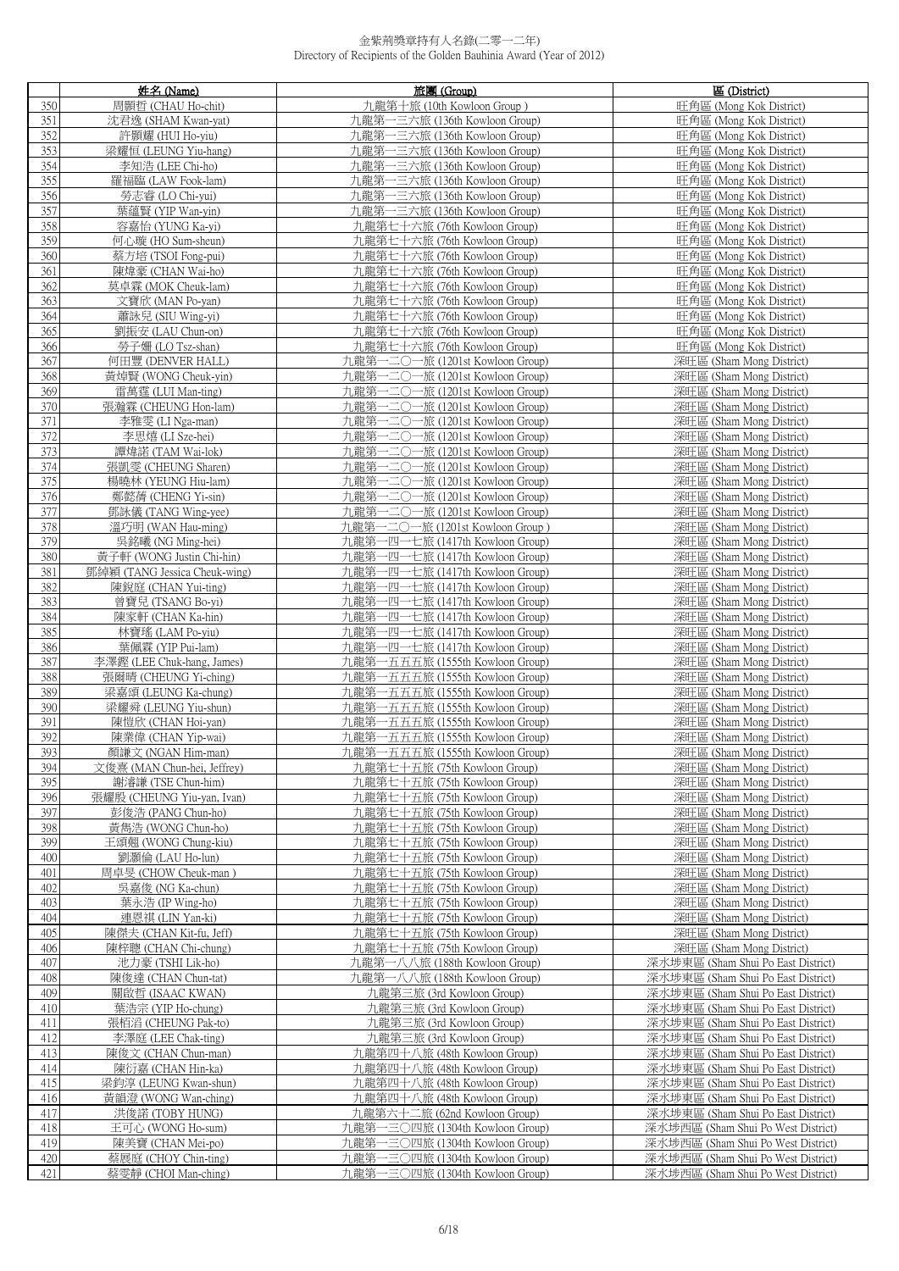|            | 姓名 (Name)                                           | 旅團 (Group)                                                          | 區 (District)                                                             |
|------------|-----------------------------------------------------|---------------------------------------------------------------------|--------------------------------------------------------------------------|
| 350        | 周顥哲 (CHAU Ho-chit)                                  | 九龍第十旅 (10th Kowloon Group)                                          | 旺角區 (Mong Kok District)                                                  |
| 351        | 沈君逸 (SHAM Kwan-yat)                                 | 九龍第一三六旅 (136th Kowloon Group)                                       | 旺角區 (Mong Kok District)                                                  |
| 352        | 許顥耀 (HUI Ho-yiu)                                    | 九龍第一三六旅 (136th Kowloon Group)                                       | 旺角區 (Mong Kok District)                                                  |
| 353        | 梁耀恒 (LEUNG Yiu-hang)                                | 九龍第一三六旅 (136th Kowloon Group)                                       | 旺角區 (Mong Kok District)                                                  |
| 354<br>355 | 李知浩 (LEE Chi-ho)<br>羅福臨 (LAW Fook-lam)              | 九龍第一三六旅 (136th Kowloon Group)<br>九龍第一三六旅 (136th Kowloon Group)      | 旺角區 (Mong Kok District)<br>旺角區 (Mong Kok District)                       |
| 356        | 勞志睿 (LO Chi-yui)                                    | 九龍第一三六旅 (136th Kowloon Group)                                       | 旺角區 (Mong Kok District)                                                  |
| 357        | 葉蘊賢 (YIP Wan-yin)                                   | 九龍第一三六旅 (136th Kowloon Group)                                       | 旺角區 (Mong Kok District)                                                  |
| 358        | 容嘉怡 (YUNG Ka-yi)                                    | 九龍第七十六旅 (76th Kowloon Group)                                        | 旺角區 (Mong Kok District)                                                  |
| 359        | 何心璇 (HO Sum-sheun)                                  | 九龍第七十六旅 (76th Kowloon Group)                                        | 旺角區 (Mong Kok District)                                                  |
| 360        | 蔡方培 (TSOI Fong-pui)                                 | 九龍第七十六旅 (76th Kowloon Group)                                        | 旺角區 (Mong Kok District)                                                  |
| 361        | 陳煒豪 (CHAN Wai-ho)                                   | 九龍第七十六旅 (76th Kowloon Group)                                        | 旺角區 (Mong Kok District)                                                  |
| 362        | 莫卓霖 (MOK Cheuk-lam)                                 | 九龍第七十六旅 (76th Kowloon Group)                                        | 旺角區 (Mong Kok District)                                                  |
| 363        | 文寶欣 (MAN Po-yan)                                    | 九龍第七十六旅 (76th Kowloon Group)                                        | 旺角區 (Mong Kok District)                                                  |
| 364        | 蕭詠兒 (SIU Wing-yi)                                   | 九龍第七十六旅 (76th Kowloon Group)                                        | 旺角區 (Mong Kok District)                                                  |
| 365        | 劉振安 (LAU Chun-on)                                   | 九龍第七十六旅 (76th Kowloon Group)                                        | 旺角區 (Mong Kok District)                                                  |
| 366<br>367 | 勞子姍 (LO Tsz-shan)<br>何田豐 (DENVER HALL)              | 九龍第七十六旅 (76th Kowloon Group)<br>九龍第一二〇一旅 (1201st Kowloon Group)     | 旺角區 (Mong Kok District)<br>深旺區 (Sham Mong District)                      |
| 368        | 黃焯賢 (WONG Cheuk-yin)                                | 九龍第一二〇一旅 (1201st Kowloon Group)                                     | 深旺區 (Sham Mong District)                                                 |
| 369        | 雷萬霆 (LUI Man-ting)                                  | 九龍第一二〇一旅 (1201st Kowloon Group)                                     | 深旺區 (Sham Mong District)                                                 |
| 370        | 張瀚霖 (CHEUNG Hon-lam)                                | 九龍第一二〇一旅 (1201st Kowloon Group)                                     | 深旺區 (Sham Mong District)                                                 |
| 371        | 李雅雯 (LI Nga-man)                                    | 九龍第一二〇一旅 (1201st Kowloon Group)                                     | 深旺區 (Sham Mong District)                                                 |
| 372        | 李思熺 (LI Sze-hei)                                    | 九龍第一二〇一旅 (1201st Kowloon Group)                                     | 深旺區 (Sham Mong District)                                                 |
| 373        | 譚煒諾 (TAM Wai-lok)                                   | 九龍第一二〇一旅 (1201st Kowloon Group)                                     | 深旺區 (Sham Mong District)                                                 |
| 374        | 張凱雯 (CHEUNG Sharen)                                 | - 二〇一旅 (1201st Kowloon Group)<br>九龍第                                | 深旺區 (Sham Mong District)                                                 |
| 375        | 楊曉林 (YEUNG Hiu-lam)                                 | 九龍第一二〇一旅 (1201st Kowloon Group)                                     | 深旺區 (Sham Mong District)                                                 |
| 376        | 鄭懿蒨 (CHENG Yi-sin)                                  | 九龍第一二〇一旅 (1201st Kowloon Group)                                     | 深旺區 (Sham Mong District)                                                 |
| 377<br>378 | 鄧詠儀 (TANG Wing-yee)                                 | 九龍第一二〇一旅 (1201st Kowloon Group)                                     | 深旺區 (Sham Mong District)                                                 |
| 379        | 溫巧明 (WAN Hau-ming)<br>吳銘曦 (NG Ming-hei)             | 九龍第一二〇一旅 (1201st Kowloon Group )<br>九龍第一四一七旅 (1417th Kowloon Group) | 深旺區 (Sham Mong District)<br>深旺區 (Sham Mong District)                     |
| 380        | 黃子軒 (WONG Justin Chi-hin)                           | 九龍第一四一七旅 (1417th Kowloon Group)                                     | 深旺區 (Sham Mong District)                                                 |
| 381        | 鄧綽穎 (TANG Jessica Cheuk-wing)                       | 九龍第一四一七旅 (1417th Kowloon Group)                                     | 深旺區 (Sham Mong District)                                                 |
| 382        | 陳銳庭 (CHAN Yui-ting)                                 | 九龍第一四一七旅 (1417th Kowloon Group)                                     | 深旺區 (Sham Mong District)                                                 |
| 383        | 曾寶兒 (TSANG Bo-yi)                                   | 九龍第一四一七旅 (1417th Kowloon Group)                                     | 深旺區 (Sham Mong District)                                                 |
| 384        | 陳家軒 (CHAN Ka-hin)                                   | 九龍第一四一七旅 (1417th Kowloon Group)                                     | 深旺區 (Sham Mong District)                                                 |
| 385        | 林寶瑤 (LAM Po-yiu)                                    | 九龍第一四一七旅 (1417th Kowloon Group)                                     | 深旺區 (Sham Mong District)                                                 |
| 386        | 葉佩霖 (YIP Pui-lam)                                   | 九龍第一四一七旅 (1417th Kowloon Group)                                     | 深旺區 (Sham Mong District)                                                 |
| 387<br>388 | 李澤鏗 (LEE Chuk-hang, James)<br>張爾晴 (CHEUNG Yi-ching) | 九龍第一五五五旅 (1555th Kowloon Group)<br>九龍第一五五五旅 (1555th Kowloon Group)  | 深旺區 (Sham Mong District)<br>深旺區 (Sham Mong District)                     |
| 389        | 梁嘉頌 (LEUNG Ka-chung)                                | 九龍第一五五五旅 (1555th Kowloon Group)                                     | 深旺區 (Sham Mong District)                                                 |
| 390        | 梁耀舜 (LEUNG Yiu-shun)                                | 九龍第一五五五旅 (1555th Kowloon Group)                                     | 深旺區 (Sham Mong District)                                                 |
| 391        | 陳愷欣 (CHAN Hoi-yan)                                  | 九龍第一五五五旅 (1555th Kowloon Group)                                     | 深旺區 (Sham Mong District)                                                 |
| 392        | 陳業偉 (CHAN Yip-wai)                                  | 九龍第一五五五旅 (1555th Kowloon Group)                                     | 深旺區 (Sham Mong District)                                                 |
| 393        | 顏謙文 (NGAN Him-man)                                  | 九龍第一五五五旅 (1555th Kowloon Group)                                     | 深旺區 (Sham Mong District)                                                 |
| 394        | 文俊熹 (MAN Chun-hei, Jeffrey)                         | 九龍第七十五旅 (75th Kowloon Group)                                        | 深旺區 (Sham Mong District)                                                 |
| 395        | 謝濬謙 (TSE Chun-him)                                  | 九龍第七十五旅 (75th Kowloon Group)                                        | 深旺區 (Sham Mong District)                                                 |
| 396        | 張耀殷 (CHEUNG Yiu-yan, Ivan)                          | 九龍第七十五旅 (75th Kowloon Group)                                        | 深旺區 (Sham Mong District)                                                 |
| 397        | 彭俊浩 (PANG Chun-ho)<br>黃雋浩 (WONG Chun-ho)            | 九龍第七十五旅 (75th Kowloon Group)                                        | 深旺區 (Sham Mong District)                                                 |
| 398<br>399 | 王頌翹 (WONG Chung-kiu)                                | 九龍第七十五旅 (75th Kowloon Group)<br>九龍第七十五旅 (75th Kowloon Group)        | 深旺區 (Sham Mong District)<br>深旺區 (Sham Mong District)                     |
| 400        | 劉灝倫 (LAU Ho-lun)                                    | 九龍第七十五旅 (75th Kowloon Group)                                        | 深旺區 (Sham Mong District)                                                 |
| 401        | 周卓旻 (CHOW Cheuk-man)                                | 九龍第七十五旅 (75th Kowloon Group)                                        | 深旺區 (Sham Mong District)                                                 |
| 402        | 吳嘉俊 (NG Ka-chun)                                    | 九龍第七十五旅 (75th Kowloon Group)                                        | 深旺區 (Sham Mong District)                                                 |
| 403        | 葉永浩 (IP Wing-ho)                                    | 九龍第七十五旅 (75th Kowloon Group)                                        | 深旺區 (Sham Mong District)                                                 |
| 404        | 連恩祺 (LIN Yan-ki)                                    | 九龍第七十五旅 (75th Kowloon Group)                                        | 深旺區 (Sham Mong District)                                                 |
| 405        | 陳傑夫 (CHAN Kit-fu, Jeff)                             | 九龍第七十五旅 (75th Kowloon Group)                                        | 深旺區 (Sham Mong District)                                                 |
| 406        | 陳梓聰 (CHAN Chi-chung)                                | 九龍第七十五旅 (75th Kowloon Group)                                        | 深旺區 (Sham Mong District)                                                 |
| 407        | 池力豪 (TSHI Lik-ho)                                   | 九龍第一八八旅 (188th Kowloon Group)                                       | 深水埗東區 (Sham Shui Po East District)                                       |
| 408<br>409 | 陳俊達 (CHAN Chun-tat)<br>關啟哲 (ISAAC KWAN)             | 九龍第一八八旅 (188th Kowloon Group)                                       | 深水埗東區 (Sham Shui Po East District)<br>深水埗東區 (Sham Shui Po East District) |
| 410        | 葉浩宗 (YIP Ho-chung)                                  | 九龍第三旅 (3rd Kowloon Group)<br>九龍第三旅 (3rd Kowloon Group)              | 深水埗東區 (Sham Shui Po East District)                                       |
| 411        | 張栢滔 (CHEUNG Pak-to)                                 | 九龍第三旅 (3rd Kowloon Group)                                           | 深水埗東區 (Sham Shui Po East District)                                       |
| 412        | 李澤庭 (LEE Chak-ting)                                 | 九龍第三旅 (3rd Kowloon Group)                                           | 深水埗東區 (Sham Shui Po East District)                                       |
| 413        | 陳俊文 (CHAN Chun-man)                                 | 九龍第四十八旅 (48th Kowloon Group)                                        | 深水埗東區 (Sham Shui Po East District)                                       |
| 414        | 陳衍嘉 (CHAN Hin-ka)                                   | 九龍第四十八旅 (48th Kowloon Group)                                        | 深水埗東區 (Sham Shui Po East District)                                       |
| 415        | 梁鈞淳 (LEUNG Kwan-shun)                               | 九龍第四十八旅 (48th Kowloon Group)                                        | 深水埗東區 (Sham Shui Po East District)                                       |
| 416        | 黃韻澄 (WONG Wan-ching)                                | 九龍第四十八旅 (48th Kowloon Group)                                        | 深水埗東區 (Sham Shui Po East District)                                       |
| 417        | 洪俊諾 (TOBY HUNG)                                     | 九龍第六十二旅 (62nd Kowloon Group)                                        | 深水埗東區 (Sham Shui Po East District)                                       |
| 418        | 王可心 (WONG Ho-sum)                                   | 九龍第一三〇四旅 (1304th Kowloon Group)                                     | 深水埗西區 (Sham Shui Po West District)                                       |
| 419<br>420 | 陳美寶 (CHAN Mei-po)<br>蔡展庭 (CHOY Chin-ting)           | 九龍第一三〇四旅 (1304th Kowloon Group)<br>九龍第一三〇四旅 (1304th Kowloon Group)  | 深水埗西區 (Sham Shui Po West District)<br>深水埗西區 (Sham Shui Po West District) |
| 421        | 蔡雯靜 (CHOI Man-ching)                                | 九龍第一三〇四旅 (1304th Kowloon Group)                                     | 深水埗西區 (Sham Shui Po West District)                                       |
|            |                                                     |                                                                     |                                                                          |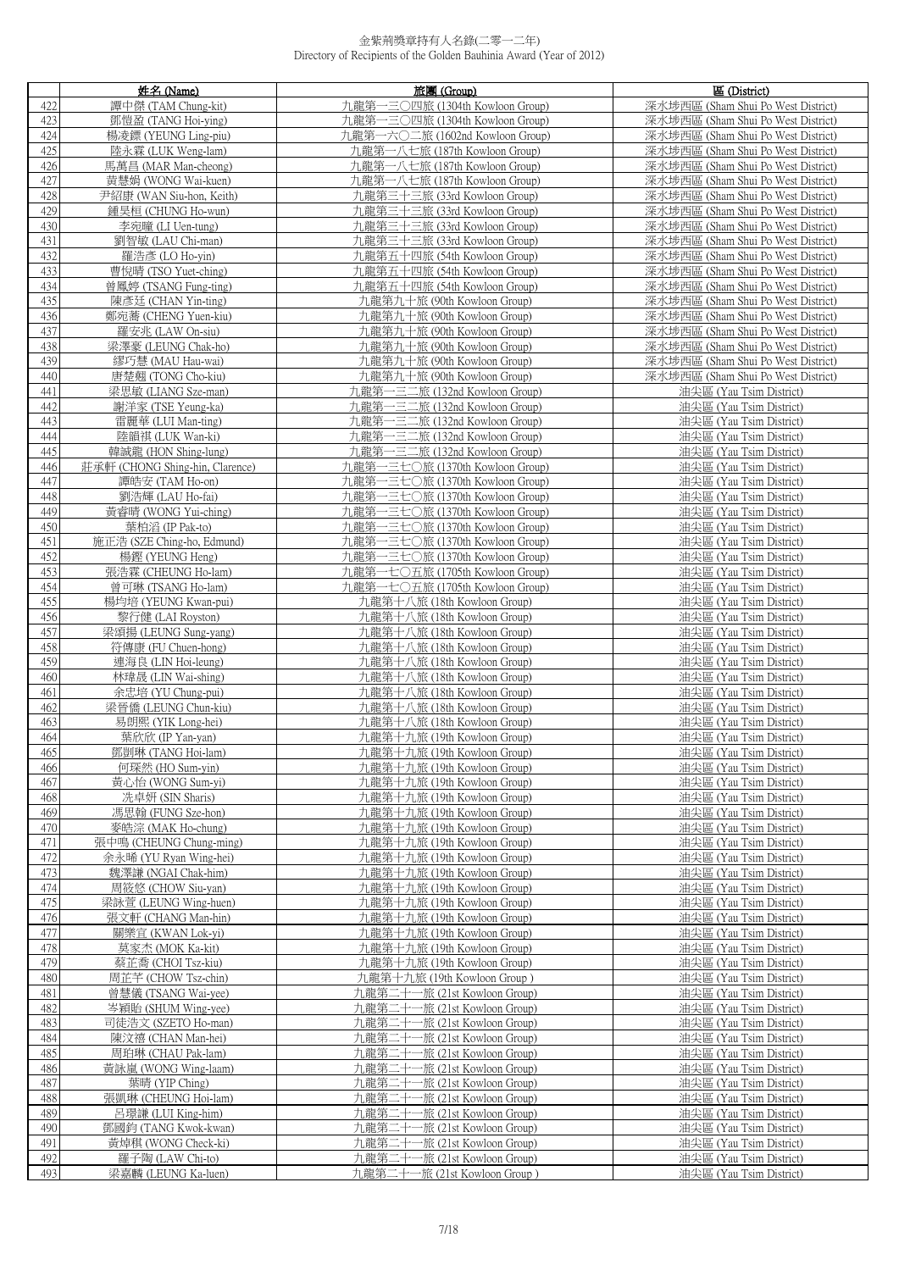|            | 姓名 (Name)                                     | 旅團 (Group)                                                         | 區 (District)                                                             |
|------------|-----------------------------------------------|--------------------------------------------------------------------|--------------------------------------------------------------------------|
| 422        | 譚中傑 (TAM Chung-kit)                           | 九龍第一三〇四旅 (1304th Kowloon Group)                                    | 深水埗西區 (Sham Shui Po West District)                                       |
| 423        | 鄧愷盈 (TANG Hoi-ying)                           | 九龍第一三〇四旅 (1304th Kowloon Group)                                    | 深水埗西區 (Sham Shui Po West District)                                       |
| 424        | 楊凌鏢 (YEUNG Ling-piu)                          | 九龍第一六〇二旅 (1602nd Kowloon Group)                                    | 深水埗西區 (Sham Shui Po West District)                                       |
| 425        | 陸永霖 (LUK Weng-lam)                            | 九龍第一八七旅 (187th Kowloon Group)                                      | 深水埗西區 (Sham Shui Po West District)                                       |
| 426        | 馬萬昌 (MAR Man-cheong)                          | 九龍第一八七旅 (187th Kowloon Group)                                      | 深水埗西區 (Sham Shui Po West District)                                       |
| 427        | 黄慧娟 (WONG Wai-kuen)                           | 九龍第一八七旅 (187th Kowloon Group)                                      | 深水埗西區 (Sham Shui Po West District)                                       |
| 428        | 尹紹康 (WAN Siu-hon, Keith)                      | 九龍第三十三旅 (33rd Kowloon Group)                                       | 深水埗西區 (Sham Shui Po West District)                                       |
| 429        | 鍾昊桓 (CHUNG Ho-wun)                            | 九龍第三十三旅 (33rd Kowloon Group)                                       | 深水埗西區 (Sham Shui Po West District)                                       |
| 430        | 李宛曈 (LI Uen-tung)                             | 九龍第三十三旅 (33rd Kowloon Group)                                       | 深水埗西區 (Sham Shui Po West District)                                       |
| 431        | 劉智敏 (LAU Chi-man)                             | 九龍第三十三旅 (33rd Kowloon Group)                                       | 深水埗西區 (Sham Shui Po West District)                                       |
| 432<br>433 | 羅浩彥 (LO Ho-yin)                               | 九龍第五十四旅 (54th Kowloon Group)                                       | 深水埗西區 (Sham Shui Po West District)                                       |
| 434        | 曹悅晴 (TSO Yuet-ching)<br>曾鳳婷 (TSANG Fung-ting) | 九龍第五十四旅 (54th Kowloon Group)<br>九龍第五十四旅 (54th Kowloon Group)       | 深水埗西區 (Sham Shui Po West District)<br>深水埗西區 (Sham Shui Po West District) |
| 435        | 陳彥廷 (CHAN Yin-ting)                           | 九龍第九十旅 (90th Kowloon Group)                                        | 深水埗西區 (Sham Shui Po West District)                                       |
| 436        | 鄭宛蕎 (CHENG Yuen-kiu)                          | 九龍第九十旅 (90th Kowloon Group)                                        | 深水埗西區 (Sham Shui Po West District)                                       |
| 437        | 羅安兆 (LAW On-siu)                              | 九龍第九十旅 (90th Kowloon Group)                                        | 深水埗西區 (Sham Shui Po West District)                                       |
| 438        | 梁澤豪 (LEUNG Chak-ho)                           | 九龍第九十旅 (90th Kowloon Group)                                        | 深水埗西區 (Sham Shui Po West District)                                       |
| 439        | 繆巧慧 (MAU Hau-wai)                             | 九龍第九十旅 (90th Kowloon Group)                                        | 深水埗西區 (Sham Shui Po West District)                                       |
| 440        | 唐楚翹 (TONG Cho-kiu)                            | 九龍第九十旅 (90th Kowloon Group)                                        | 深水埗西區 (Sham Shui Po West District)                                       |
| 441        | 梁思敏 (LIANG Sze-man)                           | 九龍第一三二旅 (132nd Kowloon Group)                                      | 油尖區 (Yau Tsim District)                                                  |
| 442        | 謝洋家 (TSE Yeung-ka)                            | 九龍第一三二旅 (132nd Kowloon Group)                                      | 油尖區 (Yau Tsim District)                                                  |
| 443        | 雷麗華 (LUI Man-ting)                            | 九龍第一三二旅 (132nd Kowloon Group)                                      | 油尖區 (Yau Tsim District)                                                  |
| 444        | 陸韻祺 (LUK Wan-ki)                              | 九龍第一三二旅 (132nd Kowloon Group)                                      | 油尖區 (Yau Tsim District)                                                  |
| 445        | 韓誠龍 (HON Shing-lung)                          | 九龍第一三二旅 (132nd Kowloon Group)                                      | 油尖區 (Yau Tsim District)                                                  |
| 446        | 莊承軒 (CHONG Shing-hin, Clarence)               | 九龍第一三七〇旅 (1370th Kowloon Group)                                    | 油尖區 (Yau Tsim District)                                                  |
| 447<br>448 | 譚皓安 (TAM Ho-on)<br>劉浩輝 (LAU Ho-fai)           | 九龍第一三七〇旅 (1370th Kowloon Group)<br>九龍第一三七〇旅 (1370th Kowloon Group) | 油尖區 (Yau Tsim District)<br>油尖區 (Yau Tsim District)                       |
| 449        | 黃睿晴 (WONG Yui-ching)                          | 九龍第一三七〇旅 (1370th Kowloon Group)                                    | 油尖區 (Yau Tsim District)                                                  |
| 450        | 葉柏滔 (IP Pak-to)                               | 九龍第一三七〇旅 (1370th Kowloon Group)                                    | 油尖區 (Yau Tsim District)                                                  |
| 451        | 施正浩 (SZE Ching-ho, Edmund)                    | 九龍第一三七〇旅 (1370th Kowloon Group)                                    | 油尖區 (Yau Tsim District)                                                  |
| 452        | 楊鏗 (YEUNG Heng)                               | 九龍第一三七〇旅 (1370th Kowloon Group)                                    | 油尖區 (Yau Tsim District)                                                  |
| 453        | 張浩霖 (CHEUNG Ho-lam)                           | 九龍第一七〇五旅 (1705th Kowloon Group)                                    | 油尖區 (Yau Tsim District)                                                  |
| 454        | 曾可琳 (TSANG Ho-lam)                            | 九龍第一七〇五旅 (1705th Kowloon Group)                                    | 油尖區 (Yau Tsim District)                                                  |
| 455        | 楊均培 (YEUNG Kwan-pui)                          | 九龍第十八旅 (18th Kowloon Group)                                        | 油尖區 (Yau Tsim District)                                                  |
| 456        | 黎行健 (LAI Royston)                             | 九龍第十八旅 (18th Kowloon Group)                                        | 油尖區 (Yau Tsim District)                                                  |
| 457<br>458 | 梁頌揚 (LEUNG Sung-yang)<br>符傳康 (FU Chuen-hong)  | 九龍第十八旅 (18th Kowloon Group)<br>九龍第十八旅 (18th Kowloon Group)         | 油尖區 (Yau Tsim District)<br>油尖區 (Yau Tsim District)                       |
| 459        | 連海良 (LIN Hoi-leung)                           | 九龍第十八旅 (18th Kowloon Group)                                        | 油尖區 (Yau Tsim District)                                                  |
| 460        | 林瑋晟 (LIN Wai-shing)                           | 九龍第十八旅 (18th Kowloon Group)                                        | 油尖區 (Yau Tsim District)                                                  |
| 461        | 余忠培 (YU Chung-pui)                            | 九龍第十八旅 (18th Kowloon Group)                                        | 油尖區 (Yau Tsim District)                                                  |
| 462        | 梁晉僑 (LEUNG Chun-kiu)                          | 九龍第十八旅 (18th Kowloon Group)                                        | 油尖區 (Yau Tsim District)                                                  |
| 463        | 易朗熙 (YIK Long-hei)                            | 九龍第十八旅 (18th Kowloon Group)                                        | 油尖區 (Yau Tsim District)                                                  |
| 464        | 葉欣欣 (IP Yan-yan)                              | 九龍第十九旅 (19th Kowloon Group)                                        | 油尖區 (Yau Tsim District)                                                  |
| 465        | 鄧剴琳 (TANG Hoi-lam)                            | 九龍第十九旅 (19th Kowloon Group)                                        | 油尖區 (Yau Tsim District)                                                  |
| 466<br>467 | 何琛然 (HO Sum-yin)<br>黃心怡 (WONG Sum-yi)         | 九龍第十九旅 (19th Kowloon Group)<br>九龍第十九旅 (19th Kowloon Group)         | 油尖區 (Yau Tsim District)<br>油尖區 (Yau Tsim District)                       |
| 468        | 冼卓妍 (SIN Sharis)                              | 九龍第十九旅 (19th Kowloon Group)                                        | 油尖區 (Yau Tsim District)                                                  |
| 469        | 馮思翰 (FUNG Sze-hon)                            | 九龍第十九旅 (19th Kowloon Group)                                        | 油尖區 (Yau Tsim District)                                                  |
| 470        | 麥皓淙 (MAK Ho-chung)                            | 九龍第十九旅 (19th Kowloon Group)                                        | 油尖區 (Yau Tsim District)                                                  |
| 471        | 張中鳴 (CHEUNG Chung-ming)                       | 九龍第十九旅 (19th Kowloon Group)                                        | 油尖區 (Yau Tsim District)                                                  |
| 472        | 余永晞 (YU Ryan Wing-hei)                        | 九龍第十九旅 (19th Kowloon Group)                                        | 油尖區 (Yau Tsim District)                                                  |
| 473        | 魏澤謙 (NGAI Chak-him)                           | 九龍第十九旅 (19th Kowloon Group)                                        | 油尖區 (Yau Tsim District)                                                  |
| 474        | 周筱悠 (CHOW Siu-yan)                            | 九龍第十九旅 (19th Kowloon Group)                                        | 油尖區 (Yau Tsim District)                                                  |
| 475<br>476 | 梁詠萱 (LEUNG Wing-huen)<br>張文軒 (CHANG Man-hin)  | 九龍第十九旅 (19th Kowloon Group)<br>九龍第十九旅 (19th Kowloon Group)         | 油尖區 (Yau Tsim District)<br>油尖區 (Yau Tsim District)                       |
| 477        | 關樂宜 (KWAN Lok-yi)                             | 九龍第十九旅 (19th Kowloon Group)                                        | 油尖區 (Yau Tsim District)                                                  |
| 478        | 莫家杰 (MOK Ka-kit)                              | 九龍第十九旅 (19th Kowloon Group)                                        | 油尖區 (Yau Tsim District)                                                  |
| 479        | 蔡芷喬 (CHOI Tsz-kiu)                            | 九龍第十九旅 (19th Kowloon Group)                                        | 油尖區 (Yau Tsim District)                                                  |
| 480        | 周芷芊 (CHOW Tsz-chin)                           | 九龍第十九旅 (19th Kowloon Group)                                        | 油尖區 (Yau Tsim District)                                                  |
| 481        | 曾慧儀 (TSANG Wai-yee)                           | 九龍第二十一旅 (21st Kowloon Group)                                       | 油尖區 (Yau Tsim District)                                                  |
| 482        | 岑穎貽 (SHUM Wing-yee)                           | 九龍第二十一旅 (21st Kowloon Group)                                       | 油尖區 (Yau Tsim District)                                                  |
| 483        | 司徒浩文 (SZETO Ho-man)                           | 九龍第二十一旅 (21st Kowloon Group)                                       | 油尖區 (Yau Tsim District)                                                  |
| 484<br>485 | 陳汶禧 (CHAN Man-hei)<br>周珀琳 (CHAU Pak-lam)      | 九龍第二十一旅 (21st Kowloon Group)<br>九龍第二十一旅 (21st Kowloon Group)       | 油尖區 (Yau Tsim District)<br>油尖區 (Yau Tsim District)                       |
| 486        | 黃詠嵐 (WONG Wing-laam)                          | 九龍第二十一旅 (21st Kowloon Group)                                       | 油尖區 (Yau Tsim District)                                                  |
| 487        | 葉晴 (YIP Ching)                                | 九龍第二十一旅 (21st Kowloon Group)                                       | 油尖區 (Yau Tsim District)                                                  |
| 488        | 張凱琳 (CHEUNG Hoi-lam)                          | 九龍第二十一旅 (21st Kowloon Group)                                       | 油尖區 (Yau Tsim District)                                                  |
| 489        | 呂璟謙 (LUI King-him)                            | 九龍第二十一旅 (21st Kowloon Group)                                       | 油尖區 (Yau Tsim District)                                                  |
| 490        | 鄧國鈞 (TANG Kwok-kwan)                          | 九龍第二十一旅 (21st Kowloon Group)                                       | 油尖區 (Yau Tsim District)                                                  |
| 491        | 黃焯稘 (WONG Check-ki)                           | 九龍第二十一旅 (21st Kowloon Group)                                       | 油尖區 (Yau Tsim District)                                                  |
| 492        | 羅子陶 (LAW Chi-to)                              | 九龍第二十一旅 (21st Kowloon Group)                                       | 油尖區 (Yau Tsim District)                                                  |
| 493        | 梁嘉麟 (LEUNG Ka-luen)                           | 九龍第二十一旅 (21st Kowloon Group)                                       | 油尖區 (Yau Tsim District)                                                  |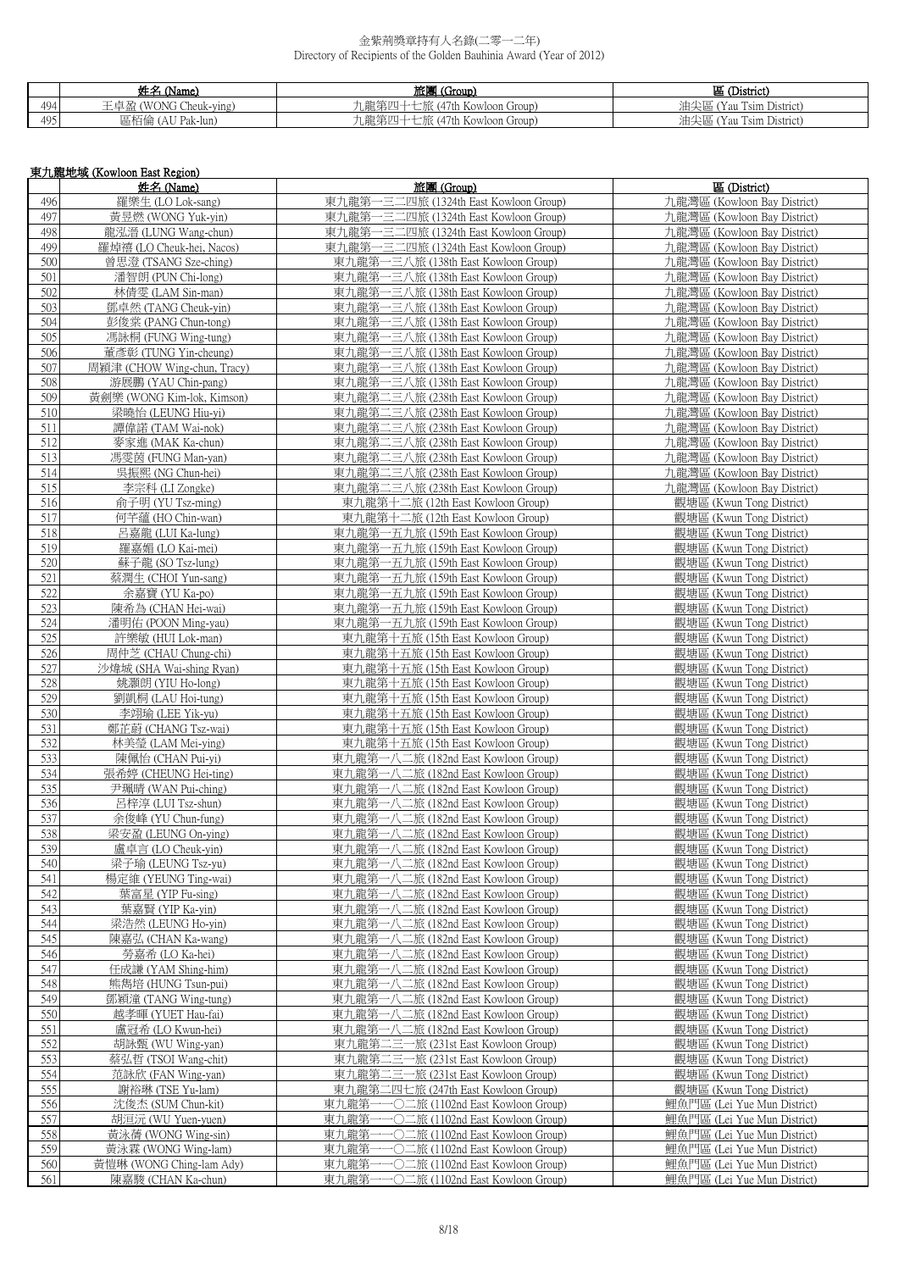|     | 枇立<br>, (Name)                           | 旅團<br>(Group)                        | 匩(<br>(District)                                          |
|-----|------------------------------------------|--------------------------------------|-----------------------------------------------------------|
| 494 | Cheuk-ving<br>(WONG<br>-盈<br>ᅭ           | 龍筆[<br>(47th Kowloon Group)<br>.PIE. | $\sim$ $\sim$<br>$\sim$<br>油尖區<br>Tsim District)<br>'Y au |
| 495 | <sup>三</sup> 柘倫(A、<br>(AU Pak-lun)<br>血化 | L龍第四<br>(47th Kowloon Group)         | 油尖區<br>$T^*$<br>con a<br>I'sim District)<br>Y au          |

|            | 東九龍地域 (Kowloon East Region)                          |                                                                                    |                                                            |  |
|------------|------------------------------------------------------|------------------------------------------------------------------------------------|------------------------------------------------------------|--|
|            | 姓名 (Name)                                            | 旅團 (Group)                                                                         | 區 (District)                                               |  |
| 496        | 羅樂生 (LO Lok-sang)                                    | 東九龍第一三二四旅 (1324th East Kowloon Group)                                              | 九龍灣區 (Kowloon Bay District)                                |  |
| 497        | 黃昱燃 (WONG Yuk-vin)                                   | 東九龍第一三二四旅 (1324th East Kowloon Group)                                              | 九龍灣區 (Kowloon Bay District)                                |  |
| 498        | 龍泓溍 (LUNG Wang-chun)                                 | 東九龍第一三二四旅 (1324th East Kowloon Group)                                              | 九龍灣區 (Kowloon Bay District)                                |  |
| 499        | 羅焯禧 (LO Cheuk-hei, Nacos)                            | 東九龍第一三二四旅 (1324th East Kowloon Group)                                              | 九龍灣區 (Kowloon Bay District)                                |  |
| 500        | 曾思澄 (TSANG Sze-ching)                                | 東九龍第一三八旅 (138th East Kowloon Group)                                                | 九龍灣區 (Kowloon Bay District)                                |  |
| 501        | 潘智朗 (PUN Chi-long)                                   | 東九龍第一三八旅 (138th East Kowloon Group)                                                | 九龍灣區 (Kowloon Bay District)                                |  |
| 502        | 林倩雯 (LAM Sin-man)                                    | 東九龍第一三八旅 (138th East Kowloon Group)                                                | 九龍灣區 (Kowloon Bay District)                                |  |
| 503        | 鄧卓然 (TANG Cheuk-yin)                                 | 東九龍第一三八旅 (138th East Kowloon Group)                                                | 九龍灣區 (Kowloon Bay District)                                |  |
| 504        | 彭俊棠 (PANG Chun-tong)                                 | 東九龍第一三八旅 (138th East Kowloon Group)                                                | 九龍灣區 (Kowloon Bay District)                                |  |
| 505        | 馮詠桐 (FUNG Wing-tung)                                 | 東九龍第一三八旅 (138th East Kowloon Group)                                                | 九龍灣區 (Kowloon Bay District)                                |  |
| 506<br>507 | 董彥彰 (TUNG Yin-cheung)<br>周穎津 (CHOW Wing-chun, Tracy) | 東九龍第一三八旅 (138th East Kowloon Group)<br>東九龍第一三八旅 (138th East Kowloon Group)         | 九龍灣區 (Kowloon Bay District)<br>九龍灣區 (Kowloon Bay District) |  |
| 508        | 游展鵬 (YAU Chin-pang)                                  | 東九龍第一三八旅 (138th East Kowloon Group)                                                | 九龍灣區 (Kowloon Bay District)                                |  |
| 509        | 黃劍樂 (WONG Kim-lok, Kimson)                           | 東九龍第二三八旅 (238th East Kowloon Group)                                                | 九龍灣區 (Kowloon Bay District)                                |  |
| 510        | 梁曉怡 (LEUNG Hiu-yi)                                   | 東九龍第二三八旅 (238th East Kowloon Group)                                                | 九龍灣區 (Kowloon Bay District)                                |  |
| 511        | 譚偉諾 (TAM Wai-nok)                                    | 東九龍第二三八旅 (238th East Kowloon Group)                                                | 九龍灣區 (Kowloon Bay District)                                |  |
| 512        | 麥家進 (MAK Ka-chun)                                    | 東九龍第二三八旅 (238th East Kowloon Group)                                                | 九龍灣區 (Kowloon Bay District)                                |  |
| 513        | 馮雯茵 (FUNG Man-yan)                                   | 東九龍第二三八旅 (238th East Kowloon Group)                                                | 九龍灣區 (Kowloon Bay District)                                |  |
| 514        | 吳振熙 (NG Chun-hei)                                    | 東九龍第二三八旅 (238th East Kowloon Group)                                                | 九龍灣區 (Kowloon Bay District)                                |  |
| 515        | 李宗科 (LI Zongke)                                      | 東九龍第二三八旅 (238th East Kowloon Group)                                                | 九龍灣區 (Kowloon Bay District)                                |  |
| 516        | 俞子明 (YU Tsz-ming)                                    | 東九龍第十二旅 (12th East Kowloon Group)                                                  | 觀塘區 (Kwun Tong District)                                   |  |
| 517        | 何芊蘊 (HO Chin-wan)                                    | 東九龍第十二旅 (12th East Kowloon Group)                                                  | 觀塘區 (Kwun Tong District)                                   |  |
| 518        | 呂嘉龍 (LUI Ka-lung)                                    | 東九龍第一五九旅 (159th East Kowloon Group)                                                | 觀塘區 (Kwun Tong District)                                   |  |
| 519        | 羅嘉媚 (LO Kai-mei)                                     | 東九龍第一五九旅 (159th East Kowloon Group)                                                | 觀塘區 (Kwun Tong District)                                   |  |
| 520        | 蘇子龍 (SO Tsz-lung)                                    | 東九龍第一五九旅 (159th East Kowloon Group)                                                | 觀塘區 (Kwun Tong District)                                   |  |
| 521        | 蔡潤生 (CHOI Yun-sang)                                  | 東九龍第一五九旅 (159th East Kowloon Group)                                                | 觀塘區 (Kwun Tong District)                                   |  |
| 522<br>523 | 余嘉寶 (YU Ka-po)<br>陳希為 (CHAN Hei-wai)                 | 東九龍第一五九旅 (159th East Kowloon Group)<br>東九龍第一五九旅 (159th East Kowloon Group)         | 觀塘區 (Kwun Tong District)<br>觀塘區 (Kwun Tong District)       |  |
| 524        | 潘明佑 (POON Ming-yau)                                  | 東九龍第一五九旅 (159th East Kowloon Group)                                                | 觀塘區 (Kwun Tong District)                                   |  |
| 525        | 許樂敏 (HUI Lok-man)                                    | 東九龍第十五旅 (15th East Kowloon Group)                                                  | 觀塘區 (Kwun Tong District)                                   |  |
| 526        | 周仲芝 (CHAU Chung-chi)                                 | 東九龍第十五旅 (15th East Kowloon Group)                                                  | 觀塘區 (Kwun Tong District)                                   |  |
| 527        | 沙煒城 (SHA Wai-shing Ryan)                             | 東九龍第十五旅 (15th East Kowloon Group)                                                  | 觀塘區 (Kwun Tong District)                                   |  |
| 528        | 姚灝朗 (YIU Ho-long)                                    | 東九龍第十五旅 (15th East Kowloon Group)                                                  | 觀塘區 (Kwun Tong District)                                   |  |
| 529        | 劉凱桐 (LAU Hoi-tung)                                   | 東九龍第十五旅 (15th East Kowloon Group)                                                  | 觀塘區 (Kwun Tong District)                                   |  |
| 530        | 李翊瑜 (LEE Yik-yu)                                     | 東九龍第十五旅 (15th East Kowloon Group)                                                  | 觀塘區 (Kwun Tong District)                                   |  |
| 531        | 鄭芷蔚 (CHANG Tsz-wai)                                  | 東九龍第十五旅 (15th East Kowloon Group)                                                  | 觀塘區 (Kwun Tong District)                                   |  |
| 532        | 林美瑩 (LAM Mei-ying)                                   | 東九龍第十五旅 (15th East Kowloon Group)                                                  | 觀塘區 (Kwun Tong District)                                   |  |
| 533        | 陳佩怡 (CHAN Pui-yi)                                    | 東九龍第一八二旅 (182nd East Kowloon Group)                                                | 觀塘區 (Kwun Tong District)                                   |  |
| 534<br>535 | 張希婷 (CHEUNG Hei-ting)<br>尹珮晴 (WAN Pui-ching)         | 東九龍第一八二旅 (182nd East Kowloon Group)                                                | 觀塘區 (Kwun Tong District)<br>觀塘區 (Kwun Tong District)       |  |
| 536        | 呂梓淳 (LUI Tsz-shun)                                   | 東九龍第一八二旅 (182nd East Kowloon Group)<br>東九龍第一八二旅 (182nd East Kowloon Group)         | 觀塘區 (Kwun Tong District)                                   |  |
| 537        | 余俊峰 (YU Chun-fung)                                   | 東九龍第一八二旅 (182nd East Kowloon Group)                                                | 觀塘區 (Kwun Tong District)                                   |  |
| 538        | 梁安盈 (LEUNG On-ying)                                  | 東九龍第一八二旅 (182nd East Kowloon Group)                                                | 觀塘區 (Kwun Tong District)                                   |  |
| 539        | 盧卓言 (LO Cheuk-yin)                                   | 東九龍第一八二旅 (182nd East Kowloon Group)                                                | 觀塘區 (Kwun Tong District)                                   |  |
| 540        | 梁子瑜 (LEUNG Tsz-yu)                                   | 東九龍第一八二旅 (182nd East Kowloon Group)                                                | 觀塘區 (Kwun Tong District)                                   |  |
| 541        | 楊定維 (YEUNG Ting-wai)                                 | 東九龍第一八二旅 (182nd East Kowloon Group)                                                | 觀塘區 (Kwun Tong District)                                   |  |
| 542        | 葉富星 (YIP Fu-sing)                                    | 東九龍第一八二旅 (182nd East Kowloon Group)                                                | 觀塘區 (Kwun Tong District)                                   |  |
| 543        | 葉嘉賢 (YIP Ka-yin)                                     | 東九龍第一八二旅 (182nd East Kowloon Group)                                                | 觀塘區 (Kwun Tong District)                                   |  |
| 544        | 梁浩然 (LEUNG Ho-yin)                                   | 東九龍第一八二旅 (182nd East Kowloon Group)                                                | 觀塘區 (Kwun Tong District)                                   |  |
| 545        | 陳嘉弘 (CHAN Ka-wang)                                   | 東九龍第一八<br>二旅 (182nd East Kowloon Group)                                            | 觀塘區 (Kwun Tong District)                                   |  |
| 546        | 勞嘉希 (LO Ka-hei)                                      | 東九龍第一八二旅 (182nd East Kowloon Group)                                                | 觀塘區 (Kwun Tong District)                                   |  |
| 547<br>548 | 任成謙 (YAM Shing-him)<br>熊雋培 (HUNG Tsun-pui)           | 東九龍第一八二旅 (182nd East Kowloon Group)<br>東九龍第一八二旅 (182nd East Kowloon Group)         | 觀塘區 (Kwun Tong District)<br>觀塘區 (Kwun Tong District)       |  |
| 549        | 鄧穎潼 (TANG Wing-tung)                                 | 東九龍第一八二旅 (182nd East Kowloon Group)                                                | 觀塘區 (Kwun Tong District)                                   |  |
| 550        | 越孝暉 (YUET Hau-fai)                                   | 東九龍第一八二旅 (182nd East Kowloon Group)                                                | 觀塘區 (Kwun Tong District)                                   |  |
| 551        | 盧冠希 (LO Kwun-hei)                                    | 二旅 (182nd East Kowloon Group)<br>東九龍第<br>ー八                                        | 觀塘區 (Kwun Tong District)                                   |  |
| 552        | 胡詠甄 (WU Wing-yan)                                    | 東九龍第二三一旅 (231st East Kowloon Group)                                                | 觀塘區 (Kwun Tong District)                                   |  |
| 553        | 蔡弘哲 (TSOI Wang-chit)                                 | 東九龍第二三一旅 (231st East Kowloon Group)                                                | 觀塘區 (Kwun Tong District)                                   |  |
| 554        | 范詠欣 (FAN Wing-yan)                                   | 東九龍第二三一旅 (231st East Kowloon Group)                                                | 觀塘區 (Kwun Tong District)                                   |  |
| 555        | 謝裕琳 (TSE Yu-lam)                                     | 東九龍第二四七旅 (247th East Kowloon Group)                                                | 觀塘區 (Kwun Tong District)                                   |  |
| 556        | 沈俊杰 (SUM Chun-kit)                                   | −○二旅 (1102nd East Kowloon Group)<br>東九龍第·                                          | 鯉魚門區 (Lei Yue Mun District)                                |  |
| 557        | 胡洹沅 (WU Yuen-yuen)                                   | 東九龍第<br>•○二旅 (1102nd East Kowloon Group)                                           | 鯉魚門區 (Lei Yue Mun District)                                |  |
| 558        | 黃泳蒨 (WONG Wing-sin)                                  | 東九龍第<br>-〇二旅 (1102nd East Kowloon Group)                                           | 鯉魚門區 (Lei Yue Mun District)                                |  |
| 559        | 黃泳霖 (WONG Wing-lam)                                  | ─○二旅 (1102nd East Kowloon Group)<br>東九龍第-                                          | 鯉魚門區 (Lei Yue Mun District)                                |  |
| 560<br>561 | 黃愷琳 (WONG Ching-lam Ady)<br>陳嘉駿 (CHAN Ka-chun)       | 東九龍第-<br>−○二旅 (1102nd East Kowloon Group)<br>東九龍第一一〇二旅 (1102nd East Kowloon Group) | 鯉魚門區 (Lei Yue Mun District)<br>鯉魚門區 (Lei Yue Mun District) |  |
|            |                                                      |                                                                                    |                                                            |  |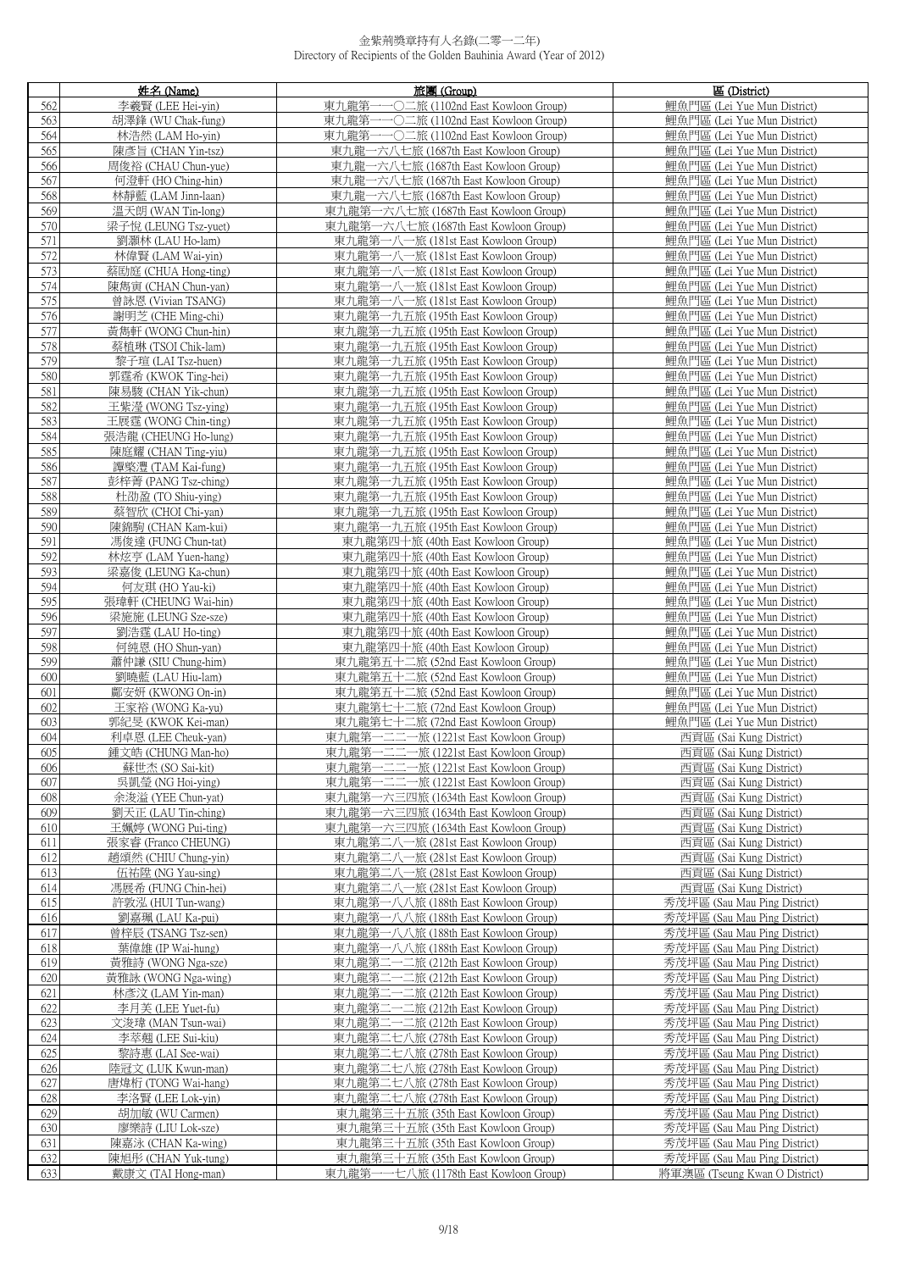|            | 姓名 (Name)                                 | 旅團 (Group)                                                                     | 區 (District)                                                 |
|------------|-------------------------------------------|--------------------------------------------------------------------------------|--------------------------------------------------------------|
| 562        | 李羲賢 (LEE Hei-yin)                         | 東九龍第-<br>─○二旅 (1102nd East Kowloon Group)                                      | 鯉魚門區 (Lei Yue Mun District)                                  |
| 563        | 胡澤鋒 (WU Chak-fung)                        | 東九龍第一一〇二旅 (1102nd East Kowloon Group)                                          | 鯉魚門區 (Lei Yue Mun District)                                  |
| 564        | 林浩然 (LAM Ho-vin)                          | 東九龍第一一〇二旅 (1102nd East Kowloon Group)                                          | 鯉魚門區 (Lei Yue Mun District)                                  |
| 565        | 陳彥旨 (CHAN Yin-tsz)                        | 東九龍一六八七旅 (1687th East Kowloon Group)                                           | 鯉魚門區 (Lei Yue Mun District)                                  |
| 566        | 周俊裕 (CHAU Chun-yue)                       | 東九龍一六八七旅 (1687th East Kowloon Group)                                           | 鯉魚門區 (Lei Yue Mun District)                                  |
| 567        | 何澄軒 (HO Ching-hin)                        | 東九龍一六八七旅 (1687th East Kowloon Group)                                           | 鯉魚門區 (Lei Yue Mun District)                                  |
| 568<br>569 | 林靜藍 (LAM Jinn-laan)<br>溫天朗 (WAN Tin-long) | 東九龍一六八七旅 (1687th East Kowloon Group)<br>東九龍第一六八七旅 (1687th East Kowloon Group)  | 鯉魚門區 (Lei Yue Mun District)<br>鯉魚門區 (Lei Yue Mun District)   |
| 570        | 梁子悅 (LEUNG Tsz-yuet)                      | 東九龍第一六八七旅 (1687th East Kowloon Group)                                          | 鯉魚門區 (Lei Yue Mun District)                                  |
| 571        | 劉灝林 (LAU Ho-lam)                          | 東九龍第一八一旅 (181st East Kowloon Group)                                            | 鯉魚門區 (Lei Yue Mun District)                                  |
| 572        | 林偉賢 (LAM Wai-yin)                         | 東九龍第一八一旅 (181st East Kowloon Group)                                            | 鯉魚門區 (Lei Yue Mun District)                                  |
| 573        | 蔡劻庭 (CHUA Hong-ting)                      | 東九龍第一八一旅 (181st East Kowloon Group)                                            | 鯉魚門區 (Lei Yue Mun District)                                  |
| 574        | 陳雋寅 (CHAN Chun-yan)                       | 東九龍第一八一旅 (181st East Kowloon Group)                                            | 鯉魚門區 (Lei Yue Mun District)                                  |
| 575        | 曾詠恩 (Vivian TSANG)                        | 東九龍第一八一旅 (181st East Kowloon Group)                                            | 鯉魚門區 (Lei Yue Mun District)                                  |
| 576        | 謝明芝 (CHE Ming-chi)                        | 東九龍第一九五旅 (195th East Kowloon Group)                                            | 鯉魚門區 (Lei Yue Mun District)                                  |
| 577        | 黃雋軒 (WONG Chun-hin)                       | 東九龍第一九五旅 (195th East Kowloon Group)                                            | 鯉魚門區 (Lei Yue Mun District)                                  |
| 578<br>579 | 蔡植琳 (TSOI Chik-lam)                       | 東九龍第一九五旅 (195th East Kowloon Group)                                            | 鯉魚門區 (Lei Yue Mun District)                                  |
| 580        | 黎子瑄 (LAI Tsz-huen)<br>郭霆希 (KWOK Ting-hei) | 東九龍第一九五旅 (195th East Kowloon Group)<br>東九龍第一九五旅 (195th East Kowloon Group)     | 鯉魚門區 (Lei Yue Mun District)<br>鲤鱼門區 (Lei Yue Mun District)   |
| 581        | 陳易駿 (CHAN Yik-chun)                       | 東九龍第一九五旅 (195th East Kowloon Group)                                            | 鯉魚門區 (Lei Yue Mun District)                                  |
| 582        | 王紫瀅 (WONG Tsz-ying)                       | 東九龍第一九五旅 (195th East Kowloon Group)                                            | 鯉魚門區 (Lei Yue Mun District)                                  |
| 583        | 王展霆 (WONG Chin-ting)                      | 東九龍第一九五旅 (195th East Kowloon Group)                                            | 鯉魚門區 (Lei Yue Mun District)                                  |
| 584        | 張浩龍 (CHEUNG Ho-lung)                      | 東九龍第一九五旅 (195th East Kowloon Group)                                            | 鲤鱼門區 (Lei Yue Mun District)                                  |
| 585        | 陳庭耀 (CHAN Ting-yiu)                       | 東九龍第一九五旅 (195th East Kowloon Group)                                            | 鯉魚門區 (Lei Yue Mun District)                                  |
| 586        | 譚棨灃 (TAM Kai-fung)                        | 東九龍第一九五旅 (195th East Kowloon Group)                                            | 鯉魚門區 (Lei Yue Mun District)                                  |
| 587        | 彭梓菁 (PANG Tsz-ching)                      | 東九龍第一九五旅 (195th East Kowloon Group)                                            | 鲤鱼門區 (Lei Yue Mun District)                                  |
| 588        | 杜劭盈 (TO Shiu-ying)                        | 東九龍第一九五旅 (195th East Kowloon Group)                                            | 鯉魚門區 (Lei Yue Mun District)                                  |
| 589<br>590 | 蔡智欣 (CHOI Chi-yan)<br>陳錦駒 (CHAN Kam-kui)  | 東九龍第一九五旅 (195th East Kowloon Group)<br>東九龍第一九五旅 (195th East Kowloon Group)     | 鯉魚門區 (Lei Yue Mun District)<br>鯉魚門區 (Lei Yue Mun District)   |
| 591        | 馮俊達 (FUNG Chun-tat)                       | 東九龍第四十旅 (40th East Kowloon Group)                                              | 鯉魚門區 (Lei Yue Mun District)                                  |
| 592        | 林炫亨 (LAM Yuen-hang)                       | 東九龍第四十旅 (40th East Kowloon Group)                                              | 鯉魚門區 (Lei Yue Mun District)                                  |
| 593        | 梁嘉俊 (LEUNG Ka-chun)                       | 東九龍第四十旅 (40th East Kowloon Group)                                              | 鯉魚門區 (Lei Yue Mun District)                                  |
| 594        | 何友琪 (HO Yau-ki)                           | 東九龍第四十旅 (40th East Kowloon Group)                                              | 鯉魚門區 (Lei Yue Mun District)                                  |
| 595        | 張瑋軒 (CHEUNG Wai-hin)                      | 東九龍第四十旅 (40th East Kowloon Group)                                              | 鯉魚門區 (Lei Yue Mun District)                                  |
| 596        | 梁施施 (LEUNG Sze-sze)                       | 東九龍第四十旅 (40th East Kowloon Group)                                              | 鯉魚門區 (Lei Yue Mun District)                                  |
| 597        | 劉浩霆 (LAU Ho-ting)                         | 東九龍第四十旅 (40th East Kowloon Group)                                              | 鯉魚門區 (Lei Yue Mun District)                                  |
| 598        | 何純恩 (HO Shun-yan)                         | 東九龍第四十旅 (40th East Kowloon Group)                                              | 鯉魚門區 (Lei Yue Mun District)                                  |
| 599<br>600 | 蕭仲謙 (SIU Chung-him)<br>劉曉藍 (LAU Hiu-lam)  | 東九龍第五十二旅 (52nd East Kowloon Group)<br>東九龍第五十二旅 (52nd East Kowloon Group)       | 鯉魚門區 (Lei Yue Mun District)<br>鯉魚門區 (Lei Yue Mun District)   |
| 601        | 鄺安妍 (KWONG On-in)                         | 東九龍第五十二旅 (52nd East Kowloon Group)                                             | 鯉魚門區 (Lei Yue Mun District)                                  |
| 602        | 王家裕 (WONG Ka-yu)                          | 東九龍第七十二旅 (72nd East Kowloon Group)                                             | 鯉魚門區 (Lei Yue Mun District)                                  |
| 603        | 郭紀旻 (KWOK Kei-man)                        | 東九龍第七十二旅 (72nd East Kowloon Group)                                             | 鯉魚門區 (Lei Yue Mun District)                                  |
| 604        | 利卓恩 (LEE Cheuk-yan)                       | 東九龍第一二二一旅 (1221st East Kowloon Group)                                          | 西貢區 (Sai Kung District)                                      |
| 605        | 鍾文皓 (CHUNG Man-ho)                        | 東九龍第一二二一旅 (1221st East Kowloon Group)                                          | 西貢區 (Sai Kung District)                                      |
| 606        | 蘇世杰 (SO Sai-kit)                          | 東九龍第一二二一旅 (1221st East Kowloon Group)                                          | 西貢區 (Sai Kung District)                                      |
| 607        | 吳凱瑩 (NG Hoi-ving)                         | 東九龍第一二二一旅 (1221st East Kowloon Group)                                          | 西貢區 (Sai Kung District)                                      |
| 608<br>609 | 余浚溢 (YEE Chun-yat)<br>劉天正 (LAU Tin-ching) | 東九龍第一六三四旅 (1634th East Kowloon Group)<br>東九龍第一六三四旅 (1634th East Kowloon Group) | 西貢區 (Sai Kung District)<br>西貢區 (Sai Kung District)           |
| 610        | 王姵婷 (WONG Pui-ting)                       | 東九龍第一六三四旅 (1634th East Kowloon Group)                                          | 西貢區 (Sai Kung District)                                      |
| 611        | 張家睿 (Franco CHEUNG)                       | 東九龍第二八一旅 (281st East Kowloon Group)                                            | 西貢區 (Sai Kung District)                                      |
| 612        | 趙頌然 (CHIU Chung-yin)                      | 東九龍第二八一旅 (281st East Kowloon Group)                                            | 西貢區 (Sai Kung District)                                      |
| 613        | 伍祐陞 (NG Yau-sing)                         | 東九龍第二八一旅 (281st East Kowloon Group)                                            | 西貢區 (Sai Kung District)                                      |
| 614        | 馮展希 (FUNG Chin-hei)                       | 東九龍第二八一旅 (281st East Kowloon Group)                                            | 西貢區 (Sai Kung District)                                      |
| 615        | 許敦泓 (HUI Tun-wang)                        | 東九龍第一八八旅 (188th East Kowloon Group)                                            | 秀茂坪區 (Sau Mau Ping District)                                 |
| 616        | 劉嘉珮 (LAU Ka-pui)                          | 東九龍第一八八旅 (188th East Kowloon Group)                                            | 秀茂坪區 (Sau Mau Ping District)                                 |
| 617        | 曾梓辰 (TSANG Tsz-sen)                       | 東九龍第一八八旅 (188th East Kowloon Group)                                            | 秀茂坪區 (Sau Mau Ping District)                                 |
| 618<br>619 | 葉偉雄 (IP Wai-hung)<br>黃雅詩 (WONG Nga-sze)   | 東九龍第一八八旅 (188th East Kowloon Group)<br>東九龍第二一二旅 (212th East Kowloon Group)     | 秀茂坪區 (Sau Mau Ping District)<br>秀茂坪區 (Sau Mau Ping District) |
| 620        | 黃雅詠 (WONG Nga-wing)                       | 東九龍第二一二旅 (212th East Kowloon Group)                                            | 秀茂坪區 (Sau Mau Ping District)                                 |
| 621        | 林彥汶 (LAM Yin-man)                         | 東九龍第二一二旅 (212th East Kowloon Group)                                            | 秀茂坪區 (Sau Mau Ping District)                                 |
| 622        | 李月芙 (LEE Yuet-fu)                         | 東九龍第二一二旅 (212th East Kowloon Group)                                            | 秀茂坪區 (Sau Mau Ping District)                                 |
| 623        | 文浚瑋 (MAN Tsun-wai)                        | 東九龍第二一二旅 (212th East Kowloon Group)                                            | 秀茂坪區 (Sau Mau Ping District)                                 |
| 624        | 李萃翹 (LEE Sui-kiu)                         | 東九龍第二七八旅 (278th East Kowloon Group)                                            | 秀茂坪區 (Sau Mau Ping District)                                 |
| 625        | 黎詩惠 (LAI See-wai)                         | 東九龍第二七八旅 (278th East Kowloon Group)                                            | 秀茂坪區 (Sau Mau Ping District)                                 |
| 626        | 陸冠文 (LUK Kwun-man)                        | 東九龍第二七八旅 (278th East Kowloon Group)                                            | 秀茂坪區 (Sau Mau Ping District)                                 |
| 627        | 唐煒桁 (TONG Wai-hang)                       | 東九龍第二七八旅 (278th East Kowloon Group)                                            | 秀茂坪區 (Sau Mau Ping District)                                 |
| 628<br>629 | 李洛賢 (LEE Lok-yin)<br>胡加敏 (WU Carmen)      | 東九龍第二七八旅 (278th East Kowloon Group)<br>東九龍第三十五旅 (35th East Kowloon Group)      | 秀茂坪區 (Sau Mau Ping District)<br>秀茂坪區 (Sau Mau Ping District) |
| 630        | 廖樂詩 (LIU Lok-sze)                         | 東九龍第三十五旅 (35th East Kowloon Group)                                             | 秀茂坪區 (Sau Mau Ping District)                                 |
| 631        | 陳嘉泳 (CHAN Ka-wing)                        | 東九龍第三十五旅 (35th East Kowloon Group)                                             | 秀茂坪區 (Sau Mau Ping District)                                 |
| 632        | 陳旭彤 (CHAN Yuk-tung)                       | 東九龍第三十五旅 (35th East Kowloon Group)                                             | 秀茂坪區 (Sau Mau Ping District)                                 |
| 633        | 戴康文 (TAI Hong-man)                        | 東九龍第一一七八旅 (1178th East Kowloon Group)                                          | 將軍澳區 (Tseung Kwan O District)                                |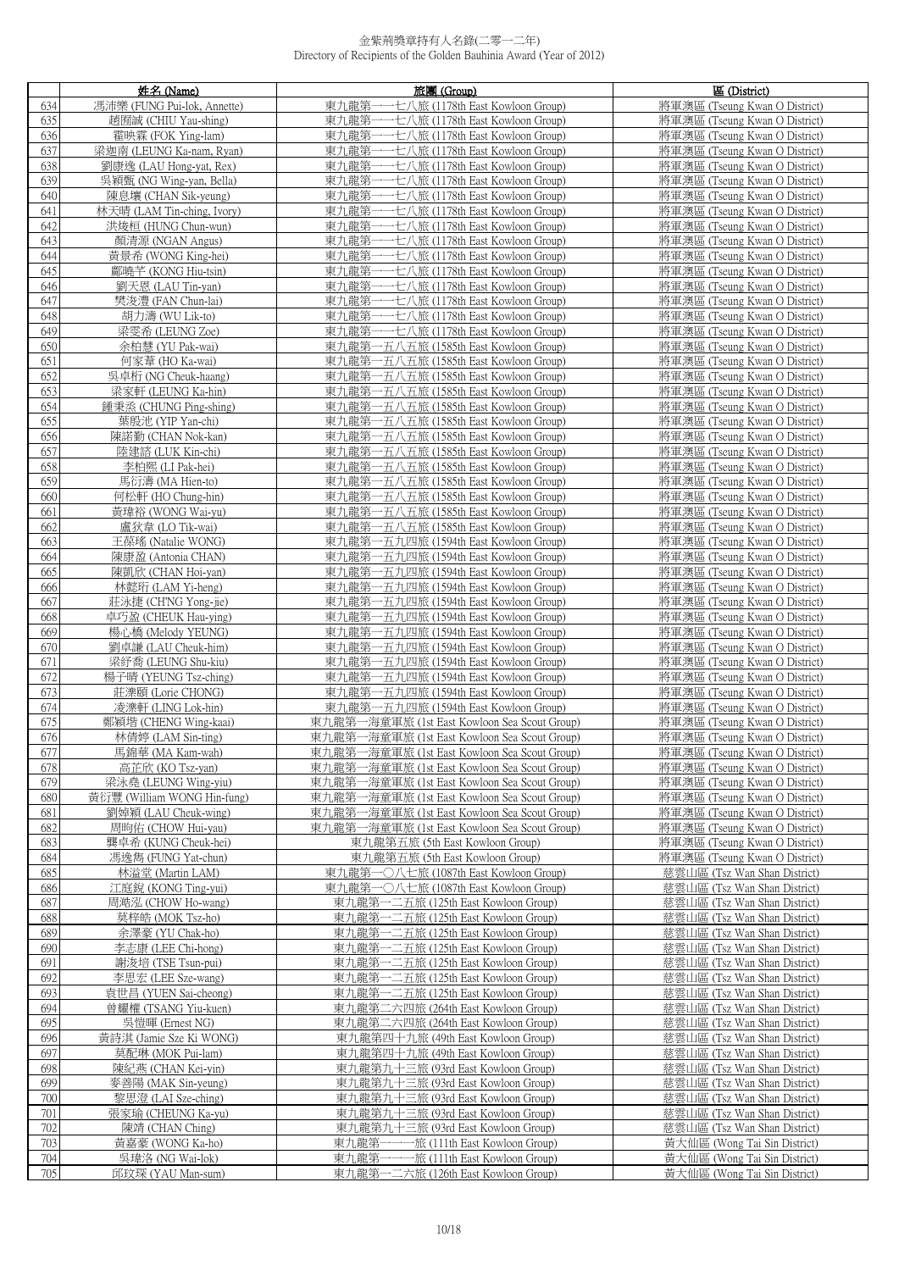|            | 姓名 (Name)                                   | 旅團 (Group)                                                                            | 區 (District)                                                   |
|------------|---------------------------------------------|---------------------------------------------------------------------------------------|----------------------------------------------------------------|
| 634        | 馮沛樂 (FUNG Pui-lok, Annette)                 | 東九龍第<br>一七八旅 (1178th East Kowloon Group)                                              | 將軍澳區 (Tseung Kwan O District)                                  |
| 635        | 趙囿誠 (CHIU Yau-shing)                        | 東九龍第-<br>七八旅 (1178th East Kowloon Group)                                              | 將軍澳區 (Tseung Kwan O District)                                  |
| 636        | 霍映霖 (FOK Ying-lam)                          | 東九龍第-<br>一一七八旅 (1178th East Kowloon Group)                                            | 將軍澳區 (Tseung Kwan O District)                                  |
| 637        | 梁迦南 (LEUNG Ka-nam, Ryan)                    | 東九龍第-<br>---七八旅 (1178th East Kowloon Group)                                           | 將軍澳區 (Tseung Kwan O District)                                  |
| 638        | 劉康逸 (LAU Hong-yat, Rex)                     | 東九龍第-<br>·七八旅 (1178th East Kowloon Group)<br>將軍澳區 (Tseung Kwan O District)            |                                                                |
| 639        | 吳穎甄 (NG Wing-yan, Bella)                    | 東九龍第<br>·七八旅 (1178th East Kowloon Group)                                              | 將軍澳區 (Tseung Kwan O District)                                  |
| 640        | 陳息壤 (CHAN Sik-yeung)                        | 東九龍第<br>一七八旅 (1178th East Kowloon Group)                                              | 將軍澳區 (Tseung Kwan O District)                                  |
| 641        | 林天晴 (LAM Tin-ching, Ivory)                  | 東九龍第-<br>・七八旅 (1178th East Kowloon Group)                                             | 將軍澳區 (Tseung Kwan O District)                                  |
| 642        | 洪焌桓 (HUNG Chun-wun)                         | 東九龍第·<br>·七八旅 (1178th East Kowloon Group)                                             | 將軍澳區 (Tseung Kwan O District)                                  |
| 643        | 顏清源 (NGAN Angus)                            | 東九龍第-<br>---七八旅 (1178th East Kowloon Group)                                           | 將軍澳區 (Tseung Kwan O District)                                  |
| 644        | 黃景希 (WONG King-hei)                         | 東九龍第-<br>・七八旅 (1178th East Kowloon Group)                                             | 將軍澳區 (Tseung Kwan O District)                                  |
| 645        | 鄺曉芊 (KONG Hiu-tsin)                         | 東九龍第<br>七八旅 (1178th East Kowloon Group)<br>一七八旅 (1178th East Kowloon Group)           | 將軍澳區 (Tseung Kwan O District)                                  |
| 646<br>647 | 劉天恩 (LAU Tin-yan)<br>樊浚澧 (FAN Chun-lai)     | 東九龍第<br>東九龍第-<br>七八旅 (1178th East Kowloon Group)                                      | 將軍澳區 (Tseung Kwan O District)<br>將軍澳區 (Tseung Kwan O District) |
| 648        | 胡力濤 (WU Lik-to)                             | 東九龍第-<br>一七八旅 (1178th East Kowloon Group)                                             | 將軍澳區 (Tseung Kwan O District)                                  |
| 649        | 梁雯希 (LEUNG Zoe)                             | 東九龍第一一七八旅 (1178th East Kowloon Group)                                                 | 將軍澳區 (Tseung Kwan O District)                                  |
| 650        | 余柏慧 (YU Pak-wai)                            | 東九龍第一五八五旅 (1585th East Kowloon Group)                                                 | 將軍澳區 (Tseung Kwan O District)                                  |
| 651        | 何家葦 (HO Ka-wai)                             | 東九龍第一五八五旅 (1585th East Kowloon Group)                                                 | 將軍澳區 (Tseung Kwan O District)                                  |
| 652        | 吳卓桁 (NG Cheuk-haang)                        | 東九龍第一五八五旅 (1585th East Kowloon Group)                                                 | 將軍澳區 (Tseung Kwan O District)                                  |
| 653        | 梁家軒 (LEUNG Ka-hin)                          | 東九龍第一五八五旅 (1585th East Kowloon Group)                                                 | 將軍澳區 (Tseung Kwan O District)                                  |
| 654        | 鍾秉烝 (CHUNG Ping-shing)                      | 東九龍第一五八五旅 (1585th East Kowloon Group)                                                 | 將軍澳區 (Tseung Kwan O District)                                  |
| 655        | 葉殷池 (YIP Yan-chi)                           | 東九龍第一五八五旅 (1585th East Kowloon Group)                                                 | 將軍澳區 (Tseung Kwan O District)                                  |
| 656        | 陳諾勤 (CHAN Nok-kan)                          | 東九龍第一五八五旅 (1585th East Kowloon Group)                                                 | 將軍澳區 (Tseung Kwan O District)                                  |
| 657        | 陸建諮 (LUK Kin-chi)                           | 東九龍第一五八五旅 (1585th East Kowloon Group)                                                 | 將軍澳區 (Tseung Kwan O District)                                  |
| 658        | 李柏熙 (LI Pak-hei)                            | 東九龍第一五八五旅 (1585th East Kowloon Group)                                                 | 將軍澳區 (Tseung Kwan O District)                                  |
| 659        | 馬衍濤 (MA Hien-to)                            | 東九龍第一五八五旅 (1585th East Kowloon Group)                                                 | 將軍澳區 (Tseung Kwan O District)                                  |
| 660        | 何松軒 (HO Chung-hin)                          | 東九龍第一五八五旅 (1585th East Kowloon Group)                                                 | 將軍澳區 (Tseung Kwan O District)                                  |
| 661        | 黃瑋裕 (WONG Wai-yu)                           | 東九龍第一五八五旅 (1585th East Kowloon Group)                                                 | 將軍澳區 (Tseung Kwan O District)                                  |
| 662<br>663 | 盧狄韋 (LO Tik-wai)                            | 東九龍第一五八五旅 (1585th East Kowloon Group)                                                 | 將軍澳區 (Tseung Kwan O District)                                  |
| 664        | 王葆瑤 (Natalie WONG)<br>陳康盈 (Antonia CHAN)    | 東九龍第一五九四旅 (1594th East Kowloon Group)<br>東九龍第一五九四旅 (1594th East Kowloon Group)        | 將軍澳區 (Tseung Kwan O District)<br>將軍澳區 (Tseung Kwan O District) |
| 665        | 陳凱欣 (CHAN Hoi-yan)                          | 東九龍第一五九四旅 (1594th East Kowloon Group)                                                 | 將軍澳區 (Tseung Kwan O District)                                  |
| 666        | 林懿珩 (LAM Yi-heng)                           | 東九龍第一五九四旅 (1594th East Kowloon Group)                                                 | 將軍澳區 (Tseung Kwan O District)                                  |
| 667        | 莊泳捷 (CH'NG Yong-jie)                        | 東九龍第一五九四旅 (1594th East Kowloon Group)                                                 | 將軍澳區 (Tseung Kwan O District)                                  |
| 668        | 卓巧盈 (CHEUK Hau-ying)                        | 東九龍第一五九四旅 (1594th East Kowloon Group)                                                 | 將軍澳區 (Tseung Kwan O District)                                  |
| 669        | 楊心橋 (Melody YEUNG)                          | 東九龍第一五九四旅 (1594th East Kowloon Group)                                                 | 將軍澳區 (Tseung Kwan O District)                                  |
| 670        | 劉卓謙 (LAU Cheuk-him)                         | 東九龍第一五九四旅 (1594th East Kowloon Group)                                                 | 將軍澳區 (Tseung Kwan O District)                                  |
| 671        | 梁紓喬 (LEUNG Shu-kiu)                         | 東九龍第一五九四旅 (1594th East Kowloon Group)                                                 | 將軍澳區 (Tseung Kwan O District)                                  |
| 672        | 楊子晴 (YEUNG Tsz-ching)                       | 東九龍第一五九四旅 (1594th East Kowloon Group)                                                 | 將軍澳區 (Tseung Kwan O District)                                  |
| 673        | 莊濼頤 (Lorie CHONG)                           | 東九龍第一五九四旅 (1594th East Kowloon Group)                                                 | 將軍澳區 (Tseung Kwan O District)                                  |
| 674<br>675 | 凌濼軒 (LING Lok-hin)<br>鄭穎堦 (CHENG Wing-kaai) | 東九龍第一五九四旅 (1594th East Kowloon Group)<br>東九龍第一海童軍旅 (1st East Kowloon Sea Scout Group) | 將軍澳區 (Tseung Kwan O District)<br>將軍澳區 (Tseung Kwan O District) |
| 676        | 林倩婷 (LAM Sin-ting)                          | 東九龍第一海童軍旅 (1st East Kowloon Sea Scout Group)                                          | 將軍澳區 (Tseung Kwan O District)                                  |
| 677        | 馬錦華 (MA Kam-wah)                            | 東九龍第一海童軍旅 (1st East Kowloon Sea Scout Group)                                          | 將軍澳區 (Tseung Kwan O District)                                  |
| 678        | 高芷欣 (KO Tsz-van)                            | 東九龍第一海童軍旅 (1st East Kowloon Sea Scout Group)                                          | 將軍澳區 (Tseung Kwan O District)                                  |
| 679        | 梁泳堯 (LEUNG Wing-yiu)                        | 東九龍第一海童軍旅 (1st East Kowloon Sea Scout Group)                                          | 將軍澳區 (Tseung Kwan O District)                                  |
| 680        | 黃衍豐 (William WONG Hin-fung)                 | 東九龍第一海童軍旅 (1st East Kowloon Sea Scout Group)                                          | 將軍澳區 (Tseung Kwan O District)                                  |
| 681        | 劉婥穎 (LAU Cheuk-wing)                        | 東九龍第一海童軍旅 (1st East Kowloon Sea Scout Group)                                          | 將軍澳區 (Tseung Kwan O District)                                  |
| 682        | 周昫佑 (CHOW Hui-yau)                          | 東九龍第一海童軍旅 (1st East Kowloon Sea Scout Group)                                          | 將軍澳區 (Tseung Kwan O District)                                  |
| 683        | 龔卓希 (KUNG Cheuk-hei)                        | 東九龍第五旅 (5th East Kowloon Group)                                                       | 將軍澳區 (Tseung Kwan O District)                                  |
| 684        | 馮逸雋 (FUNG Yat-chun)                         | 東九龍第五旅 (5th East Kowloon Group)                                                       | 將軍澳區 (Tseung Kwan O District)                                  |
| 685        | 林溢堂 (Martin LAM)                            | 東九龍第一〇八七旅 (1087th East Kowloon Group)                                                 | 慈雲山區 (Tsz Wan Shan District)                                   |
| 686        | 江庭銳 (KONG Ting-yui)                         | 東九龍第一〇八七旅 (1087th East Kowloon Group)                                                 | 慈雲山區 (Tsz Wan Shan District)                                   |
| 687        | 周澔泓 (CHOW Ho-wang)                          | 東九龍第一二五旅 (125th East Kowloon Group)                                                   | 慈雲山區 (Tsz Wan Shan District)                                   |
| 688        | 莫梓皓 (MOK Tsz-ho)<br>余澤豪 (YU Chak-ho)        | 東九龍第一二五旅 (125th East Kowloon Group)                                                   | 慈雲山區 (Tsz Wan Shan District)                                   |
| 689<br>690 | 李志康 (LEE Chi-hong)                          | 東九龍第一二五旅 (125th East Kowloon Group)<br>東九龍第一二五旅 (125th East Kowloon Group)            | 慈雲山區 (Tsz Wan Shan District)<br>慈雲山區 (Tsz Wan Shan District)   |
| 691        | 謝浚培 (TSE Tsun-pui)                          | 東九龍第一二五旅 (125th East Kowloon Group)                                                   | 慈雲山區 (Tsz Wan Shan District)                                   |
| 692        | 李思宏 (LEE Sze-wang)                          | 東九龍第一二五旅 (125th East Kowloon Group)                                                   | 慈雲山區 (Tsz Wan Shan District)                                   |
| 693        | 袁世昌 (YUEN Sai-cheong)                       | 東九龍第一二五旅 (125th East Kowloon Group)                                                   | 慈雲山區 (Tsz Wan Shan District)                                   |
| 694        | 曾耀權 (TSANG Yiu-kuen)                        | 東九龍第二六四旅 (264th East Kowloon Group)                                                   | 慈雲山區 (Tsz Wan Shan District)                                   |
| 695        | 吳愷暉 (Ernest NG)                             | 東九龍第二六四旅 (264th East Kowloon Group)                                                   | 慈雲山區 (Tsz Wan Shan District)                                   |
| 696        | 黃詩淇 (Jamie Sze Ki WONG)                     | 東九龍第四十九旅 (49th East Kowloon Group)                                                    | 慈雲山區 (Tsz Wan Shan District)                                   |
| 697        | 莫配琳 (MOK Pui-lam)                           | 東九龍第四十九旅 (49th East Kowloon Group)                                                    | 慈雲山區 (Tsz Wan Shan District)                                   |
| 698        | 陳紀燕 (CHAN Kei-yin)                          | 東九龍第九十三旅 (93rd East Kowloon Group)                                                    | 慈雲山區 (Tsz Wan Shan District)                                   |
| 699        | 麥善陽 (MAK Sin-yeung)                         | 東九龍第九十三旅 (93rd East Kowloon Group)                                                    | 慈雲山區 (Tsz Wan Shan District)                                   |
| 700        | 黎思澄 (LAI Sze-ching)                         | 東九龍第九十三旅 (93rd East Kowloon Group)                                                    | 慈雲山區 (Tsz Wan Shan District)                                   |
| 701        | 張家瑜 (CHEUNG Ka-yu)                          | 東九龍第九十三旅 (93rd East Kowloon Group)                                                    | 慈雲山區 (Tsz Wan Shan District)                                   |
| 702<br>703 | 陳靖 (CHAN Ching)                             | 東九龍第九十三旅 (93rd East Kowloon Group)                                                    | 慈雲山區 (Tsz Wan Shan District)                                   |
| 704        | 黃嘉豪 (WONG Ka-ho)<br>吳瑋洛 (NG Wai-lok)        | 東九龍第一一一旅 (111th East Kowloon Group)<br>東九龍第一一一旅 (111th East Kowloon Group)            | 黃大仙區 (Wong Tai Sin District)<br>黃大仙區 (Wong Tai Sin District)   |
| 705        | 邱玟琛 (YAU Man-sum)                           | 東九龍第一二六旅 (126th East Kowloon Group)                                                   | 黃大仙區 (Wong Tai Sin District)                                   |
|            |                                             |                                                                                       |                                                                |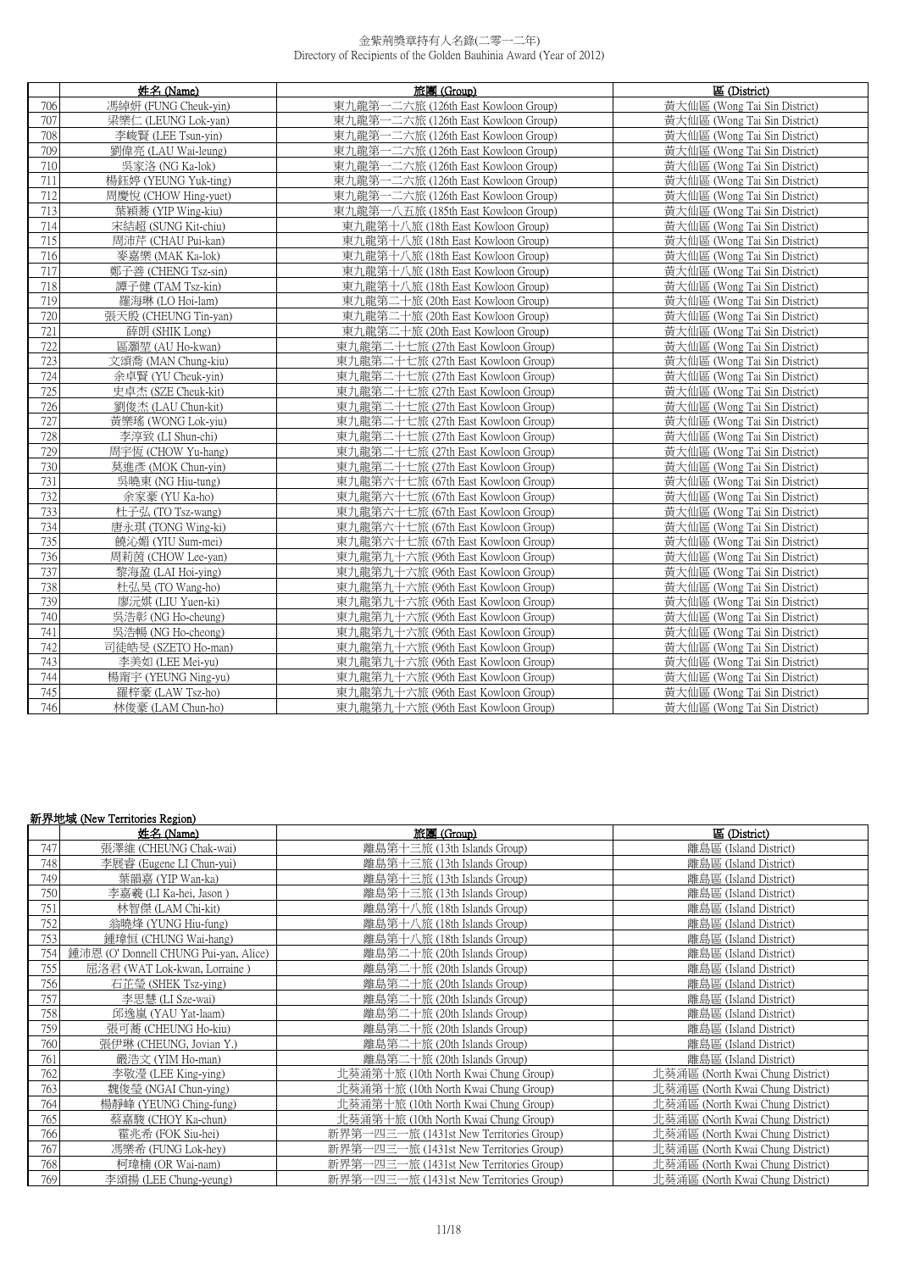|     | 姓名 (Name)            | 旅團 (Group)                          | 區 (District)                 |
|-----|----------------------|-------------------------------------|------------------------------|
| 706 | 馮綽妍 (FUNG Cheuk-vin) | 東九龍第一二六旅 (126th East Kowloon Group) | 黃大仙區 (Wong Tai Sin District) |
| 707 | 梁樂仁 (LEUNG Lok-van)  | 東九龍第一二六旅 (126th East Kowloon Group) | 黃大仙區 (Wong Tai Sin District) |
| 708 | 李峻賢 (LEE Tsun-yin)   | 東九龍第一二六旅 (126th East Kowloon Group) | 黃大仙區 (Wong Tai Sin District) |
| 709 | 劉偉亮 (LAU Wai-leung)  | 東九龍第一二六旅 (126th East Kowloon Group) | 黃大仙區 (Wong Tai Sin District) |
| 710 | 吳家洛 (NG Ka-lok)      | 東九龍第一二六旅 (126th East Kowloon Group) | 黃大仙區 (Wong Tai Sin District) |
| 711 | 楊鈺婷 (YEUNG Yuk-ting) | 東九龍第一二六旅 (126th East Kowloon Group) | 黃大仙區 (Wong Tai Sin District) |
| 712 | 周慶悅 (CHOW Hing-yuet) | 東九龍第一二六旅 (126th East Kowloon Group) | 黃大仙區 (Wong Tai Sin District) |
| 713 | 葉穎蕎 (YIP Wing-kiu)   | 東九龍第一八五旅 (185th East Kowloon Group) | 黃大仙區 (Wong Tai Sin District) |
| 714 | 宋結超 (SUNG Kit-chiu)  | 東九龍第十八旅 (18th East Kowloon Group)   | 黃大仙區 (Wong Tai Sin District) |
| 715 | 周沛芹 (CHAU Pui-kan)   | 東九龍第十八旅 (18th East Kowloon Group)   | 黃大仙區 (Wong Tai Sin District) |
| 716 | 麥嘉樂 (MAK Ka-lok)     | 東九龍第十八旅 (18th East Kowloon Group)   | 黃大仙區 (Wong Tai Sin District) |
| 717 | 鄭子善 (CHENG Tsz-sin)  | 東九龍第十八旅 (18th East Kowloon Group)   | 黃大仙區 (Wong Tai Sin District) |
| 718 | 譚子健 (TAM Tsz-kin)    | 東九龍第十八旅 (18th East Kowloon Group)   | 黃大仙區 (Wong Tai Sin District) |
| 719 | 羅海琳 (LO Hoi-lam)     | 東九龍第二十旅 (20th East Kowloon Group)   | 黃大仙區 (Wong Tai Sin District) |
| 720 | 張天殷 (CHEUNG Tin-yan) | 東九龍第二十旅 (20th East Kowloon Group)   | 黃大仙區 (Wong Tai Sin District) |
| 721 | 薛朗 (SHIK Long)       | 東九龍第二十旅 (20th East Kowloon Group)   | 黃大仙區 (Wong Tai Sin District) |
| 722 | 區灝堃 (AU Ho-kwan)     | 東九龍第二十七旅 (27th East Kowloon Group)  | 黃大仙區 (Wong Tai Sin District) |
| 723 | 文頌喬 (MAN Chung-kiu)  | 東九龍第二十七旅 (27th East Kowloon Group)  | 黃大仙區 (Wong Tai Sin District) |
| 724 | 余卓賢 (YU Cheuk-vin)   | 東九龍第二十七旅 (27th East Kowloon Group)  | 黃大仙區 (Wong Tai Sin District) |
| 725 | 史卓杰 (SZE Cheuk-kit)  | 東九龍第二十七旅 (27th East Kowloon Group)  | 黃大仙區 (Wong Tai Sin District) |
| 726 | 劉俊杰 (LAU Chun-kit)   | 東九龍第二十七旅 (27th East Kowloon Group)  | 黃大仙區 (Wong Tai Sin District) |
| 727 | 黃樂瑤 (WONG Lok-yiu)   | 東九龍第二十七旅 (27th East Kowloon Group)  | 黃大仙區 (Wong Tai Sin District) |
| 728 | 李淳致 (LI Shun-chi)    | 東九龍第二十七旅 (27th East Kowloon Group)  | 黃大仙區 (Wong Tai Sin District) |
| 729 | 周宇恆 (CHOW Yu-hang)   | 東九龍第二十七旅 (27th East Kowloon Group)  | 黃大仙區 (Wong Tai Sin District) |
| 730 | 莫進彥 (MOK Chun-yin)   | 東九龍第二十七旅 (27th East Kowloon Group)  | 黃大仙區 (Wong Tai Sin District) |
| 731 | 吳曉東 (NG Hiu-tung)    | 東九龍第六十七旅 (67th East Kowloon Group)  | 黃大仙區 (Wong Tai Sin District) |
| 732 | 余家豪 (YU Ka-ho)       | 東九龍第六十七旅 (67th East Kowloon Group)  | 黃大仙區 (Wong Tai Sin District) |
| 733 | 杜子弘 (TO Tsz-wang)    | 東九龍第六十七旅 (67th East Kowloon Group)  | 黃大仙區 (Wong Tai Sin District) |
| 734 | 唐永琪 (TONG Wing-ki)   | 東九龍第六十七旅 (67th East Kowloon Group)  | 黃大仙區 (Wong Tai Sin District) |
| 735 | 饒沁媚 (YIU Sum-mei)    | 東九龍第六十七旅 (67th East Kowloon Group)  | 黃大仙區 (Wong Tai Sin District) |
| 736 | 周莉茵 (CHOW Lee-yan)   | 東九龍第九十六旅 (96th East Kowloon Group)  | 黃大仙區 (Wong Tai Sin District) |
| 737 | 黎海盈 (LAI Hoi-ving)   | 東九龍第九十六旅 (96th East Kowloon Group)  | 黃大仙區 (Wong Tai Sin District) |
| 738 | 杜弘昊 (TO Wang-ho)     | 東九龍第九十六旅 (96th East Kowloon Group)  | 黃大仙區 (Wong Tai Sin District) |
| 739 | 廖沅娸 (LIU Yuen-ki)    | 東九龍第九十六旅 (96th East Kowloon Group)  | 黃大仙區 (Wong Tai Sin District) |
| 740 | 吳浩彰 (NG Ho-cheung)   | 東九龍第九十六旅 (96th East Kowloon Group)  | 黃大仙區 (Wong Tai Sin District) |
| 741 | 吳浩暢 (NG Ho-cheong)   | 東九龍第九十六旅 (96th East Kowloon Group)  | 黃大仙區 (Wong Tai Sin District) |
| 742 | 司徒皓旻 (SZETO Ho-man)  | 東九龍第九十六旅 (96th East Kowloon Group)  | 黃大仙區 (Wong Tai Sin District) |
| 743 | 李美如 (LEE Mei-yu)     | 東九龍第九十六旅 (96th East Kowloon Group)  | 黃大仙區 (Wong Tai Sin District) |
| 744 | 楊甯宇 (YEUNG Ning-yu)  | 東九龍第九十六旅 (96th East Kowloon Group)  | 黃大仙區 (Wong Tai Sin District) |
| 745 | 羅梓豪 (LAW Tsz-ho)     | 東九龍第九十六旅 (96th East Kowloon Group)  | 黃大仙區 (Wong Tai Sin District) |
| 746 | 林俊豪 (LAM Chun-ho)    | 東九龍第九十六旅 (96th East Kowloon Group)  | 黃大仙區 (Wong Tai Sin District) |

### 新界地域 (New Territories Region)

|     | 姓名 (Name)                             | 旅團 (Group)                              | 區 (District)                     |
|-----|---------------------------------------|-----------------------------------------|----------------------------------|
| 747 | 張澤維 (CHEUNG Chak-wai)                 | 離島第十三旅 (13th Islands Group)             | 離島區 (Island District)            |
| 748 | 李展睿 (Eugene LI Chun-yui)              | 離島第十三旅 (13th Islands Group)             | 離島區 (Island District)            |
| 749 | 葉韻嘉 (YIP Wan-ka)                      | 離島第十三旅 (13th Islands Group)             | 離島區 (Island District)            |
| 750 | 李嘉羲 (LI Ka-hei, Jason)                | 離島第十三旅 (13th Islands Group)             | 離島區 (Island District)            |
| 751 | 林智傑 (LAM Chi-kit)                     | 離島第十八旅 (18th Islands Group)             | 離島區 (Island District)            |
| 752 | 翁曉烽 (YUNG Hiu-fung)                   | 離島第十八旅 (18th Islands Group)             | 離島區 (Island District)            |
| 753 | 鍾瑋恒 (CHUNG Wai-hang)                  | 離島第十八旅 (18th Islands Group)             | 離島區 (Island District)            |
| 754 | 鍾沛恩 (O' Donnell CHUNG Pui-yan, Alice) | 離島第二十旅 (20th Islands Group)             | 離島區 (Island District)            |
| 755 | 屈洛君 (WAT Lok-kwan, Lorraine)          | 離島第二十旅 (20th Islands Group)             | 離島區 (Island District)            |
| 756 | 石芷瑩 (SHEK Tsz-ying)                   | 離島第二十旅 (20th Islands Group)             | 離島區 (Island District)            |
| 757 | 李思慧 (LI Sze-wai)                      | 離島第二十旅 (20th Islands Group)             | 離島區 (Island District)            |
| 758 | 邱逸嵐 (YAU Yat-laam)                    | 離島第二十旅 (20th Islands Group)             | 離島區 (Island District)            |
| 759 | 張可蕎 (CHEUNG Ho-kiu)                   | 離島第二十旅 (20th Islands Group)             | 離島區 (Island District)            |
| 760 | 張伊琳 (CHEUNG, Jovian Y.)               | 離島第二十旅 (20th Islands Group)             | 離島區 (Island District)            |
| 761 | 嚴浩文 (YIM Ho-man)                      | 離島第二十旅 (20th Islands Group)             | 離島區 (Island District)            |
| 762 | 李敬瀅 (LEE King-ying)                   | 北葵涌第十旅 (10th North Kwai Chung Group)    | 北葵涌區 (North Kwai Chung District) |
| 763 | 魏俊瑩 (NGAI Chun-ying)                  | 北葵涌第十旅 (10th North Kwai Chung Group)    | 北葵涌區 (North Kwai Chung District) |
| 764 | 楊靜峰 (YEUNG Ching-fung)                | 北葵涌第十旅 (10th North Kwai Chung Group)    | 北葵涌區 (North Kwai Chung District) |
| 765 | 蔡嘉駿 (CHOY Ka-chun)                    | 北葵涌第十旅 (10th North Kwai Chung Group)    | 北葵涌區 (North Kwai Chung District) |
| 766 | 霍兆希 (FOK Siu-hei)                     | 新界第一四三一旅 (1431st New Territories Group) | 北葵涌區 (North Kwai Chung District) |
| 767 | 馮樂希 (FUNG Lok-hey)                    | 新界第一四三一旅 (1431st New Territories Group) | 北葵涌區 (North Kwai Chung District) |
| 768 | 柯瑋楠 (OR Wai-nam)                      | 新界第一四三一旅 (1431st New Territories Group) | 北葵涌區 (North Kwai Chung District) |
| 769 | 李頌揚 (LEE Chung-yeung)                 | 新界第一四三一旅 (1431st New Territories Group) | 北葵涌區 (North Kwai Chung District) |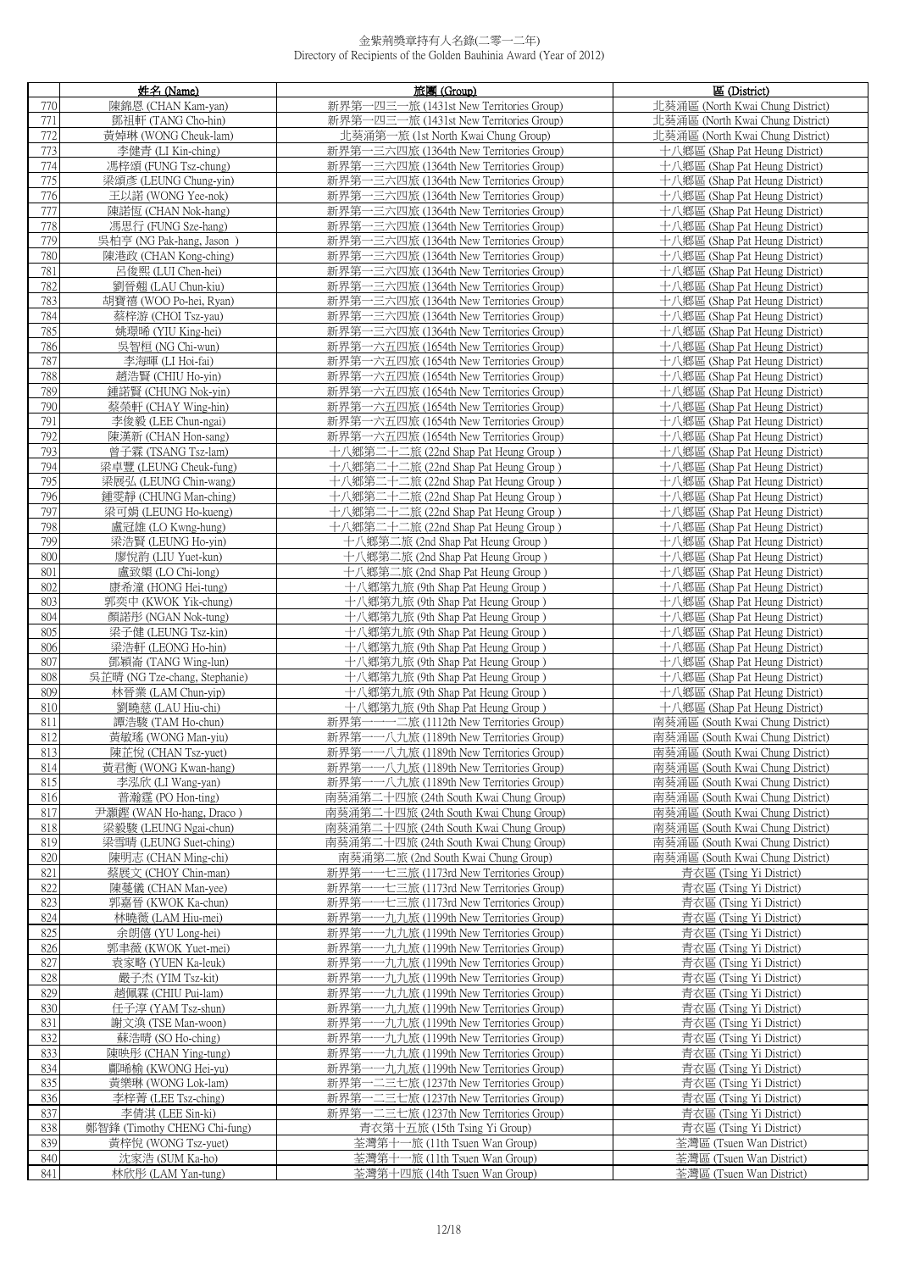|            | 姓名 (Name)                                                                                                                                | 旅團 (Group)                                                                          | 區 (District)                                                         |
|------------|------------------------------------------------------------------------------------------------------------------------------------------|-------------------------------------------------------------------------------------|----------------------------------------------------------------------|
| 770        | 陳錦恩 (CHAN Kam-yan)                                                                                                                       | 新界第一四三一旅 (1431st New Territories Group)                                             | 北葵涌區 (North Kwai Chung District)                                     |
| 771        | 鄧祖軒 (TANG Cho-hin)                                                                                                                       | 新界第一四三一旅 (1431st New Territories Group)                                             | 北葵涌區 (North Kwai Chung District)                                     |
| 772        | 黃婥琳 (WONG Cheuk-lam)                                                                                                                     | 北葵涌第一旅 (1st North Kwai Chung Group)                                                 | 北葵涌區 (North Kwai Chung District)                                     |
| 773        | 李健青 (LI Kin-ching)                                                                                                                       | 新界第一三六四旅 (1364th New Territories Group)                                             | 十八鄉區 (Shap Pat Heung District)                                       |
| 774        | 馮梓頌 (FUNG Tsz-chung)                                                                                                                     | 新界第一三六四旅 (1364th New Territories Group)                                             | 十八鄉區 (Shap Pat Heung District)                                       |
| 776        | 775<br>梁頌彥 (LEUNG Chung-yin)<br>新界第一三六四旅 (1364th New Territories Group)<br>新界第一三六四旅 (1364th New Territories Group)<br>王以諾 (WONG Yee-nok) |                                                                                     | 十八鄉區 (Shap Pat Heung District)<br>十八鄉區 (Shap Pat Heung District)     |
| 777        | 陳諾恆 (CHAN Nok-hang)                                                                                                                      | 新界第一三六四旅 (1364th New Territories Group)                                             | 十八鄉區 (Shap Pat Heung District)                                       |
| 778        | 馮思行 (FUNG Sze-hang)                                                                                                                      | 新界第一三六四旅 (1364th New Territories Group)                                             | 十八鄉區 (Shap Pat Heung District)                                       |
| 779        | 吳柏亨 (NG Pak-hang, Jason)                                                                                                                 | 新界第一三六四旅 (1364th New Territories Group)                                             | 十八鄉區 (Shap Pat Heung District)                                       |
| 780        | 陳港政 (CHAN Kong-ching)                                                                                                                    | 新界第一三六四旅 (1364th New Territories Group)                                             | 十八鄉區 (Shap Pat Heung District)                                       |
| 781        | 呂俊熙 (LUI Chen-hei)                                                                                                                       | 新界第一三六四旅 (1364th New Territories Group)                                             | 十八鄉區 (Shap Pat Heung District)                                       |
| 782        | 劉晉翹 (LAU Chun-kiu)                                                                                                                       | 新界第一三六四旅 (1364th New Territories Group)                                             | 十八鄉區 (Shap Pat Heung District)                                       |
| 783        | 胡寶禧 (WOO Po-hei, Ryan)                                                                                                                   | 新界第一三六四旅 (1364th New Territories Group)                                             | 十八鄉區 (Shap Pat Heung District)                                       |
| 784        | 蔡梓游 (CHOI Tsz-yau)                                                                                                                       | 新界第一三六四旅 (1364th New Territories Group)                                             | 十八鄉區 (Shap Pat Heung District)                                       |
| 785        | 姚璟晞 (YIU King-hei)                                                                                                                       | 新界第一三六四旅 (1364th New Territories Group)                                             | 十八鄉區 (Shap Pat Heung District)                                       |
| 786        | 吳智桓 (NG Chi-wun)                                                                                                                         | 新界第一六五四旅 (1654th New Territories Group)                                             | 十八鄉區 (Shap Pat Heung District)                                       |
| 787        | 李海暉 (LI Hoi-fai)                                                                                                                         | 新界第一六五四旅 (1654th New Territories Group)                                             | 十八鄉區 (Shap Pat Heung District)                                       |
| 788        | 趙浩賢 (CHIU Ho-yin)                                                                                                                        | 新界第一六五四旅 (1654th New Territories Group)                                             | 十八鄉區 (Shap Pat Heung District)                                       |
| 789<br>790 | 鍾諾賢 (CHUNG Nok-yin)<br>蔡榮軒 (CHAY Wing-hin)                                                                                               | 新界第一六五四旅 (1654th New Territories Group)<br>新界第一六五四旅 (1654th New Territories Group)  | 十八郷區 (Shap Pat Heung District)                                       |
| 791        | 李俊毅 (LEE Chun-ngai)                                                                                                                      | 新界第一六五四旅 (1654th New Territories Group)                                             | 十八鄉區 (Shap Pat Heung District)<br>十八鄉區 (Shap Pat Heung District)     |
| 792        | 陳漢新 (CHAN Hon-sang)                                                                                                                      | 新界第一六五四旅 (1654th New Territories Group)                                             | 十八鄉區 (Shap Pat Heung District)                                       |
| 793        | 曾子霖 (TSANG Tsz-lam)                                                                                                                      | 十八鄉第二十二旅 (22nd Shap Pat Heung Group)                                                | 十八鄉區 (Shap Pat Heung District)                                       |
| 794        | 梁卓豐 (LEUNG Cheuk-fung)                                                                                                                   | 十八鄉第二十二旅 (22nd Shap Pat Heung Group)                                                | 十八鄉區 (Shap Pat Heung District)                                       |
| 795        | 梁展弘 (LEUNG Chin-wang)                                                                                                                    | 十八鄉第二十二旅 (22nd Shap Pat Heung Group)                                                | 十八鄉區 (Shap Pat Heung District)                                       |
| 796        | 鍾雯靜 (CHUNG Man-ching)                                                                                                                    | 十八鄉第二十二旅 (22nd Shap Pat Heung Group)                                                | 十八鄉區 (Shap Pat Heung District)                                       |
| 797        | 梁可娟 (LEUNG Ho-kueng)                                                                                                                     | 十八鄉第二十二旅 (22nd Shap Pat Heung Group)                                                | 十八鄉區 (Shap Pat Heung District)                                       |
| 798        | 盧冠雄 (LO Kwng-hung)                                                                                                                       | 十八鄉第二十二旅 (22nd Shap Pat Heung Group)                                                | 十八鄉區 (Shap Pat Heung District)                                       |
| 799        | 梁浩賢 (LEUNG Ho-yin)                                                                                                                       | 十八鄉第二旅 (2nd Shap Pat Heung Group)                                                   | 十八鄉區 (Shap Pat Heung District)                                       |
| 800        | 廖悅韵 (LIU Yuet-kun)                                                                                                                       | 十八鄉第二旅 (2nd Shap Pat Heung Group)                                                   | 十八鄉區 (Shap Pat Heung District)                                       |
| 801        | 盧致㮾 (LO Chi-long)                                                                                                                        | 十八鄉第二旅 (2nd Shap Pat Heung Group)                                                   | 十八鄉區 (Shap Pat Heung District)                                       |
| 802        | 康希潼 (HONG Hei-tung)                                                                                                                      | 十八鄉第九旅 (9th Shap Pat Heung Group)                                                   | 十八鄉區 (Shap Pat Heung District)                                       |
| 803<br>804 | 郭奕中 (KWOK Yik-chung)                                                                                                                     | 十八鄉第九旅 (9th Shap Pat Heung Group)                                                   | 十八鄉區 (Shap Pat Heung District)                                       |
| 805        | 顏諾彤 (NGAN Nok-tung)<br>梁子健 (LEUNG Tsz-kin)                                                                                               | 十八鄉第九旅 (9th Shap Pat Heung Group)<br>十八鄉第九旅 (9th Shap Pat Heung Group)              | 十八鄉區 (Shap Pat Heung District)<br>十八鄉區 (Shap Pat Heung District)     |
| 806        | 梁浩軒 (LEONG Ho-hin)                                                                                                                       | 十八鄉第九旅 (9th Shap Pat Heung Group)                                                   | 十八鄉區 (Shap Pat Heung District)                                       |
| 807        | 鄧穎崙 (TANG Wing-lun)                                                                                                                      | 十八鄉第九旅 (9th Shap Pat Heung Group)                                                   | 十八鄉區 (Shap Pat Heung District)                                       |
| 808        | 吳芷晴 (NG Tze-chang, Stephanie)                                                                                                            | 十八鄉第九旅 (9th Shap Pat Heung Group)                                                   | 十八鄉區 (Shap Pat Heung District)                                       |
| 809        | 林晉業 (LAM Chun-yip)                                                                                                                       | 十八鄉第九旅 (9th Shap Pat Heung Group)                                                   | 十八鄉區 (Shap Pat Heung District)                                       |
| 810        | 劉曉慈 (LAU Hiu-chi)                                                                                                                        | 十八鄉第九旅 (9th Shap Pat Heung Group)                                                   | 十八鄉區 (Shap Pat Heung District)                                       |
| 811        | 譚浩駿 (TAM Ho-chun)                                                                                                                        | 新界第一一一二旅 (1112th New Territories Group)                                             | 南葵涌區 (South Kwai Chung District)                                     |
| 812        | 黃敏瑤 (WONG Man-yiu)                                                                                                                       | 新界第一一八九旅 (1189th New Territories Group)                                             | 南葵涌區 (South Kwai Chung District)                                     |
| 813        | 陳芷悅 (CHAN Tsz-yuet)                                                                                                                      | 新界第一一八九旅 (1189th New Territories Group)                                             | 南葵涌區 (South Kwai Chung District)                                     |
| 814        | 黃君衡 (WONG Kwan-hang)                                                                                                                     | 新界第一一八九旅 (1189th New Territories Group)                                             | 南葵涌區 (South Kwai Chung District)                                     |
| 815        | 李泓欣 (LI Wang-yan)                                                                                                                        | 新界第一一八九旅 (1189th New Territories Group)                                             | 南葵涌區 (South Kwai Chung District)                                     |
| 816        | 普瀚霆 (PO Hon-ting)                                                                                                                        | 南葵涌第二十四旅 (24th South Kwai Chung Group)<br>南葵涌第二十四旅 (24th South Kwai Chung Group)    | 南葵涌區 (South Kwai Chung District)                                     |
| 817<br>818 | 尹灝鏗 (WAN Ho-hang, Draco)<br>梁毅駿 (LEUNG Ngai-chun)                                                                                        | 南葵涌第二十四旅 (24th South Kwai Chung Group)                                              | 南葵涌區 (South Kwai Chung District)<br>南葵涌區 (South Kwai Chung District) |
| 819        | 梁雪晴 (LEUNG Suet-ching)                                                                                                                   | 南葵涌第二十四旅 (24th South Kwai Chung Group)                                              | 南葵涌區 (South Kwai Chung District)                                     |
| 820        | 陳明志 (CHAN Ming-chi)                                                                                                                      | 南葵涌第二旅 (2nd South Kwai Chung Group)                                                 | 南葵涌區 (South Kwai Chung District)                                     |
| 821        | 蔡展文 (CHOY Chin-man)                                                                                                                      | 新界第-<br>---七三旅 (1173rd New Territories Group)                                       | 青衣區 (Tsing Yi District)                                              |
| 822        | 陳蔓儀 (CHAN Man-yee)                                                                                                                       | ---七三旅 (1173rd New Territories Group)<br>新界第-                                       | 青衣區 (Tsing Yi District)                                              |
| 823        | 郭嘉晉 (KWOK Ka-chun)                                                                                                                       | ---七三旅 (1173rd New Territories Group)<br>新界第-                                       | 青衣區 (Tsing Yi District)                                              |
| 824        | 林曉薇 (LAM Hiu-mei)                                                                                                                        | --九九旅 (1199th New Territories Group)<br>新界第-                                        | 青衣區 (Tsing Yi District)                                              |
| 825        | 余朗僖 (YU Long-hei)                                                                                                                        | 新界第-<br>--九九旅 (1199th New Territories Group)                                        | 青衣區 (Tsing Yi District)                                              |
| 826        | 郭聿薇 (KWOK Yuet-mei)                                                                                                                      | 新界第-<br>--九九旅 (1199th New Territories Group)                                        | 青衣區 (Tsing Yi District)                                              |
| 827        | 袁家略 (YUEN Ka-leuk)                                                                                                                       | 新界第-<br>-九九旅 (1199th New Territories Group)                                         | 青衣區 (Tsing Yi District)                                              |
| 828        | 嚴子杰 (YIM Tsz-kit)                                                                                                                        | 新界第-<br>--九九旅 (1199th New Territories Group)                                        | 青衣區 (Tsing Yi District)                                              |
| 829        | 趙佩霖 (CHIU Pui-lam)                                                                                                                       | 新界第一一九九旅 (1199th New Territories Group)                                             | 青衣區 (Tsing Yi District)                                              |
| 830<br>831 | 任子淳 (YAM Tsz-shun)                                                                                                                       | -九九旅 (1199th New Territories Group)<br>新界第-<br>新界第·                                 | 青衣區 (Tsing Yi District)                                              |
| 832        | 謝文渙 (TSE Man-woon)<br>蘇浩晴 (SO Ho-ching)                                                                                                  | -九九旅 (1199th New Territories Group)<br>新界第-<br>--九九旅 (1199th New Territories Group) | 青衣區 (Tsing Yi District)<br>青衣區 (Tsing Yi District)                   |
| 833        | 陳映彤 (CHAN Ying-tung)                                                                                                                     | 新界第-<br>-九九旅 (1199th New Territories Group)                                         | 青衣區 (Tsing Yi District)                                              |
| 834        | 鄺晞榆 (KWONG Hei-yu)                                                                                                                       | 新界第-<br>--九九旅 (1199th New Territories Group)                                        | 青衣區 (Tsing Yi District)                                              |
| 835        | 黃樂琳 (WONG Lok-lam)                                                                                                                       | 新界第一二三七旅 (1237th New Territories Group)                                             | 青衣區 (Tsing Yi District)                                              |
| 836        | 李梓菁 (LEE Tsz-ching)                                                                                                                      | 新界第一二三七旅 (1237th New Territories Group)                                             | 青衣區 (Tsing Yi District)                                              |
| 837        | 李倩淇 (LEE Sin-ki)                                                                                                                         | 新界第一二三七旅 (1237th New Territories Group)                                             | 青衣區 (Tsing Yi District)                                              |
| 838        | 鄭智鋒 (Timothy CHENG Chi-fung)                                                                                                             | 青衣第十五旅 (15th Tsing Yi Group)                                                        | 青衣區 (Tsing Yi District)                                              |
| 839        | 黃梓悅 (WONG Tsz-yuet)                                                                                                                      | 荃灣第十一旅 (11th Tsuen Wan Group)                                                       | 荃灣區 (Tsuen Wan District)                                             |
| 840        | 沈家浩 (SUM Ka-ho)                                                                                                                          | 荃灣第十一旅 (11th Tsuen Wan Group)                                                       | 荃灣區 (Tsuen Wan District)                                             |
| 841        | 林欣彤 (LAM Yan-tung)                                                                                                                       | 荃灣第十四旅 (14th Tsuen Wan Group)                                                       | 荃灣區 (Tsuen Wan District)                                             |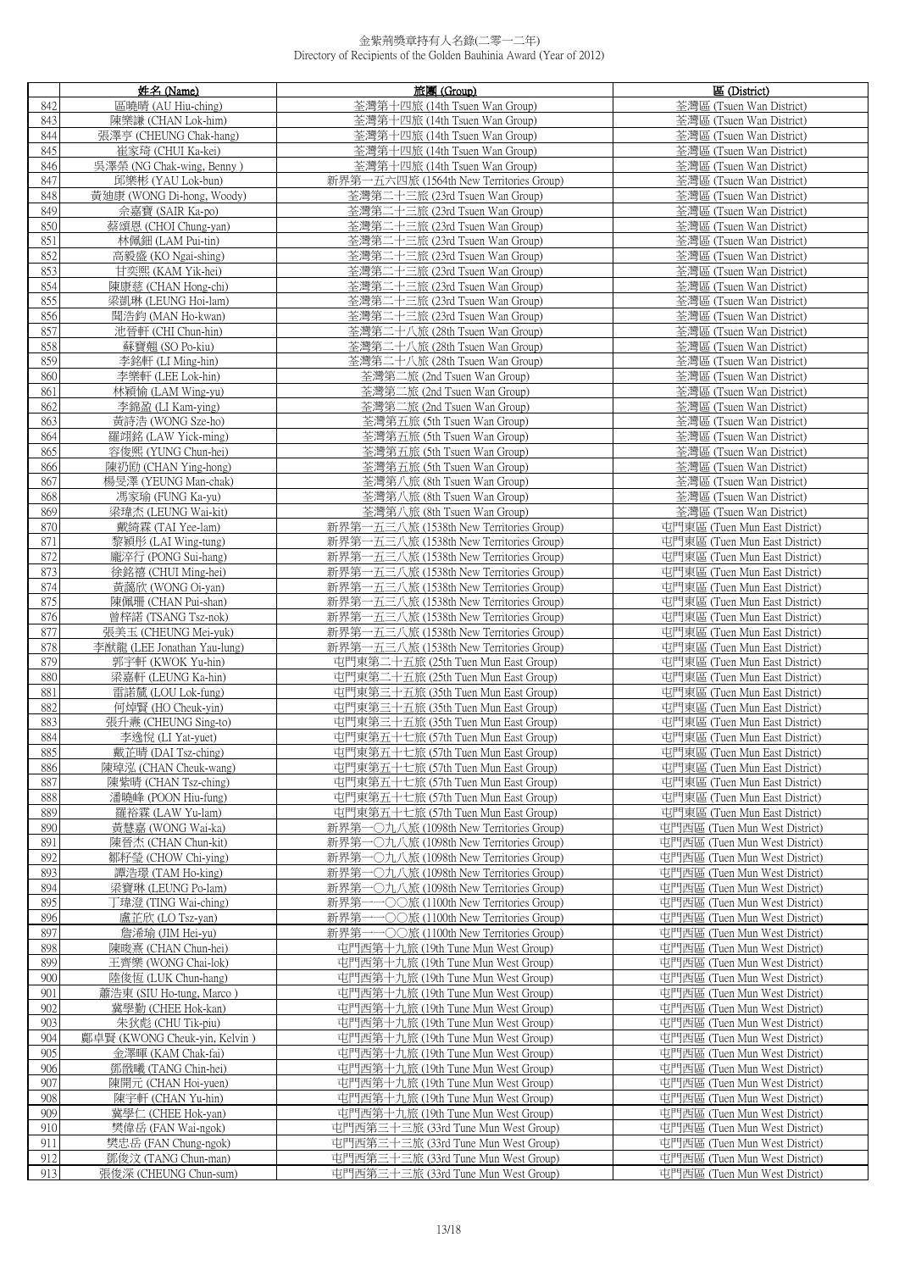|            | 姓名 (Name)                                           | 旅團 (Group)                                                                         | 區 (District)                                                   |
|------------|-----------------------------------------------------|------------------------------------------------------------------------------------|----------------------------------------------------------------|
| 842        | 區曉晴 (AU Hiu-ching)                                  | 荃灣第十四旅 (14th Tsuen Wan Group)                                                      | 荃灣區 (Tsuen Wan District)                                       |
| 843        | 陳樂謙 (CHAN Lok-him)                                  | 荃灣第十四旅 (14th Tsuen Wan Group)                                                      | 荃灣區 (Tsuen Wan District)                                       |
| 844        | 張澤亨 (CHEUNG Chak-hang)                              | 荃灣第十四旅 (14th Tsuen Wan Group)                                                      | 荃灣區 (Tsuen Wan District)                                       |
| 845        | 崔家琦 (CHUI Ka-kei)                                   | 荃灣第十四旅 (14th Tsuen Wan Group)                                                      | 荃灣區 (Tsuen Wan District)                                       |
| 846<br>847 | 吳澤榮 (NG Chak-wing, Benny)<br>邱樂彬 (YAU Lok-bun)      | 荃灣第十四旅 (14th Tsuen Wan Group)<br>新界第一五六四旅 (1564th New Territories Group)           | 荃灣區 (Tsuen Wan District)<br>荃灣區 (Tsuen Wan District)           |
| 848        | 黃廸康 (WONG Di-hong, Woody)                           | 荃灣第二十三旅 (23rd Tsuen Wan Group)                                                     | 荃灣區 (Tsuen Wan District)                                       |
| 849        | 佘嘉寶 (SAIR Ka-po)                                    | 荃灣第二十三旅 (23rd Tsuen Wan Group)                                                     | 荃灣區 (Tsuen Wan District)                                       |
| 850        | 蔡頌恩 (CHOI Chung-yan)                                | 荃灣第二十三旅 (23rd Tsuen Wan Group)                                                     | 荃灣區 (Tsuen Wan District)                                       |
| 851        | 林佩鈿 (LAM Pui-tin)                                   | 荃灣第二十三旅 (23rd Tsuen Wan Group)                                                     | 荃灣區 (Tsuen Wan District)                                       |
| 852        | 高毅盛 (KO Ngai-shing)                                 | 荃灣第二十三旅 (23rd Tsuen Wan Group)                                                     | 荃灣區 (Tsuen Wan District)                                       |
| 853        | 甘奕熙 (KAM Yik-hei)                                   | 荃灣第二十三旅 (23rd Tsuen Wan Group)                                                     | 荃灣區 (Tsuen Wan District)                                       |
| 854        | 陳康慈 (CHAN Hong-chi)                                 | 荃灣第二十三旅 (23rd Tsuen Wan Group)                                                     | 荃灣區 (Tsuen Wan District)                                       |
| 855<br>856 | 梁凱琳 (LEUNG Hoi-lam)<br>聞浩鈞 (MAN Ho-kwan)            | 荃灣第二十三旅 (23rd Tsuen Wan Group)<br>荃灣第二十三旅 (23rd Tsuen Wan Group)                   | 荃灣區 (Tsuen Wan District)<br>荃灣區 (Tsuen Wan District)           |
| 857        | 池晉軒 (CHI Chun-hin)                                  | 荃灣第二十八旅 (28th Tsuen Wan Group)                                                     | 荃灣區 (Tsuen Wan District)                                       |
| 858        | 蘇寶翹 (SO Po-kiu)                                     | 荃灣第二十八旅 (28th Tsuen Wan Group)                                                     | 荃灣區 (Tsuen Wan District)                                       |
| 859        | 李銘軒 (LI Ming-hin)                                   | 荃灣第二十八旅 (28th Tsuen Wan Group)                                                     | 荃灣區 (Tsuen Wan District)                                       |
| 860        | 李樂軒 (LEE Lok-hin)                                   | 荃灣第二旅 (2nd Tsuen Wan Group)                                                        | 荃灣區 (Tsuen Wan District)                                       |
| 861        | 林穎愉 (LAM Wing-yu)                                   | 荃灣第二旅 (2nd Tsuen Wan Group)                                                        | 荃灣區 (Tsuen Wan District)                                       |
| 862        | 李錦盈 (LI Kam-ying)                                   | 荃灣第二旅 (2nd Tsuen Wan Group)                                                        | 荃灣區 (Tsuen Wan District)                                       |
| 863        | 黃詩浩 (WONG Sze-ho)                                   | 荃灣第五旅 (5th Tsuen Wan Group)                                                        | 荃灣區 (Tsuen Wan District)                                       |
| 864<br>865 | 羅翊銘 (LAW Yick-ming)<br>容俊熙 (YUNG Chun-hei)          | 荃灣第五旅 (5th Tsuen Wan Group)<br>荃灣第五旅 (5th Tsuen Wan Group)                         | 荃灣區 (Tsuen Wan District)<br>荃灣區 (Tsuen Wan District)           |
| 866        | 陳礽劻 (CHAN Ying-hong)                                | 荃灣第五旅 (5th Tsuen Wan Group)                                                        | 荃灣區 (Tsuen Wan District)                                       |
| 867        | 楊旻澤 (YEUNG Man-chak)                                | 荃灣第八旅 (8th Tsuen Wan Group)                                                        | 荃灣區 (Tsuen Wan District)                                       |
| 868        | 馮家瑜 (FUNG Ka-yu)                                    | 荃灣第八旅 (8th Tsuen Wan Group)                                                        | 荃灣區 (Tsuen Wan District)                                       |
| 869        | 梁瑋杰 (LEUNG Wai-kit)                                 | 荃灣第八旅 (8th Tsuen Wan Group)                                                        | 荃灣區 (Tsuen Wan District)                                       |
| 870        | 戴綺霖 (TAI Yee-lam)                                   | 新界第一五三八旅 (1538th New Territories Group)                                            | 屯門東區 (Tuen Mun East District)                                  |
| 871        | 黎穎彤 (LAI Wing-tung)                                 | 新界第一五三八旅 (1538th New Territories Group)                                            | 屯門東區 (Tuen Mun East District)                                  |
| 872<br>873 | 龐淬行 (PONG Sui-hang)<br>徐銘禧 (CHUI Ming-hei)          | 新界第一五三八旅 (1538th New Territories Group)<br>新界第一五三八旅 (1538th New Territories Group) | 屯門東區 (Tuen Mun East District)<br>屯門東區 (Tuen Mun East District) |
| 874        | 黃藹欣 (WONG Oi-yan)                                   | 新界第一五三八旅 (1538th New Territories Group)                                            | 屯門東區 (Tuen Mun East District)                                  |
| 875        | 陳佩珊 (CHAN Pui-shan)                                 | 新界第一五三八旅 (1538th New Territories Group)                                            | 屯門東區 (Tuen Mun East District)                                  |
| 876        | 曾梓諾 (TSANG Tsz-nok)                                 | 新界第一五三八旅 (1538th New Territories Group)                                            | 屯門東區 (Tuen Mun East District)                                  |
| 877        | 張美玉 (CHEUNG Mei-yuk)                                | 新界第一五三八旅 (1538th New Territories Group)                                            | 屯門東區 (Tuen Mun East District)                                  |
| 878        | 李猷龍 (LEE Jonathan Yau-lung)                         | 新界第一五三八旅 (1538th New Territories Group)                                            | 屯門東區 (Tuen Mun East District)                                  |
| 879        | 郭宇軒 (KWOK Yu-hin)                                   | 屯門東第二十五旅 (25th Tuen Mun East Group)                                                | 屯門東區 (Tuen Mun East District)                                  |
| 880<br>881 | 梁嘉軒 (LEUNG Ka-hin)<br>雷諾檒 (LOU Lok-fung)            | 屯門東第二十五旅 (25th Tuen Mun East Group)<br>屯門東第三十五旅 (35th Tuen Mun East Group)         | 屯門東區 (Tuen Mun East District)<br>屯門東區 (Tuen Mun East District) |
| 882        | 何焯賢 (HO Cheuk-yin)                                  | 屯門東第三十五旅 (35th Tuen Mun East Group)                                                | 屯門東區 (Tuen Mun East District)                                  |
| 883        | 張升燾 (CHEUNG Sing-to)                                | 屯門東第三十五旅 (35th Tuen Mun East Group)                                                | 屯門東區 (Tuen Mun East District)                                  |
| 884        | 李逸悅 (LI Yat-yuet)                                   | 屯門東第五十七旅 (57th Tuen Mun East Group)                                                | 屯門東區 (Tuen Mun East District)                                  |
| 885        | 戴芷晴 (DAI Tsz-ching)                                 | 屯門東第五十七旅 (57th Tuen Mun East Group)                                                | 屯門東區 (Tuen Mun East District)                                  |
| 886        | 陳瑋泓 (CHAN Cheuk-wang)                               | 屯門東第五十七旅 (57th Tuen Mun East Group)                                                | 屯門東區 (Tuen Mun East District)                                  |
| 887        | 陳紫晴 (CHAN Tsz-ching)                                | 屯門東第五十七旅 (57th Tuen Mun East Group)                                                | 屯門東區 (Tuen Mun East District)                                  |
| 888<br>889 | 潘曉峰 (POON Hiu-fung)<br>羅裕霖 (LAW Yu-lam)             | 屯門東第五十七旅 (57th Tuen Mun East Group)<br>屯門東第五十七旅 (57th Tuen Mun East Group)         | 屯門東區 (Tuen Mun East District)<br>屯門東區 (Tuen Mun East District) |
| 890        | 黃慧嘉 (WONG Wai-ka)                                   | 新界第一〇九八旅 (1098th New Territories Group)                                            | 屯門西區 (Tuen Mun West District)                                  |
| 891        | 陳晉杰 (CHAN Chun-kit)                                 | 新界第一〇九八旅 (1098th New Territories Group)                                            | 屯門西區 (Tuen Mun West District)                                  |
| 892        | 鄒籽瑩 (CHOW Chi-ying)                                 | 新界第一〇九八旅 (1098th New Territories Group)                                            | 屯門西區 (Tuen Mun West District)                                  |
| 893        | 譚浩璟 (TAM Ho-king)                                   | 新界第一〇九八旅 (1098th New Territories Group)                                            | 屯門西區 (Tuen Mun West District)                                  |
| 894        | 梁寶琳 (LEUNG Po-lam)                                  | 新界第一〇九八旅 (1098th New Territories Group)                                            | 屯門西區 (Tuen Mun West District)                                  |
| 895<br>896 | 丁瑋澄 (TING Wai-ching)                                | 新界第一一○○旅 (1100th New Territories Group)<br>•○○旅 (1100th New Territories Group)     | 屯門西區 (Tuen Mun West District)<br>屯門西區 (Tuen Mun West District) |
| 897        | 盧芷欣 (LO Tsz-yan)<br>詹浠瑜 (JIM Hei-yu)                | 新界第-<br>新界第一一〇〇旅 (1100th New Territories Group)                                    | 屯門西區 (Tuen Mun West District)                                  |
| 898        | 陳晙熹 (CHAN Chun-hei)                                 | 屯門西第十九旅 (19th Tune Mun West Group)                                                 | 屯門西區 (Tuen Mun West District)                                  |
| 899        | 王齊樂 (WONG Chai-lok)                                 | 屯門西第十九旅 (19th Tune Mun West Group)                                                 | 屯門西區 (Tuen Mun West District)                                  |
| 900        | 陸俊恆 (LUK Chun-hang)                                 | 屯門西第十九旅 (19th Tune Mun West Group)                                                 | 屯門西區 (Tuen Mun West District)                                  |
| 901        | 蕭浩東 (SIU Ho-tung, Marco)                            | 屯門西第十九旅 (19th Tune Mun West Group)                                                 | 屯門西區 (Tuen Mun West District)                                  |
| 902        | 冀學勤 (CHEE Hok-kan)                                  | 屯門西第十九旅 (19th Tune Mun West Group)                                                 | 屯門西區 (Tuen Mun West District)                                  |
| 903<br>904 | 朱狄彪 (CHU Tik-piu)                                   | 屯門西第十九旅 (19th Tune Mun West Group)                                                 | 屯門西區 (Tuen Mun West District)                                  |
| 905        | 鄺卓賢 (KWONG Cheuk-yin, Kelvin)<br>金澤暉 (KAM Chak-fai) | 屯門西第十九旅 (19th Tune Mun West Group)<br>屯門西第十九旅 (19th Tune Mun West Group)           | 屯門西區 (Tuen Mun West District)<br>屯門西區 (Tuen Mun West District) |
| 906        | 鄧戩曦 (TANG Chin-hei)                                 | 屯門西第十九旅 (19th Tune Mun West Group)                                                 | 屯門西區 (Tuen Mun West District)                                  |
| 907        | 陳開元 (CHAN Hoi-yuen)                                 | 屯門西第十九旅 (19th Tune Mun West Group)                                                 | 屯門西區 (Tuen Mun West District)                                  |
| 908        | 陳宇軒 (CHAN Yu-hin)                                   | 屯門西第十九旅 (19th Tune Mun West Group)                                                 | 屯門西區 (Tuen Mun West District)                                  |
| 909        | 冀學仁 (CHEE Hok-yan)                                  | 屯門西第十九旅 (19th Tune Mun West Group)                                                 | 屯門西區 (Tuen Mun West District)                                  |
| 910        | 樊偉岳 (FAN Wai-ngok)                                  | 屯門西第三十三旅 (33rd Tune Mun West Group)                                                | 屯門西區 (Tuen Mun West District)                                  |
| 911        | 樊忠岳 (FAN Chung-ngok)                                | 屯門西第三十三旅 (33rd Tune Mun West Group)                                                | 屯門西區 (Tuen Mun West District)                                  |
| 912<br>913 | 鄧俊汶 (TANG Chun-man)<br>張俊深 (CHEUNG Chun-sum)        | 屯門西第三十三旅 (33rd Tune Mun West Group)<br>屯門西第三十三旅 (33rd Tune Mun West Group)         | 屯門西區 (Tuen Mun West District)<br>屯門西區 (Tuen Mun West District) |
|            |                                                     |                                                                                    |                                                                |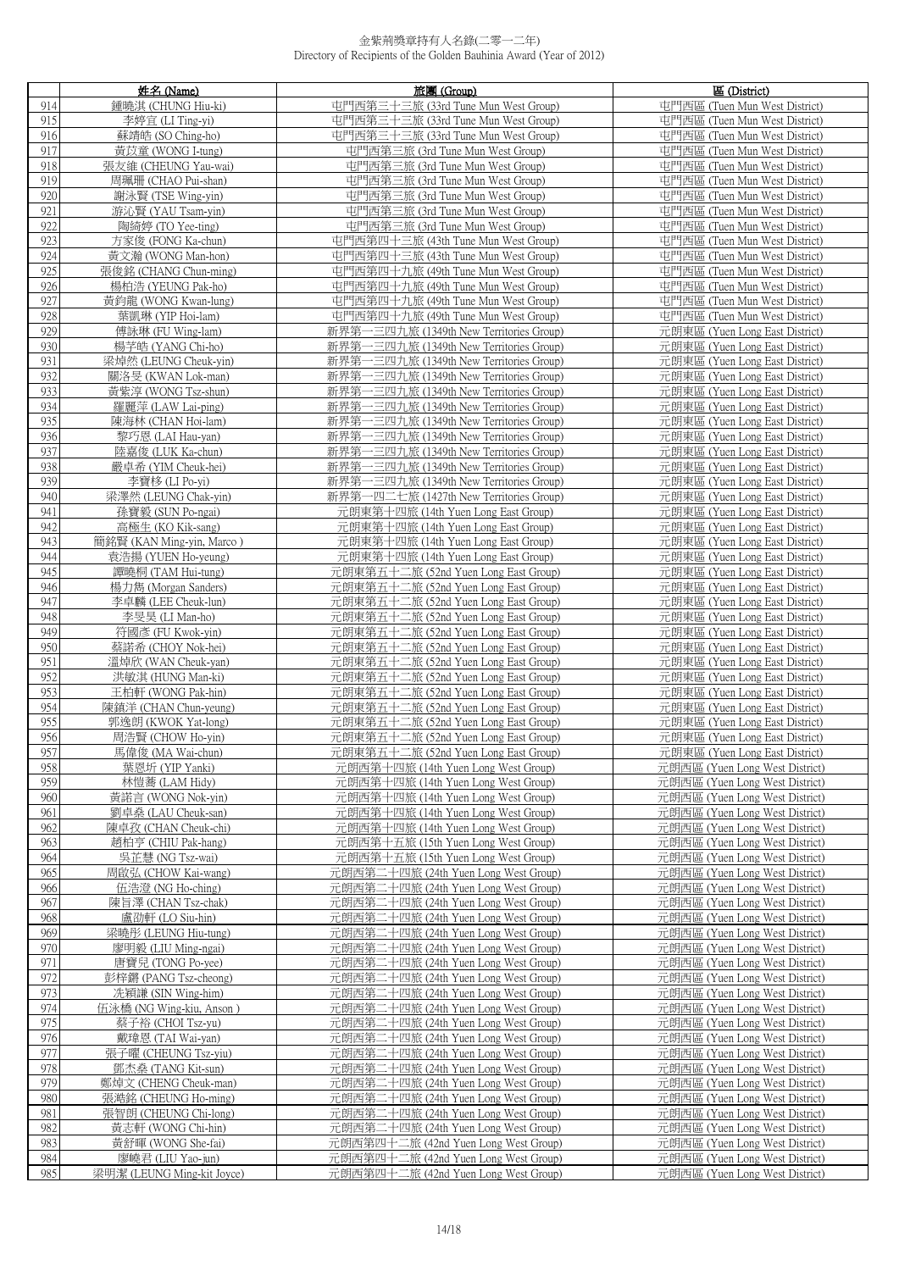|                          | 姓名 (Name)                                                       | 旅團 (Group)                                                                         | 區 (District)                                                     |
|--------------------------|-----------------------------------------------------------------|------------------------------------------------------------------------------------|------------------------------------------------------------------|
| 914                      | 鍾曉淇 (CHUNG Hiu-ki)                                              | 屯門西第三十三旅 (33rd Tune Mun West Group)<br>屯門西區 (Tuen Mun West District)               |                                                                  |
| 915                      | 李婷宜 (LI Ting-yi)                                                | 屯門西第三十三旅 (33rd Tune Mun West Group)<br>屯門西區 (Tuen Mun West District)               |                                                                  |
| 916                      | 蘇靖皓 (SO Ching-ho)<br>屯門西第三十三旅 (33rd Tune Mun West Group)        |                                                                                    | 屯門西區 (Tuen Mun West District)                                    |
| 917<br>黃苡童 (WONG I-tung) |                                                                 | 屯門西第三旅 (3rd Tune Mun West Group)                                                   | 屯門西區 (Tuen Mun West District)                                    |
| 919                      | 918<br>張友維 (CHEUNG Yau-wai)<br>屯門西第三旅 (3rd Tune Mun West Group) |                                                                                    | 屯門西區 (Tuen Mun West District)<br>屯門西區 (Tuen Mun West District)   |
| 920                      | 周珮珊 (CHAO Pui-shan)<br>謝泳賢 (TSE Wing-yin)                       | 屯門西第三旅 (3rd Tune Mun West Group)<br>屯門西第三旅 (3rd Tune Mun West Group)               | 屯門西區 (Tuen Mun West District)                                    |
| 921                      | 游沁賢 (YAU Tsam-yin)                                              | 屯門西第三旅 (3rd Tune Mun West Group)                                                   | 屯門西區 (Tuen Mun West District)                                    |
| 922                      | 陶綺婷 (TO Yee-ting)                                               | 屯門西第三旅 (3rd Tune Mun West Group)                                                   | 屯門西區 (Tuen Mun West District)                                    |
| 923                      | 方家俊 (FONG Ka-chun)                                              | 屯門西第四十三旅 (43th Tune Mun West Group)                                                | 屯門西區 (Tuen Mun West District)                                    |
| 924                      | 黃文瀚 (WONG Man-hon)                                              | 屯門西第四十三旅 (43th Tune Mun West Group)                                                | 屯門西區 (Tuen Mun West District)                                    |
| 925                      | 張俊銘 (CHANG Chun-ming)                                           | 屯門西第四十九旅 (49th Tune Mun West Group)                                                | 屯門西區 (Tuen Mun West District)                                    |
| 926                      | 楊柏浩 (YEUNG Pak-ho)                                              | 屯門西第四十九旅 (49th Tune Mun West Group)                                                | 屯門西區 (Tuen Mun West District)                                    |
| 927                      | 黃鈞龍 (WONG Kwan-lung)                                            | 屯門西第四十九旅 (49th Tune Mun West Group)                                                | 屯門西區 (Tuen Mun West District)                                    |
| 928                      | 葉凱琳 (YIP Hoi-lam)                                               | 屯門西第四十九旅 (49th Tune Mun West Group)                                                | 屯門西區 (Tuen Mun West District)                                    |
| 929                      | 傅詠琳 (FU Wing-lam)                                               | 新界第一三四九旅 (1349th New Territories Group)                                            | 元朗東區 (Yuen Long East District)                                   |
| 930<br>931               | 楊芋皓 (YANG Chi-ho)<br>梁焯然 (LEUNG Cheuk-yin)                      | 新界第一三四九旅 (1349th New Territories Group)<br>新界第一三四九旅 (1349th New Territories Group) | 元朗東區 (Yuen Long East District)<br>元朗東區 (Yuen Long East District) |
| 932                      | 關洛旻 (KWAN Lok-man)                                              | 新界第一三四九旅 (1349th New Territories Group)                                            | 元朗東區 (Yuen Long East District)                                   |
| 933                      | 黃紫淳 (WONG Tsz-shun)                                             | 新界第一三四九旅 (1349th New Territories Group)                                            | 元朗東區 (Yuen Long East District)                                   |
| 934                      | 羅麗萍 (LAW Lai-ping)                                              | 新界第一三四九旅 (1349th New Territories Group)                                            | 元朗東區 (Yuen Long East District)                                   |
| 935                      | 陳海林 (CHAN Hoi-lam)                                              | 新界第一三四九旅 (1349th New Territories Group)                                            | 元朗東區 (Yuen Long East District)                                   |
| 936                      | 黎巧恩 (LAI Hau-yan)                                               | 新界第一三四九旅 (1349th New Territories Group)                                            | 元朗東區 (Yuen Long East District)                                   |
| 937                      | 陸嘉俊 (LUK Ka-chun)                                               | 新界第一三四九旅 (1349th New Territories Group)                                            | 元朗東區 (Yuen Long East District)                                   |
| 938                      | 嚴卓希 (YIM Cheuk-hei)                                             | 新界第一三四九旅 (1349th New Territories Group)                                            | 元朗東區 (Yuen Long East District)                                   |
| 939                      | 李寶栘 (LI Po-yi)                                                  | 新界第一三四九旅 (1349th New Territories Group)                                            | 元朗東區 (Yuen Long East District)                                   |
| 940<br>941               | 梁澤然 (LEUNG Chak-yin)                                            | 新界第一四二七旅 (1427th New Territories Group)<br>元朗東第十四旅 (14th Yuen Long East Group)     | 元朗東區 (Yuen Long East District)                                   |
| 942                      | 孫寶毅 (SUN Po-ngai)<br>高極生 (KO Kik-sang)                          | 元朗東第十四旅 (14th Yuen Long East Group)                                                | 元朗東區 (Yuen Long East District)<br>元朗東區 (Yuen Long East District) |
| 943                      | 簡銘賢 (KAN Ming-yin, Marco)                                       | 元朗東第十四旅 (14th Yuen Long East Group)                                                | 元朗東區 (Yuen Long East District)                                   |
| 944                      | 袁浩揚 (YUEN Ho-yeung)                                             | 元朗東第十四旅 (14th Yuen Long East Group)                                                | 元朗東區 (Yuen Long East District)                                   |
| 945                      | 譚曉桐 (TAM Hui-tung)                                              | 元朗東第五十二旅 (52nd Yuen Long East Group)                                               | 元朗東區 (Yuen Long East District)                                   |
| 946                      | 楊力雋 (Morgan Sanders)                                            | 元朗東第五十二旅 (52nd Yuen Long East Group)                                               | 元朗東區 (Yuen Long East District)                                   |
| 947                      | 李卓麟 (LEE Cheuk-lun)                                             | 元朗東第五十二旅 (52nd Yuen Long East Group)                                               | 元朗東區 (Yuen Long East District)                                   |
| 948                      | 李旻昊 (LI Man-ho)                                                 | 元朗東第五十二旅 (52nd Yuen Long East Group)                                               | 元朗東區 (Yuen Long East District)                                   |
| 949                      | 符國彥 (FU Kwok-yin)                                               | 元朗東第五十二旅 (52nd Yuen Long East Group)                                               | 元朗東區 (Yuen Long East District)                                   |
| 950                      | 蔡諾希 (CHOY Nok-hei)                                              | 元朗東第五十二旅 (52nd Yuen Long East Group)                                               | 元朗東區 (Yuen Long East District)                                   |
| 951<br>952               | 溫焯欣 (WAN Cheuk-yan)<br>洪敏淇 (HUNG Man-ki)                        | 元朗東第五十二旅 (52nd Yuen Long East Group)<br>元朗東第五十二旅 (52nd Yuen Long East Group)       | 元朗東區 (Yuen Long East District)<br>元朗東區 (Yuen Long East District) |
| 953                      | 王柏軒 (WONG Pak-hin)                                              | 元朗東第五十二旅 (52nd Yuen Long East Group)                                               | 元朗東區 (Yuen Long East District)                                   |
| 954                      | 陳鎮洋 (CHAN Chun-yeung)                                           | 元朗東第五十二旅 (52nd Yuen Long East Group)                                               | 元朗東區 (Yuen Long East District)                                   |
| 955                      | 郭逸朗 (KWOK Yat-long)                                             | 元朗東第五十二旅 (52nd Yuen Long East Group)                                               | 元朗東區 (Yuen Long East District)                                   |
| 956                      | 周浩賢 (CHOW Ho-yin)                                               | 元朗東第五十二旅 (52nd Yuen Long East Group)                                               | 元朗東區 (Yuen Long East District)                                   |
| 957                      | 馬偉俊 (MA Wai-chun)                                               | 元朗東第五十二旅 (52nd Yuen Long East Group)                                               | 元朗東區 (Yuen Long East District)                                   |
| 958                      | 葉恩圻 (YIP Yanki)                                                 | 元朗西第十四旅 (14th Yuen Long West Group)                                                | 元朗西區 (Yuen Long West District)                                   |
| 959                      | 林愷蕎 (LAM Hidy)                                                  | 元朗西第十四旅 (14th Yuen Long West Group)                                                | 元朗西區 (Yuen Long West District)                                   |
| 960<br>961               | 黃諾言 (WONG Nok-yin)<br>劉卓燊 (LAU Cheuk-san)                       | 元朗西第十四旅 (14th Yuen Long West Group)<br>元朗西第十四旅 (14th Yuen Long West Group)         | 元朗西區 (Yuen Long West District)<br>元朗西區 (Yuen Long West District) |
| 962                      | 陳卓孜 (CHAN Cheuk-chi)                                            | 元朗西第十四旅 (14th Yuen Long West Group)                                                | 元朗西區 (Yuen Long West District)                                   |
| 963                      | 趙柏亨 (CHIU Pak-hang)                                             | 元朗西第十五旅 (15th Yuen Long West Group)                                                | 元朗西區 (Yuen Long West District)                                   |
| 964                      | 吳芷慧 (NG Tsz-wai)                                                | 元朗西第十五旅 (15th Yuen Long West Group)                                                | 元朗西區 (Yuen Long West District)                                   |
| 965                      | 周啟弘 (CHOW Kai-wang)                                             | 元朗西第二十四旅 (24th Yuen Long West Group)                                               | 元朗西區 (Yuen Long West District)                                   |
| 966                      | 伍浩澄 (NG Ho-ching)                                               | 元朗西第二十四旅 (24th Yuen Long West Group)                                               | 元朗西區 (Yuen Long West District)                                   |
| 967                      | 陳旨澤 (CHAN Tsz-chak)                                             | 元朗西第二十四旅 (24th Yuen Long West Group)                                               | 元朗西區 (Yuen Long West District)                                   |
| 968                      | 盧劭軒 (LO Siu-hin)                                                | 元朗西第二十四旅 (24th Yuen Long West Group)                                               | 元朗西區 (Yuen Long West District)                                   |
| 969                      | 梁曉彤 (LEUNG Hiu-tung)                                            | 元朗西第二十四旅 (24th Yuen Long West Group)                                               | 元朗西區 (Yuen Long West District)                                   |
| 970<br>971               | 廖明毅 (LIU Ming-ngai)<br>唐寶兒 (TONG Po-yee)                        | 元朗西第二十四旅 (24th Yuen Long West Group)<br>元朗西第二十四旅 (24th Yuen Long West Group)       | 元朗西區 (Yuen Long West District)<br>元朗西區 (Yuen Long West District) |
| 972                      | 彭梓鏘 (PANG Tsz-cheong)                                           | 元朗西第二十四旅 (24th Yuen Long West Group)                                               | 元朗西區 (Yuen Long West District)                                   |
| 973                      | 冼穎謙 (SIN Wing-him)                                              | 元朗西第二十四旅 (24th Yuen Long West Group)                                               | 元朗西區 (Yuen Long West District)                                   |
| 974                      | 伍泳橋 (NG Wing-kiu, Anson )                                       | 元朗西第二十四旅 (24th Yuen Long West Group)                                               | 元朗西區 (Yuen Long West District)                                   |
| 975                      | 蔡子裕 (CHOI Tsz-yu)                                               | 元朗西第二十四旅 (24th Yuen Long West Group)                                               | 元朗西區 (Yuen Long West District)                                   |
| 976                      | 戴瑋恩 (TAI Wai-yan)                                               | 元朗西第二十四旅 (24th Yuen Long West Group)                                               | 元朗西區 (Yuen Long West District)                                   |
| 977                      | 張子曜 (CHEUNG Tsz-yiu)                                            | 元朗西第二十四旅 (24th Yuen Long West Group)                                               | 元朗西區 (Yuen Long West District)                                   |
| 978                      | 鄧杰桑 (TANG Kit-sun)                                              | 元朗西第二十四旅 (24th Yuen Long West Group)                                               | 元朗西區 (Yuen Long West District)                                   |
| 979<br>980               | 鄭焯文 (CHENG Cheuk-man)<br>張澔銘 (CHEUNG Ho-ming)                   | 元朗西第二十四旅 (24th Yuen Long West Group)<br>元朗西第二十四旅 (24th Yuen Long West Group)       | 元朗西區 (Yuen Long West District)<br>元朗西區 (Yuen Long West District) |
| 981                      | 張智朗 (CHEUNG Chi-long)                                           | 元朗西第二十四旅 (24th Yuen Long West Group)                                               | 元朗西區 (Yuen Long West District)                                   |
| 982                      | 黃志軒 (WONG Chi-hin)                                              | 元朗西第二十四旅 (24th Yuen Long West Group)                                               | 元朗西區 (Yuen Long West District)                                   |
| 983                      | 黃舒暉 (WONG She-fai)                                              | 元朗西第四十二旅 (42nd Yuen Long West Group)                                               | 元朗西區 (Yuen Long West District)                                   |
| 984                      | 廖嶢君 (LIU Yao-jun)                                               | 元朗西第四十二旅 (42nd Yuen Long West Group)                                               | 元朗西區 (Yuen Long West District)                                   |
| 985                      | 梁明潔 (LEUNG Ming-kit Joyce)                                      | 元朗西第四十二旅 (42nd Yuen Long West Group)                                               | 元朗西區 (Yuen Long West District)                                   |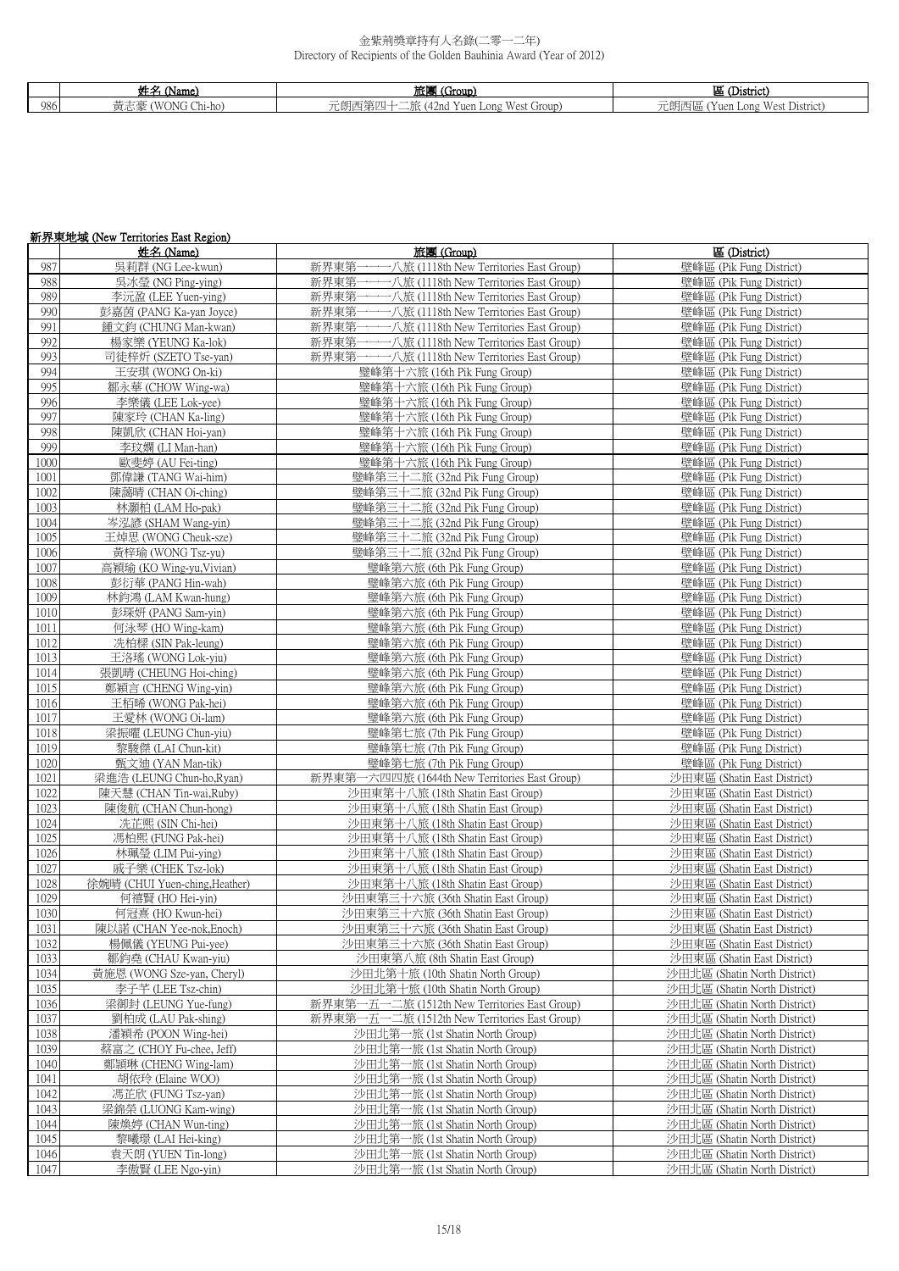|      | .<br><b>Service</b><br>'Name)             | ' (Group)<br>旅馆                                                                                             | $\sim$<br>District)                                      |
|------|-------------------------------------------|-------------------------------------------------------------------------------------------------------------|----------------------------------------------------------|
| 986. | 11<br>ONG<br>د ملہ ہ<br>Chi-ho<br>- 東 心 多 | $-$<br>$\overline{1}$<br>.<br>Group<br>$  -$<br>Yuen Long<br>42 n G<br>亡閃卫<br>v est<br>$\rightarrow$<br>-4- | $-$<br>۳Y<br>West<br>儿胡四區 (1<br>. District)<br>Yuen Long |

# 新界東地域 (New Territories East Region)

|      | 姓名 (Name)                      | 旅團 (Group)                                    | 區 (District)                 |
|------|--------------------------------|-----------------------------------------------|------------------------------|
| 987  | 吳莉群 (NG Lee-kwun)              | 新界東第一一一八旅 (1118th New Territories East Group) | 壁峰區 (Pik Fung District)      |
| 988  | 吳冰瑩 (NG Ping-ying)             | 新界東第一一一八旅 (1118th New Territories East Group) | 壁峰區 (Pik Fung District)      |
| 989  | 李沅盈 (LEE Yuen-ying)            | 新界東第一一一八旅 (1118th New Territories East Group) | 壁峰區 (Pik Fung District)      |
|      |                                |                                               |                              |
| 990  | 彭嘉茵 (PANG Ka-yan Joyce)        | 新界東第一一一八旅 (1118th New Territories East Group) | 壁峰區 (Pik Fung District)      |
| 991  | 鍾文鈞 (CHUNG Man-kwan)           | 新界東第一一一八旅 (1118th New Territories East Group) | 壁峰區 (Pik Fung District)      |
| 992  | 楊家樂 (YEUNG Ka-lok)             | 新界東第一一一八旅 (1118th New Territories East Group) | 壁峰區 (Pik Fung District)      |
| 993  | 司徒梓炘 (SZETO Tse-yan)           | 新界東第一一一八旅 (1118th New Territories East Group) | 壁峰區 (Pik Fung District)      |
| 994  | 王安琪 (WONG On-ki)               | 璧峰第十六旅 (16th Pik Fung Group)                  | 壁峰區 (Pik Fung District)      |
| 995  | 鄒永華 (CHOW Wing-wa)             | 璧峰第十六旅 (16th Pik Fung Group)                  | 壁峰區 (Pik Fung District)      |
|      |                                |                                               |                              |
| 996  | 李樂儀 (LEE Lok-yee)              | 璧峰第十六旅 (16th Pik Fung Group)                  | 壁峰區 (Pik Fung District)      |
| 997  | 陳家玲 (CHAN Ka-ling)             | 璧峰第十六旅 (16th Pik Fung Group)                  | 壁峰區 (Pik Fung District)      |
| 998  | 陳凱欣 (CHAN Hoi-yan)             | 璧峰第十六旅 (16th Pik Fung Group)                  | 壁峰區 (Pik Fung District)      |
| 999  | 李玟嫻 (LI Man-han)               | 璧峰第十六旅 (16th Pik Fung Group)                  | 壁峰區 (Pik Fung District)      |
| 1000 | 歐斐婷 (AU Fei-ting)              | 璧峰第十六旅 (16th Pik Fung Group)                  | 壁峰區 (Pik Fung District)      |
| 1001 | 鄧偉謙 (TANG Wai-him)             | 璧峰第三十二旅 (32nd Pik Fung Group)                 | 壁峰區 (Pik Fung District)      |
| 1002 | 陳藹晴 (CHAN Oi-ching)            | 璧峰第三十二旅 (32nd Pik Fung Group)                 | 壁峰區 (Pik Fung District)      |
| 1003 |                                | 璧峰第三十二旅 (32nd Pik Fung Group)                 | 壁峰區 (Pik Fung District)      |
|      | 林灝柏 (LAM Ho-pak)               |                                               |                              |
| 1004 | 岑泓諺 (SHAM Wang-yin)            | 璧峰第三十二旅 (32nd Pik Fung Group)                 | 壁峰區 (Pik Fung District)      |
| 1005 | 王焯思 (WONG Cheuk-sze)           | 璧峰第三十二旅 (32nd Pik Fung Group)                 | 壁峰區 (Pik Fung District)      |
| 1006 | 黃梓瑜 (WONG Tsz-yu)              | 璧峰第三十二旅 (32nd Pik Fung Group)                 | 壁峰區 (Pik Fung District)      |
| 1007 | 高穎瑜 (KO Wing-yu, Vivian)       | 璧峰第六旅 (6th Pik Fung Group)                    | 壁峰區 (Pik Fung District)      |
| 1008 | 彭衍華 (PANG Hin-wah)             | 璧峰第六旅 (6th Pik Fung Group)                    | 壁峰區 (Pik Fung District)      |
| 1009 | 林鈞鴻 (LAM Kwan-hung)            | 璧峰第六旅 (6th Pik Fung Group)                    | 壁峰區 (Pik Fung District)      |
| 1010 | 彭琛妍 (PANG Sam-yin)             | 璧峰第六旅 (6th Pik Fung Group)                    | 壁峰區 (Pik Fung District)      |
|      |                                |                                               |                              |
| 1011 | 何泳琴 (HO Wing-kam)              | 璧峰第六旅 (6th Pik Fung Group)                    | 壁峰區 (Pik Fung District)      |
| 1012 | 冼柏樑 (SIN Pak-leung)            | 璧峰第六旅 (6th Pik Fung Group)                    | 壁峰區 (Pik Fung District)      |
| 1013 | 王洛瑤 (WONG Lok-yiu)             | 璧峰第六旅 (6th Pik Fung Group)                    | 壁峰區 (Pik Fung District)      |
| 1014 | 張凱晴 (CHEUNG Hoi-ching)         | 璧峰第六旅 (6th Pik Fung Group)                    | 壁峰區 (Pik Fung District)      |
| 1015 | 鄭穎言 (CHENG Wing-yin)           | 璧峰第六旅 (6th Pik Fung Group)                    | 壁峰區 (Pik Fung District)      |
| 1016 | 王栢晞 (WONG Pak-hei)             | 璧峰第六旅 (6th Pik Fung Group)                    | 壁峰區 (Pik Fung District)      |
| 1017 | 王愛林 (WONG Oi-lam)              | 璧峰第六旅 (6th Pik Fung Group)                    | 壁峰區 (Pik Fung District)      |
| 1018 | 梁振曜 (LEUNG Chun-yiu)           | 璧峰第七旅 (7th Pik Fung Group)                    | 壁峰區 (Pik Fung District)      |
|      |                                |                                               |                              |
| 1019 | 黎駿傑 (LAI Chun-kit)             | 璧峰第七旅 (7th Pik Fung Group)                    | 壁峰區 (Pik Fung District)      |
| 1020 | 甄文迪 (YAN Man-tik)              | 璧峰第七旅 (7th Pik Fung Group)                    | 壁峰區 (Pik Fung District)      |
| 1021 | 梁進浩 (LEUNG Chun-ho, Ryan)      | 新界東第一六四四旅 (1644th New Territories East Group) | 沙田東區 (Shatin East District)  |
| 1022 | 陳天慧 (CHAN Tin-wai, Ruby)       | 沙田東第十八旅 (18th Shatin East Group)              | 沙田東區 (Shatin East District)  |
| 1023 | 陳俊航 (CHAN Chun-hong)           | 沙田東第十八旅 (18th Shatin East Group)              | 沙田東區 (Shatin East District)  |
| 1024 | 冼芷熙 (SIN Chi-hei)              | 沙田東第十八旅 (18th Shatin East Group)              | 沙田東區 (Shatin East District)  |
| 1025 | 馮柏熙 (FUNG Pak-hei)             | 沙田東第十八旅 (18th Shatin East Group)              | 沙田東區 (Shatin East District)  |
| 1026 | 林珮瑩 (LIM Pui-ying)             | 沙田東第十八旅 (18th Shatin East Group)              | 沙田東區 (Shatin East District)  |
|      |                                |                                               |                              |
| 1027 | 戚子樂 (CHEK Tsz-lok)             | 沙田東第十八旅 (18th Shatin East Group)              | 沙田東區 (Shatin East District)  |
| 1028 | 徐婉晴 (CHUI Yuen-ching, Heather) | 沙田東第十八旅 (18th Shatin East Group)              | 沙田東區 (Shatin East District)  |
| 1029 | 何禧賢 (HO Hei-yin)               | 沙田東第三十六旅 (36th Shatin East Group)             | 沙田東區 (Shatin East District)  |
| 1030 | 何冠熹 (HO Kwun-hei)              | 沙田東第三十六旅 (36th Shatin East Group)             | 沙田東區 (Shatin East District)  |
| 1031 | 陳以諾 (CHAN Yee-nok,Enoch)       | 沙田東第三十六旅 (36th Shatin East Group)             | 沙田東區 (Shatin East District)  |
| 1032 | 楊佩儀 (YEUNG Pui-yee)            | 沙田東第三十六旅 (36th Shatin East Group)             | 沙田東區 (Shatin East District)  |
| 1033 | 鄒鈞堯 (CHAU Kwan-yiu)            | 沙田東第八旅 (8th Shatin East Group)                | 沙田東區 (Shatin East District)  |
| 1034 | 黃施恩 (WONG Sze-yan, Cheryl)     | 沙田北第十旅 (10th Shatin North Group)              | 沙田北區 (Shatin North District) |
|      |                                |                                               |                              |
| 1035 | 李子芊 (LEE Tsz-chin)             | 沙田北第十旅 (10th Shatin North Group)              | 沙田北區 (Shatin North District) |
| 1036 | 梁御封 (LEUNG Yue-fung)           | 新界東第一五一二旅 (1512th New Territories East Group) | 沙田北區 (Shatin North District) |
| 1037 | 劉柏成 (LAU Pak-shing)            | 新界東第一五一二旅 (1512th New Territories East Group) | 沙田北區 (Shatin North District) |
| 1038 | 潘穎希 (POON Wing-hei)            | 沙田北第一旅 (1st Shatin North Group)               | 沙田北區 (Shatin North District) |
| 1039 | 蔡富之 (CHOY Fu-chee, Jeff)       | 沙田北第一旅 (1st Shatin North Group)               | 沙田北區 (Shatin North District) |
| 1040 | 鄭頴琳 (CHENG Wing-lam)           | 沙田北第一旅 (1st Shatin North Group)               | 沙田北區 (Shatin North District) |
| 1041 | 胡依玲 (Elaine WOO)               | 沙田北第一旅 (1st Shatin North Group)               | 沙田北區 (Shatin North District) |
|      |                                |                                               | 沙田北區 (Shatin North District) |
| 1042 | 馮芷欣 (FUNG Tsz-yan)             | 沙田北第一旅 (1st Shatin North Group)               |                              |
| 1043 | 梁錦榮 (LUONG Kam-wing)           | 沙田北第一旅 (1st Shatin North Group)               | 沙田北區 (Shatin North District) |
| 1044 | 陳煥婷 (CHAN Wun-ting)            | 沙田北第一旅 (1st Shatin North Group)               | 沙田北區 (Shatin North District) |
| 1045 | 黎曦璟 (LAI Hei-king)             | 沙田北第一旅 (1st Shatin North Group)               | 沙田北區 (Shatin North District) |
| 1046 | 袁天朗 (YUEN Tin-long)            | 沙田北第一旅 (1st Shatin North Group)               | 沙田北區 (Shatin North District) |
| 1047 | 李傲賢 (LEE Ngo-yin)              | 沙田北第一旅 (1st Shatin North Group)               | 沙田北區 (Shatin North District) |
|      |                                |                                               |                              |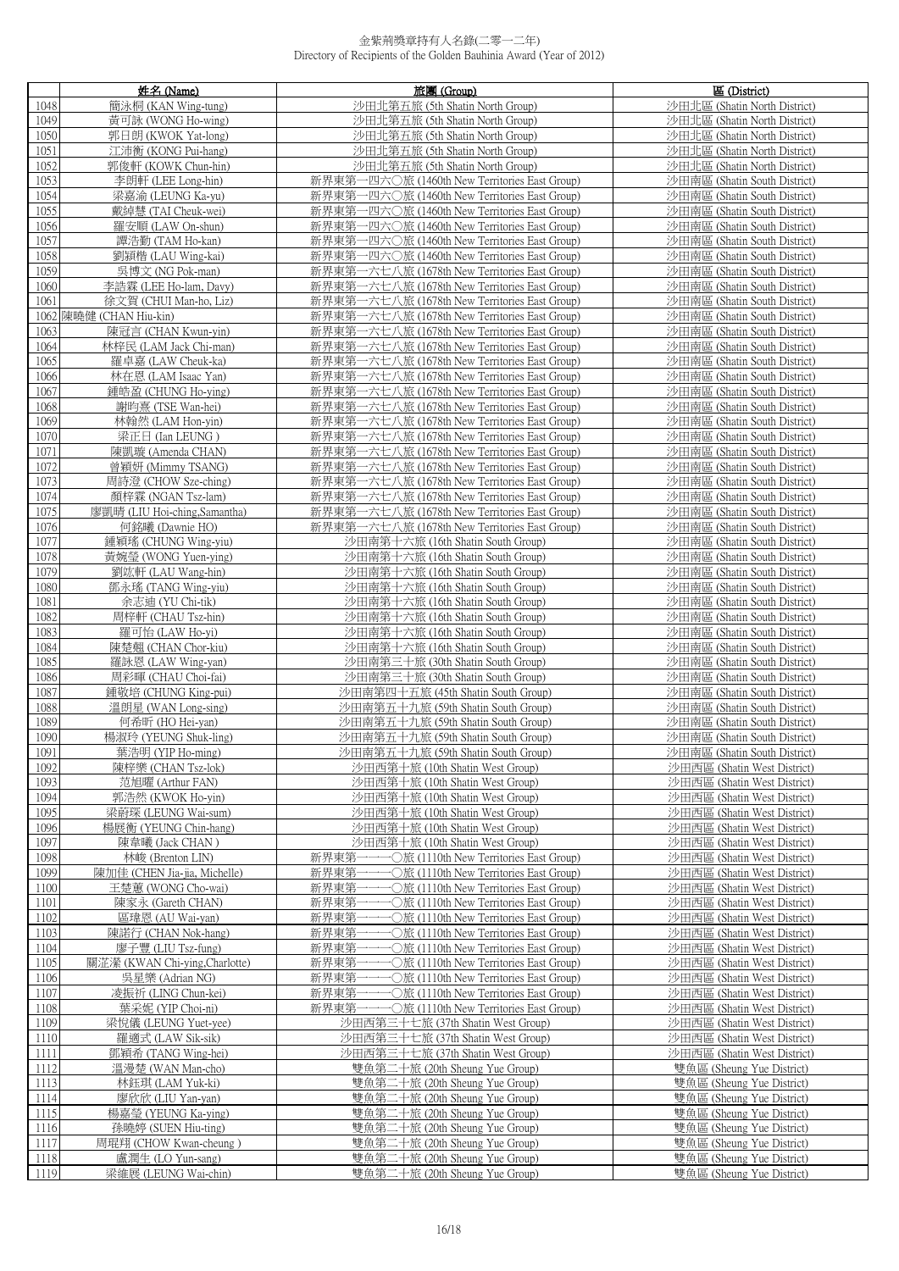|              | 姓名 (Name)                                     | 旅團 (Group)                                                                                          | 區 (District)                                                 |
|--------------|-----------------------------------------------|-----------------------------------------------------------------------------------------------------|--------------------------------------------------------------|
| 1048         | 簡泳桐 (KAN Wing-tung)                           | 沙田北第五旅 (5th Shatin North Group)                                                                     | 沙田北區 (Shatin North District)                                 |
| 1049         | 黃可詠 (WONG Ho-wing)                            | 沙田北第五旅 (5th Shatin North Group)                                                                     | 沙田北區 (Shatin North District)                                 |
| 1050         | 郭日朗 (KWOK Yat-long)                           | 沙田北第五旅 (5th Shatin North Group)                                                                     | 沙田北區 (Shatin North District)                                 |
| 1051         | 江沛衡 (KONG Pui-hang)                           | 沙田北第五旅 (5th Shatin North Group)                                                                     | 沙田北區 (Shatin North District)                                 |
| 1052<br>1053 | 郭俊軒 (KOWK Chun-hin)<br>李朗軒 (LEE Long-hin)     | 沙田北第五旅 (5th Shatin North Group)<br>新界東第一四六〇旅 (1460th New Territories East Group)                    | 沙田北區 (Shatin North District)<br>沙田南區 (Shatin South District) |
| 1054         | 梁嘉渝 (LEUNG Ka-yu)                             | 新界東第一四六〇旅 (1460th New Territories East Group)                                                       | 沙田南區 (Shatin South District)                                 |
| 1055         | 戴綽慧 (TAI Cheuk-wei)                           | 新界東第一四六〇旅 (1460th New Territories East Group)                                                       | 沙田南區 (Shatin South District)                                 |
| 1056         | 羅安順 (LAW On-shun)                             | 新界東第一四六〇旅 (1460th New Territories East Group)                                                       | 沙田南區 (Shatin South District)                                 |
| 1057         | 譚浩勤 (TAM Ho-kan)                              | 新界東第一四六〇旅 (1460th New Territories East Group)                                                       | 沙田南區 (Shatin South District)                                 |
| 1058         | 劉穎楷 (LAU Wing-kai)                            | 新界東第一四六〇旅 (1460th New Territories East Group)                                                       | 沙田南區 (Shatin South District)                                 |
| 1059         | 吳博文 (NG Pok-man)                              | 新界東第一六七八旅 (1678th New Territories East Group)                                                       | 沙田南區 (Shatin South District)                                 |
| 1060         | 李誥霖 (LEE Ho-lam, Davy)                        | 新界東第一六七八旅 (1678th New Territories East Group)                                                       | 沙田南區 (Shatin South District)                                 |
| 1061         | 徐文賀 (CHUI Man-ho, Liz)                        | 新界東第一六七八旅 (1678th New Territories East Group)                                                       | 沙田南區 (Shatin South District)                                 |
|              | 1062 陳曉健 (CHAN Hiu-kin)                       | 新界東第一六七八旅 (1678th New Territories East Group)                                                       | 沙田南區 (Shatin South District)                                 |
| 1063<br>1064 | 陳冠言 (CHAN Kwun-yin)<br>林梓民 (LAM Jack Chi-man) | 新界東第一六七八旅 (1678th New Territories East Group)<br>新界東第一六七八旅 (1678th New Territories East Group)      | 沙田南區 (Shatin South District)<br>沙田南區 (Shatin South District) |
| 1065         | 羅卓嘉 (LAW Cheuk-ka)                            | 新界東第一六七八旅 (1678th New Territories East Group)                                                       | 沙田南區 (Shatin South District)                                 |
| 1066         | 林在恩 (LAM Isaac Yan)                           | 新界東第一六七八旅 (1678th New Territories East Group)                                                       | 沙田南區 (Shatin South District)                                 |
| 1067         | 鍾皓盈 (CHUNG Ho-ving)                           | 新界東第一六七八旅 (1678th New Territories East Group)                                                       | 沙田南區 (Shatin South District)                                 |
| 1068         | 謝昀熹 (TSE Wan-hei)                             | 新界東第一六七八旅 (1678th New Territories East Group)                                                       | 沙田南區 (Shatin South District)                                 |
| 1069         | 林翰然 (LAM Hon-yin)                             | 新界東第一六七八旅 (1678th New Territories East Group)                                                       | 沙田南區 (Shatin South District)                                 |
| 1070         | 梁正日 (Ian LEUNG)                               | 新界東第一六七八旅 (1678th New Territories East Group)                                                       | 沙田南區 (Shatin South District)                                 |
| 1071         | 陳凱璇 (Amenda CHAN)                             | 新界東第一六七八旅 (1678th New Territories East Group)                                                       | 沙田南區 (Shatin South District)                                 |
| 1072         | 曾穎妍 (Mimmy TSANG)<br>周詩澄 (CHOW Sze-ching)     | 新界東第一六七八旅 (1678th New Territories East Group)<br>新界東第一六七八旅 (1678th New Territories East Group)      | 沙田南區 (Shatin South District)                                 |
| 1073<br>1074 | 顏梓霖 (NGAN Tsz-lam)                            | 新界東第一六七八旅 (1678th New Territories East Group)                                                       | 沙田南區 (Shatin South District)<br>沙田南區 (Shatin South District) |
| 1075         | 廖凱晴 (LIU Hoi-ching, Samantha)                 | 新界東第一六七八旅 (1678th New Territories East Group)                                                       | 沙田南區 (Shatin South District)                                 |
| 1076         | 何銘曦 (Dawnie HO)                               | 新界東第一六七八旅 (1678th New Territories East Group)                                                       | 沙田南區 (Shatin South District)                                 |
| 1077         | 鍾穎瑤 (CHUNG Wing-yiu)                          | 沙田南第十六旅 (16th Shatin South Group)                                                                   | 沙田南區 (Shatin South District)                                 |
| 1078         | 黃婉瑩 (WONG Yuen-ying)                          | 沙田南第十六旅 (16th Shatin South Group)                                                                   | 沙田南區 (Shatin South District)                                 |
| 1079         | 劉竑軒 (LAU Wang-hin)                            | 沙田南第十六旅 (16th Shatin South Group)                                                                   | 沙田南區 (Shatin South District)                                 |
| 1080         | 鄧永瑤 (TANG Wing-yiu)                           | 沙田南第十六旅 (16th Shatin South Group)                                                                   | 沙田南區 (Shatin South District)                                 |
| 1081         | 余志迪 (YU Chi-tik)                              | 沙田南第十六旅 (16th Shatin South Group)                                                                   | 沙田南區 (Shatin South District)                                 |
| 1082<br>1083 | 周梓軒 (CHAU Tsz-hin)                            | 沙田南第十六旅 (16th Shatin South Group)                                                                   | 沙田南區 (Shatin South District)<br>沙田南區 (Shatin South District) |
| 1084         | 羅可怡 (LAW Ho-yi)<br>陳楚翹 (CHAN Chor-kiu)        | 沙田南第十六旅 (16th Shatin South Group)<br>沙田南第十六旅 (16th Shatin South Group)                              | 沙田南區 (Shatin South District)                                 |
| 1085         | 羅詠恩 (LAW Wing-yan)                            | 沙田南第三十旅 (30th Shatin South Group)                                                                   | 沙田南區 (Shatin South District)                                 |
| 1086         | 周彩暉 (CHAU Choi-fai)                           | 沙田南第三十旅 (30th Shatin South Group)                                                                   | 沙田南區 (Shatin South District)                                 |
| 1087         | 鍾敬培 (CHUNG King-pui)                          | 沙田南第四十五旅 (45th Shatin South Group)                                                                  | 沙田南區 (Shatin South District)                                 |
| 1088         | 溫朗星 (WAN Long-sing)                           | 沙田南第五十九旅 (59th Shatin South Group)                                                                  | 沙田南區 (Shatin South District)                                 |
| 1089         | 何希昕 (HO Hei-yan)                              | 沙田南第五十九旅 (59th Shatin South Group)                                                                  | 沙田南區 (Shatin South District)                                 |
| 1090         | 楊淑玲 (YEUNG Shuk-ling)                         | 沙田南第五十九旅 (59th Shatin South Group)                                                                  | 沙田南區 (Shatin South District)                                 |
| 1091         | 葉浩明 (YIP Ho-ming)                             | 沙田南第五十九旅 (59th Shatin South Group)                                                                  | 沙田南區 (Shatin South District)                                 |
| 1092<br>1093 | 陳梓樂 (CHAN Tsz-lok)<br>范旭曜 (Arthur FAN)        | 沙田西第十旅 (10th Shatin West Group)<br>沙田西第十旅 (10th Shatin West Group)                                  | 沙田西區 (Shatin West District)<br>沙田西區 (Shatin West District)   |
| 1094         | 郭浩然 (KWOK Ho-yin)                             | 沙田西第十旅 (10th Shatin West Group)                                                                     | 沙田西區 (Shatin West District)                                  |
| 1095         | 梁蔚琛 (LEUNG Wai-sum)                           | 沙田西第十旅 (10th Shatin West Group)                                                                     | 沙田西區 (Shatin West District)                                  |
| 1096         | 楊展衡 (YEUNG Chin-hang)                         | 沙田西第十旅 (10th Shatin West Group)                                                                     | 沙田西區 (Shatin West District)                                  |
| 1097         | 陳韋曦 (Jack CHAN)                               | 沙田西第十旅 (10th Shatin West Group)                                                                     | 沙田西區 (Shatin West District)                                  |
| 1098         | 林峻 (Brenton LIN)                              | 新界東第-<br>→→→○旅 (1110th New Territories East Group)                                                  | 沙田西區 (Shatin West District)                                  |
| 1099         | 陳加佳 (CHEN Jia-jia, Michelle)                  | 新界東第一一-<br>•○旅 (1110th New Territories East Group)                                                  | 沙田西區 (Shatin West District)                                  |
| 1100         | 王楚蕙 (WONG Cho-wai)                            | 新界東第一一一〇旅 (1110th New Territories East Group)                                                       | 沙田西區 (Shatin West District)                                  |
| 1101<br>1102 | 陳家永 (Gareth CHAN)<br>區瑋恩 (AU Wai-yan)         | 新界東第一一一〇旅 (1110th New Territories East Group)<br>−○旅 (1110th New Territories East Group)<br>新界東第一一– | 沙田西區 (Shatin West District)<br>沙田西區 (Shatin West District)   |
| 1103         | 陳諾行 (CHAN Nok-hang)                           | 新界東第一一一〇旅 (1110th New Territories East Group)                                                       | 沙田西區 (Shatin West District)                                  |
| 1104         | 廖子豐 (LIU Tsz-fung)                            | 新界東第一一-<br>−○旅 (1110th New Territories East Group)                                                  | 沙田西區 (Shatin West District)                                  |
| 1105         | 關淽瀠 (KWAN Chi-ying,Charlotte)                 | 新界東第一<br>•○旅 (1110th New Territories East Group)                                                    | 沙田西區 (Shatin West District)                                  |
| 1106         | 吳星樂 (Adrian NG)                               | 新界東第一一一〇旅 (1110th New Territories East Group)                                                       | 沙田西區 (Shatin West District)                                  |
| 1107         | 凌振祈 (LING Chun-kei)                           | 新界東第一一一〇旅 (1110th New Territories East Group)                                                       | 沙田西區 (Shatin West District)                                  |
| 1108         | 葉采妮 (YIP Choi-ni)                             | •○旅 (1110th New Territories East Group)<br>新界東第一一-                                                  | 沙田西區 (Shatin West District)                                  |
| 1109         | 梁悅儀 (LEUNG Yuet-yee)                          | 沙田西第三十七旅 (37th Shatin West Group)                                                                   | 沙田西區 (Shatin West District)                                  |
| 1110         | 羅適式 (LAW Sik-sik)                             | 沙田西第三十七旅 (37th Shatin West Group)                                                                   | 沙田西區 (Shatin West District)                                  |
| 1111<br>1112 | 鄧穎希 (TANG Wing-hei)<br>溫漫楚 (WAN Man-cho)      | 沙田西第三十七旅 (37th Shatin West Group)<br>雙魚第二十旅 (20th Sheung Yue Group)                                 | 沙田西區 (Shatin West District)<br>雙魚區 (Sheung Yue District)     |
| 1113         | 林鈺琪 (LAM Yuk-ki)                              | 雙魚第二十旅 (20th Sheung Yue Group)                                                                      | 雙魚區 (Sheung Yue District)                                    |
| 1114         | 廖欣欣 (LIU Yan-yan)                             | 雙魚第二十旅 (20th Sheung Yue Group)                                                                      | 雙魚區 (Sheung Yue District)                                    |
| 1115         | 楊嘉瑩 (YEUNG Ka-ying)                           | 雙魚第二十旅 (20th Sheung Yue Group)                                                                      | 雙魚區 (Sheung Yue District)                                    |
| 1116         | 孫曉婷 (SUEN Hiu-ting)                           | 雙魚第二十旅 (20th Sheung Yue Group)                                                                      | 雙魚區 (Sheung Yue District)                                    |
| 1117         | 周琨翔 (CHOW Kwan-cheung)                        | 雙魚第二十旅 (20th Sheung Yue Group)                                                                      | 雙魚區 (Sheung Yue District)                                    |
| 1118         | 盧潤生 (LO Yun-sang)                             | 雙魚第二十旅 (20th Sheung Yue Group)                                                                      | 雙魚區 (Sheung Yue District)                                    |
| 1119         | 梁維展 (LEUNG Wai-chin)                          | 雙魚第二十旅 (20th Sheung Yue Group)                                                                      | 雙魚區 (Sheung Yue District)                                    |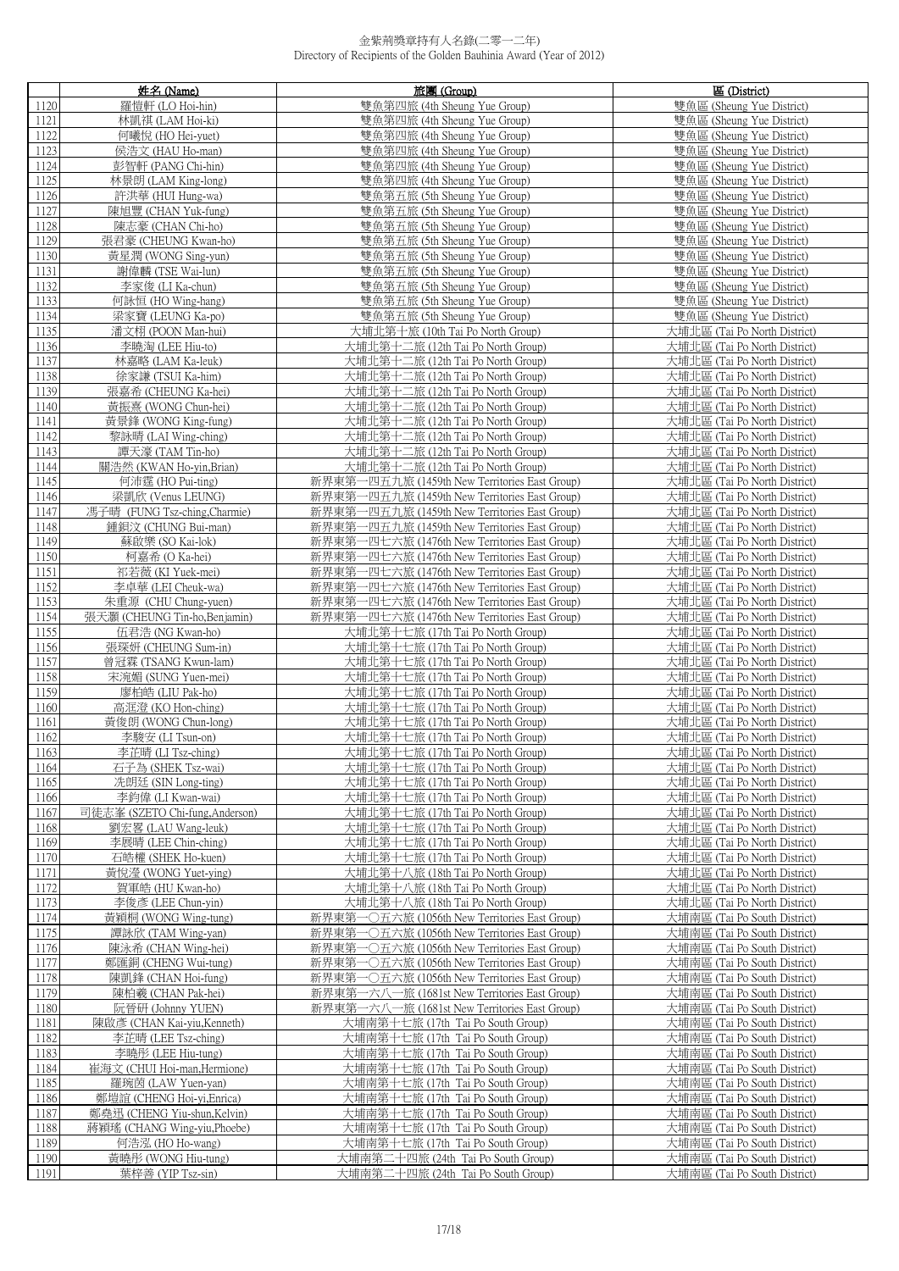|              | 姓名 (Name)                                        | 旅團 (Group)                                                                                     | 區 (District)                                                 |
|--------------|--------------------------------------------------|------------------------------------------------------------------------------------------------|--------------------------------------------------------------|
| 1120         | 羅愷軒 (LO Hoi-hin)                                 | 雙魚第四旅 (4th Sheung Yue Group)                                                                   | 雙魚區 (Sheung Yue District)                                    |
| 1121         | 林凯祺 (LAM Hoi-ki)                                 | 雙魚第四旅 (4th Sheung Yue Group)                                                                   | 雙魚區 (Sheung Yue District)                                    |
| 1122         | 何曦悅 (HO Hei-yuet)                                | 雙魚第四旅 (4th Sheung Yue Group)                                                                   | 雙魚區 (Sheung Yue District)                                    |
| 1123         | 侯浩文 (HAU Ho-man)                                 | 雙魚第四旅 (4th Sheung Yue Group)                                                                   | 雙魚區 (Sheung Yue District)                                    |
| 1124         | 彭智軒 (PANG Chi-hin)                               | 雙魚第四旅 (4th Sheung Yue Group)                                                                   | 雙魚區 (Sheung Yue District)                                    |
| 1125         | 林景朗 (LAM King-long)                              | 雙魚第四旅 (4th Sheung Yue Group)                                                                   | 雙魚區 (Sheung Yue District)                                    |
| 1126         | 許洪華 (HUI Hung-wa)                                | 雙魚第五旅 (5th Sheung Yue Group)                                                                   | 雙魚區 (Sheung Yue District)                                    |
| 1127         | 陳旭豐 (CHAN Yuk-fung)                              | 雙魚第五旅 (5th Sheung Yue Group)                                                                   | 雙魚區 (Sheung Yue District)                                    |
| 1128         | 陳志豪 (CHAN Chi-ho)                                | 雙魚第五旅 (5th Sheung Yue Group)                                                                   | 雙魚區 (Sheung Yue District)                                    |
| 1129         | 張君豪 (CHEUNG Kwan-ho)                             | 雙魚第五旅 (5th Sheung Yue Group)                                                                   | 雙魚區 (Sheung Yue District)                                    |
| 1130         | 黃星潤 (WONG Sing-yun)                              | 雙魚第五旅 (5th Sheung Yue Group)                                                                   | 雙魚區 (Sheung Yue District)                                    |
| 1131<br>1132 | 謝偉麟 (TSE Wai-lun)<br>李家俊 (LI Ka-chun)            | 雙魚第五旅 (5th Sheung Yue Group)<br>雙魚第五旅 (5th Sheung Yue Group)                                   | 雙魚區 (Sheung Yue District)<br>雙魚區 (Sheung Yue District)       |
| 1133         | 何詠恒 (HO Wing-hang)                               | 雙魚第五旅 (5th Sheung Yue Group)                                                                   | 雙魚區 (Sheung Yue District)                                    |
| 1134         | 梁家寶 (LEUNG Ka-po)                                | 雙魚第五旅 (5th Sheung Yue Group)                                                                   | 雙魚區 (Sheung Yue District)                                    |
| 1135         | 潘文栩 (POON Man-hui)                               | 大埔北第十旅 (10th Tai Po North Group)                                                               | 大埔北區 (Tai Po North District)                                 |
| 1136         | 李曉淘 (LEE Hiu-to)                                 | 大埔北第十二旅 (12th Tai Po North Group)                                                              | 大埔北區 (Tai Po North District)                                 |
| 1137         | 林嘉略 (LAM Ka-leuk)                                | 大埔北第十二旅 (12th Tai Po North Group)                                                              | 大埔北區 (Tai Po North District)                                 |
| 1138         | 徐家謙 (TSUI Ka-him)                                | 大埔北第十二旅 (12th Tai Po North Group)                                                              | 大埔北區 (Tai Po North District)                                 |
| 1139         | 張嘉希 (CHEUNG Ka-hei)                              | 大埔北第十二旅 (12th Tai Po North Group)                                                              | 大埔北區 (Tai Po North District)                                 |
| 1140         | 黃振熹 (WONG Chun-hei)                              | 大埔北第十二旅 (12th Tai Po North Group)                                                              | 大埔北區 (Tai Po North District)                                 |
| 1141         | 黃景鋒 (WONG King-fung)                             | 大埔北第十二旅 (12th Tai Po North Group)                                                              | 大埔北區 (Tai Po North District)                                 |
| 1142         | 黎詠晴 (LAI Wing-ching)                             | 大埔北第十二旅 (12th Tai Po North Group)                                                              | 大埔北區 (Tai Po North District)                                 |
| 1143         | 譚天濠 (TAM Tin-ho)                                 | 大埔北第十二旅 (12th Tai Po North Group)                                                              | 大埔北區 (Tai Po North District)                                 |
| 1144         | 關浩然 (KWAN Ho-yin, Brian)                         | 大埔北第十二旅 (12th Tai Po North Group)                                                              | 大埔北區 (Tai Po North District)                                 |
| 1145         | 何沛霆 (HO Pui-ting)                                | 新界東第一四五九旅 (1459th New Territories East Group)                                                  | 大埔北區 (Tai Po North District)                                 |
| 1146         | 梁凱欣 (Venus LEUNG)                                | 新界東第一四五九旅 (1459th New Territories East Group)                                                  | 大埔北區 (Tai Po North District)                                 |
| 1147<br>1148 | 馮子晴 (FUNG Tsz-ching,Charmie)                     | 新界東第一四五九旅 (1459th New Territories East Group)<br>新界東第一四五九旅 (1459th New Territories East Group) | 大埔北區 (Tai Po North District)                                 |
| 1149         | 鍾鋇汶 (CHUNG Bui-man)<br>蘇啟樂 (SO Kai-lok)          | 新界東第一四七六旅 (1476th New Territories East Group)                                                  | 大埔北區 (Tai Po North District)<br>大埔北區 (Tai Po North District) |
| 1150         | 柯嘉希 (O Ka-hei)                                   | 新界東第一四七六旅 (1476th New Territories East Group)                                                  | 大埔北區 (Tai Po North District)                                 |
| 1151         | 祁若薇 (KI Yuek-mei)                                | 新界東第一四七六旅 (1476th New Territories East Group)                                                  | 大埔北區 (Tai Po North District)                                 |
| 1152         | 李卓華 (LEI Cheuk-wa)                               | 新界東第一四七六旅 (1476th New Territories East Group)                                                  | 大埔北區 (Tai Po North District)                                 |
| 1153         | 朱重源 (CHU Chung-yuen)                             | 新界東第一四七六旅 (1476th New Territories East Group)                                                  | 大埔北區 (Tai Po North District)                                 |
| 1154         | 張天灝 (CHEUNG Tin-ho, Benjamin)                    | 新界東第一四七六旅 (1476th New Territories East Group)                                                  | 大埔北區 (Tai Po North District)                                 |
| 1155         | 伍君浩 (NG Kwan-ho)                                 | 大埔北第十七旅 (17th Tai Po North Group)                                                              | 大埔北區 (Tai Po North District)                                 |
| 1156         | 張琛妍 (CHEUNG Sum-in)                              | 大埔北第十七旅 (17th Tai Po North Group)                                                              | 大埔北區 (Tai Po North District)                                 |
| 1157         | 曾冠霖 (TSANG Kwun-lam)                             | 大埔北第十七旅 (17th Tai Po North Group)                                                              | 大埔北區 (Tai Po North District)                                 |
| 1158<br>1159 | 宋涴媚 (SUNG Yuen-mei)                              | 大埔北第十七旅 (17th Tai Po North Group)                                                              | 大埔北區 (Tai Po North District)                                 |
| 1160         | 廖柏皓 (LIU Pak-ho)<br>高洭澄 (KO Hon-ching)           | 大埔北第十七旅 (17th Tai Po North Group)<br>大埔北第十七旅 (17th Tai Po North Group)                         | 大埔北區 (Tai Po North District)<br>大埔北區 (Tai Po North District) |
| 1161         | 黃俊朗 (WONG Chun-long)                             | 大埔北第十七旅 (17th Tai Po North Group)                                                              | 大埔北區 (Tai Po North District)                                 |
| 1162         | 李駿安 (LI Tsun-on)                                 | 大埔北第十七旅 (17th Tai Po North Group)                                                              | 大埔北區 (Tai Po North District)                                 |
| 1163         | 李芷晴 (LI Tsz-ching)                               | 大埔北第十七旅 (17th Tai Po North Group)                                                              | 大埔北區 (Tai Po North District)                                 |
| 1164         | 石子為 (SHEK Tsz-wai)                               | 大埔北第十七旅 (17th Tai Po North Group)                                                              | 大埔北區 (Tai Po North District)                                 |
| 1165         | 冼朗廷 (SIN Long-ting)                              | 大埔北第十七旅 (17th Tai Po North Group)                                                              | 大埔北區 (Tai Po North District)                                 |
| 1166         | 李鈞偉 (LI Kwan-wai)                                | 大埔北第十七旅 (17th Tai Po North Group)                                                              | 大埔北區 (Tai Po North District)                                 |
| 1167         | 司徒志峯 (SZETO Chi-fung, Anderson)                  | 大埔北第十七旅 (17th Tai Po North Group)                                                              | 大埔北區 (Tai Po North District)                                 |
| 1168         | 劉宏畧 (LAU Wang-leuk)                              | 大埔北第十七旅 (17th Tai Po North Group)                                                              | 大埔北區 (Tai Po North District)                                 |
| 1169<br>1170 | 李展晴 (LEE Chin-ching)<br>石皓權 (SHEK Ho-kuen)       | 大埔北第十七旅 (17th Tai Po North Group)<br>大埔北第十七旅 (17th Tai Po North Group)                         | 大埔北區 (Tai Po North District)<br>大埔北區 (Tai Po North District) |
| 1171         | 黃悅瀅 (WONG Yuet-ying)                             | 大埔北第十八旅 (18th Tai Po North Group)                                                              | 大埔北區 (Tai Po North District)                                 |
| 1172         | 賀軍皓 (HU Kwan-ho)                                 | 大埔北第十八旅 (18th Tai Po North Group)                                                              | 大埔北區 (Tai Po North District)                                 |
| 1173         | 李俊彥 (LEE Chun-yin)                               | 大埔北第十八旅 (18th Tai Po North Group)                                                              | 大埔北區 (Tai Po North District)                                 |
| 1174         | 黃穎桐 (WONG Wing-tung)                             | 新界東第一〇五六旅 (1056th New Territories East Group)                                                  | 大埔南區 (Tai Po South District)                                 |
| 1175         | 譚詠欣 (TAM Wing-yan)                               | 新界東第一〇五六旅 (1056th New Territories East Group)                                                  | 大埔南區 (Tai Po South District)                                 |
| 1176         | 陳泳希 (CHAN Wing-hei)                              | 新界東第一〇五六旅 (1056th New Territories East Group)                                                  | 大埔南區 (Tai Po South District)                                 |
| 1177         | 鄭匯銅 (CHENG Wui-tung)                             | 新界東第一〇五六旅 (1056th New Territories East Group)                                                  | 大埔南區 (Tai Po South District)                                 |
| 1178         | 陳凱鋒 (CHAN Hoi-fung)                              | 新界東第一〇五六旅 (1056th New Territories East Group)                                                  | 大埔南區 (Tai Po South District)                                 |
| 1179         | 陳柏羲 (CHAN Pak-hei)                               | 新界東第一六八一旅 (1681st New Territories East Group)                                                  | 大埔南區 (Tai Po South District)                                 |
| 1180<br>1181 | 阮晉硏 (Johnny YUEN)<br>陳啟彥 (CHAN Kai-yiu, Kenneth) | 新界東第一六八一旅 (1681st New Territories East Group)<br>大埔南第十七旅 (17th Tai Po South Group)             | 大埔南區 (Tai Po South District)<br>大埔南區 (Tai Po South District) |
| 1182         | 李芷晴 (LEE Tsz-ching)                              | 大埔南第十七旅 (17th Tai Po South Group)                                                              | 大埔南區 (Tai Po South District)                                 |
| 1183         | 李曉彤 (LEE Hiu-tung)                               | 大埔南第十七旅 (17th Tai Po South Group)                                                              | 大埔南區 (Tai Po South District)                                 |
| 1184         | 崔海文 (CHUI Hoi-man, Hermione)                     | 大埔南第十七旅 (17th Tai Po South Group)                                                              | 大埔南區 (Tai Po South District)                                 |
| 1185         | 羅琬茵 (LAW Yuen-yan)                               | 大埔南第十七旅 (17th Tai Po South Group)                                                              | 大埔南區 (Tai Po South District)                                 |
| 1186         | 鄭塏誼 (CHENG Hoi-yi,Enrica)                        | 大埔南第十七旅 (17th Tai Po South Group)                                                              | 大埔南區 (Tai Po South District)                                 |
| 1187         | 鄭堯迅 (CHENG Yiu-shun, Kelvin)                     | 大埔南第十七旅 (17th Tai Po South Group)                                                              | 大埔南區 (Tai Po South District)                                 |
| 1188         | 蔣穎瑤 (CHANG Wing-yiu, Phoebe)                     | 大埔南第十七旅 (17th Tai Po South Group)                                                              | 大埔南區 (Tai Po South District)                                 |
| 1189         | 何浩泓 (HO Ho-wang)                                 | 大埔南第十七旅 (17th Tai Po South Group)                                                              | 大埔南區 (Tai Po South District)                                 |
| 1190<br>1191 | 黃曉彤 (WONG Hiu-tung)<br>葉梓善 (YIP Tsz-sin)         | 大埔南第二十四旅 (24th Tai Po South Group)<br>大埔南第二十四旅 (24th Tai Po South Group)                       | 大埔南區 (Tai Po South District)<br>大埔南區 (Tai Po South District) |
|              |                                                  |                                                                                                |                                                              |